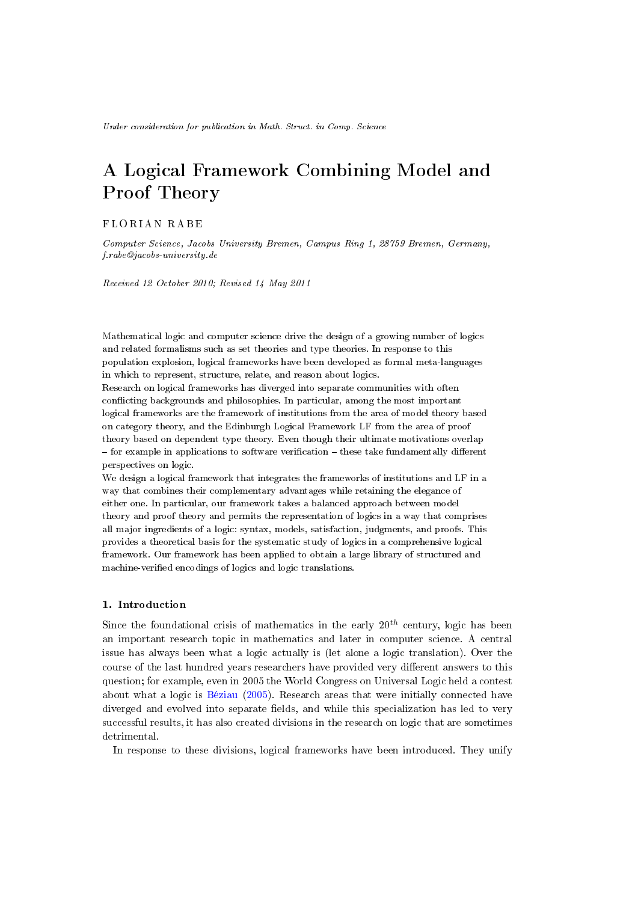# A Logical Framework Combining Model and Proof Theory

## F L O R I A N R A B E

Computer Science, Jacobs University Bremen, Campus Ring 1, 28759 Bremen, Germany, f.rabe@jacobs-university.de

Received 12 October 2010; Revised 14 May 2011

Mathematical logic and computer science drive the design of a growing number of logics and related formalisms such as set theories and type theories. In response to this population explosion, logical frameworks have been developed as formal meta-languages in which to represent, structure, relate, and reason about logics.

Research on logical frameworks has diverged into separate communities with often conflicting backgrounds and philosophies. In particular, among the most important logical frameworks are the framework of institutions from the area of model theory based on category theory, and the Edinburgh Logical Framework LF from the area of proof theory based on dependent type theory. Even though their ultimate motivations overlap  $f$  - for example in applications to software verification  $-$  these take fundamentally different perspectives on logic.

We design a logical framework that integrates the frameworks of institutions and LF in a way that combines their complementary advantages while retaining the elegance of either one. In particular, our framework takes a balanced approach between model theory and proof theory and permits the representation of logics in a way that comprises all major ingredients of a logic: syntax, models, satisfaction, judgments, and proofs. This provides a theoretical basis for the systematic study of logics in a comprehensive logical framework. Our framework has been applied to obtain a large library of structured and machine-verified encodings of logics and logic translations.

# 1. Introduction

Since the foundational crisis of mathematics in the early  $20^{th}$  century, logic has been an important research topic in mathematics and later in computer science. A central issue has always been what a logic actually is (let alone a logic translation). Over the course of the last hundred years researchers have provided very different answers to this question; for example, even in 2005 the World Congress on Universal Logic held a contest about what a logic is [Béziau](#page-48-0) [\(2005\)](#page-48-0). Research areas that were initially connected have diverged and evolved into separate fields, and while this specialization has led to very successful results, it has also created divisions in the research on logic that are sometimes detrimental.

In response to these divisions, logical frameworks have been introduced. They unify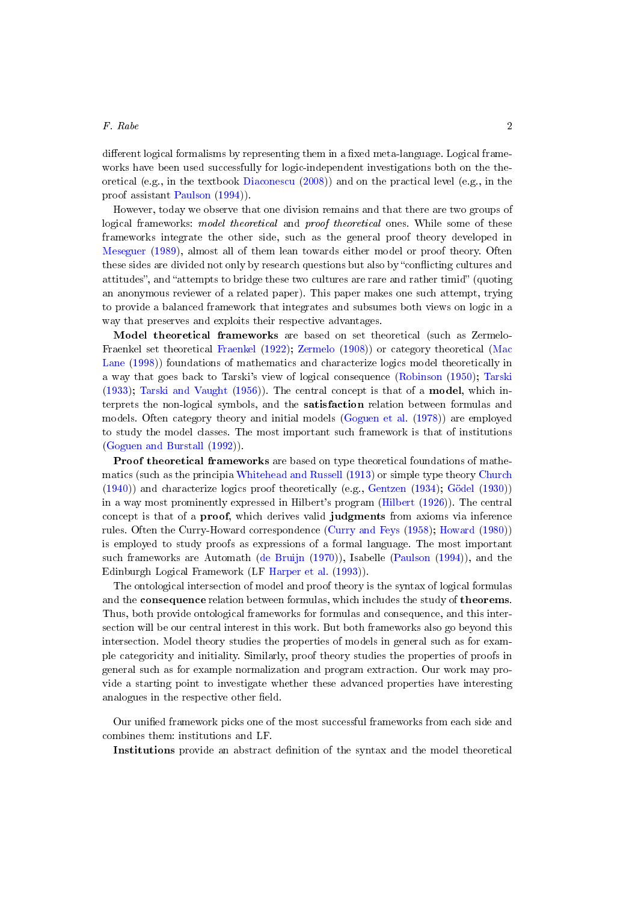## $F.$  Rabe 2

different logical formalisms by representing them in a fixed meta-language. Logical frameworks have been used successfully for logic-independent investigations both on the theoretical (e.g., in the textbook [Diaconescu](#page-49-0) [\(2008\)](#page-49-0)) and on the practical level (e.g., in the proof assistant [Paulson](#page-52-0) [\(1994\)](#page-52-0)).

However, today we observe that one division remains and that there are two groups of logical frameworks: model theoretical and proof theoretical ones. While some of these frameworks integrate the other side, such as the general proof theory developed in [Meseguer](#page-51-0) [\(1989\)](#page-51-0), almost all of them lean towards either model or proof theory. Often these sides are divided not only by research questions but also by "conflicting cultures and attitudes", and "attempts to bridge these two cultures are rare and rather timid" (quoting an anonymous reviewer of a related paper). This paper makes one such attempt, trying to provide a balanced framework that integrates and subsumes both views on logic in a way that preserves and exploits their respective advantages.

Model theoretical frameworks are based on set theoretical (such as Zermelo-Fraenkel set theoretical [Fraenkel](#page-50-0) [\(1922\)](#page-50-0); [Zermelo](#page-53-0) [\(1908\)](#page-53-0)) or category theoretical [\(Mac](#page-51-1) [Lane](#page-51-1) [\(1998\)](#page-51-1)) foundations of mathematics and characterize logics model theoretically in a way that goes back to Tarski's view of logical consequence [\(Robinson](#page-52-1) [\(1950\)](#page-52-1); [Tarski](#page-53-1) [\(1933\)](#page-53-1); [Tarski and Vaught](#page-53-2) [\(1956\)](#page-53-2)). The central concept is that of a model, which interprets the non-logical symbols, and the satisfaction relation between formulas and models. Often category theory and initial models [\(Goguen et al.](#page-50-1) [\(1978\)](#page-50-1)) are employed to study the model classes. The most important such framework is that of institutions [\(Goguen and Burstall](#page-50-2) [\(1992\)](#page-50-2)).

Proof theoretical frameworks are based on type theoretical foundations of mathematics (such as the principia [Whitehead and Russell](#page-53-3) [\(1913\)](#page-53-3) or simple type theory [Church](#page-49-1) [\(1940\)](#page-49-1)) and characterize logics proof theoretically (e.g., [Gentzen](#page-50-3) [\(1934\)](#page-50-3); [Gödel](#page-50-4) [\(1930\)](#page-50-4)) in a way most prominently expressed in Hilbert's program [\(Hilbert](#page-51-2) [\(1926\)](#page-51-2)). The central concept is that of a proof, which derives valid judgments from axioms via inference rules. Often the Curry-Howard correspondence [\(Curry and Feys](#page-49-2) [\(1958\)](#page-49-2); [Howard](#page-51-3) [\(1980\)](#page-51-3)) is employed to study proofs as expressions of a formal language. The most important such frameworks are Automath [\(de Bruijn](#page-49-3) [\(1970\)](#page-49-3)), Isabelle [\(Paulson](#page-52-0) [\(1994\)](#page-52-0)), and the Edinburgh Logical Framework (LF [Harper et al.](#page-50-5) [\(1993\)](#page-50-5)).

The ontological intersection of model and proof theory is the syntax of logical formulas and the consequence relation between formulas, which includes the study of theorems. Thus, both provide ontological frameworks for formulas and consequence, and this intersection will be our central interest in this work. But both frameworks also go beyond this intersection. Model theory studies the properties of models in general such as for example categoricity and initiality. Similarly, proof theory studies the properties of proofs in general such as for example normalization and program extraction. Our work may provide a starting point to investigate whether these advanced properties have interesting analogues in the respective other field.

Our unified framework picks one of the most successful frameworks from each side and combines them: institutions and LF.

Institutions provide an abstract denition of the syntax and the model theoretical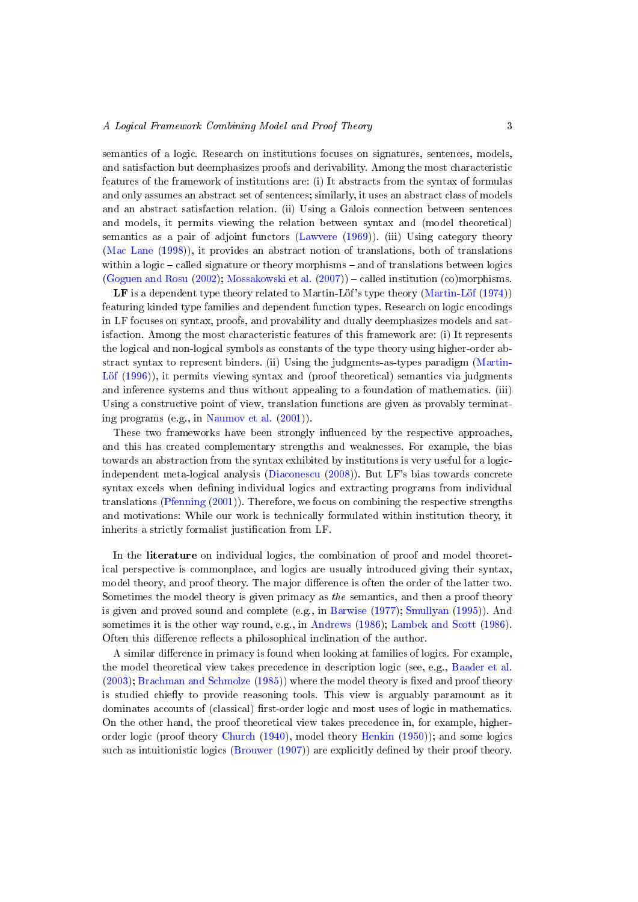semantics of a logic. Research on institutions focuses on signatures, sentences, models, and satisfaction but deemphasizes proofs and derivability. Among the most characteristic features of the framework of institutions are: (i) It abstracts from the syntax of formulas and only assumes an abstract set of sentences; similarly, it uses an abstract class of models and an abstract satisfaction relation. (ii) Using a Galois connection between sentences and models, it permits viewing the relation between syntax and (model theoretical) semantics as a pair of adjoint functors [\(Lawvere](#page-51-4) [\(1969\)](#page-51-4)). (iii) Using category theory [\(Mac Lane](#page-51-1) [\(1998\)](#page-51-1)), it provides an abstract notion of translations, both of translations within a logic  $-$  called signature or theory morphisms  $-$  and of translations between logics [\(Goguen and Rosu](#page-50-6) [\(2002\)](#page-50-6); [Mossakowski et al.](#page-51-5) [\(2007\)](#page-51-5)) – called institution (co)morphisms.

LF is a dependent type theory related to Martin-Löf's type theory [\(Martin-Löf](#page-51-6) [\(1974\)](#page-51-6)) featuring kinded type families and dependent function types. Research on logic encodings in LF focuses on syntax, proofs, and provability and dually deemphasizes models and satisfaction. Among the most characteristic features of this framework are: (i) It represents the logical and non-logical symbols as constants of the type theory using higher-order abstract syntax to represent binders. (ii) Using the judgments-as-types paradigm [\(Martin-](#page-51-7)[Löf](#page-51-7) [\(1996\)](#page-51-7)), it permits viewing syntax and (proof theoretical) semantics via judgments and inference systems and thus without appealing to a foundation of mathematics. (iii) Using a constructive point of view, translation functions are given as provably terminating programs (e.g., in [Naumov et al.](#page-52-2) [\(2001\)](#page-52-2)).

These two frameworks have been strongly influenced by the respective approaches, and this has created complementary strengths and weaknesses. For example, the bias towards an abstraction from the syntax exhibited by institutions is very useful for a logicindependent meta-logical analysis [\(Diaconescu](#page-49-0) [\(2008\)](#page-49-0)). But LF's bias towards concrete syntax excels when defining individual logics and extracting programs from individual translations [\(Pfenning](#page-52-3) [\(2001\)](#page-52-3)). Therefore, we focus on combining the respective strengths and motivations: While our work is technically formulated within institution theory, it inherits a strictly formalist justification from LF.

In the literature on individual logics, the combination of proof and model theoretical perspective is commonplace, and logics are usually introduced giving their syntax, model theory, and proof theory. The major difference is often the order of the latter two. Sometimes the model theory is given primacy as the semantics, and then a proof theory is given and proved sound and complete (e.g., in [Barwise](#page-48-1) [\(1977\)](#page-48-1); [Smullyan](#page-53-4) [\(1995\)](#page-53-4)). And sometimes it is the other way round, e.g., in [Andrews](#page-48-2) [\(1986\)](#page-48-2); [Lambek and Scott](#page-51-8) [\(1986\)](#page-51-8). Often this difference reflects a philosophical inclination of the author.

A similar difference in primacy is found when looking at families of logics. For example, the model theoretical view takes precedence in description logic (see, e.g., [Baader et al.](#page-48-3)  $(2003)$ ; [Brachman and Schmolze](#page-49-4)  $(1985)$ ) where the model theory is fixed and proof theory is studied chiefly to provide reasoning tools. This view is arguably paramount as it dominates accounts of (classical) first-order logic and most uses of logic in mathematics. On the other hand, the proof theoretical view takes precedence in, for example, higherorder logic (proof theory [Church](#page-49-1) [\(1940\)](#page-49-1), model theory [Henkin](#page-50-7) [\(1950\)](#page-50-7)); and some logics such as intuitionistic logics [\(Brouwer](#page-49-5) [\(1907\)](#page-49-5)) are explicitly defined by their proof theory.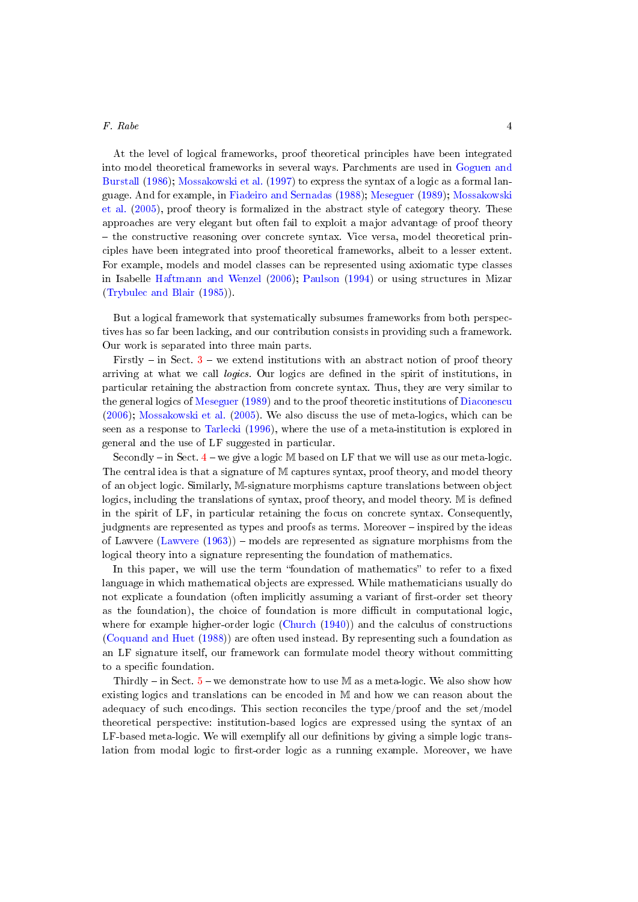At the level of logical frameworks, proof theoretical principles have been integrated into model theoretical frameworks in several ways. Parchments are used in [Goguen and](#page-50-8) [Burstall](#page-50-8) [\(1986\)](#page-50-8); [Mossakowski et al.](#page-52-4) [\(1997\)](#page-52-4) to express the syntax of a logic as a formal language. And for example, in [Fiadeiro and Sernadas](#page-50-9) [\(1988\)](#page-50-9); [Meseguer](#page-51-0) [\(1989\)](#page-51-0); [Mossakowski](#page-51-9) [et al.](#page-51-9) [\(2005\)](#page-51-9), proof theory is formalized in the abstract style of category theory. These approaches are very elegant but often fail to exploit a major advantage of proof theory  $-$  the constructive reasoning over concrete syntax. Vice versa, model theoretical principles have been integrated into proof theoretical frameworks, albeit to a lesser extent. For example, models and model classes can be represented using axiomatic type classes in Isabelle [Haftmann and Wenzel](#page-50-10) [\(2006\)](#page-50-10); [Paulson](#page-52-0) [\(1994\)](#page-52-0) or using structures in Mizar [\(Trybulec and Blair](#page-53-5) [\(1985\)](#page-53-5)).

But a logical framework that systematically subsumes frameworks from both perspectives has so far been lacking, and our contribution consists in providing such a framework. Our work is separated into three main parts.

Firstly – in Sect.  $3$  – we extend institutions with an abstract notion of proof theory arriving at what we call logics. Our logics are dened in the spirit of institutions, in particular retaining the abstraction from concrete syntax. Thus, they are very similar to the general logics of [Meseguer](#page-51-0) [\(1989\)](#page-51-0) and to the proof theoretic institutions of [Diaconescu](#page-49-6) [\(2006\)](#page-49-6); [Mossakowski et al.](#page-51-9) [\(2005\)](#page-51-9). We also discuss the use of meta-logics, which can be seen as a response to [Tarlecki](#page-53-6) [\(1996\)](#page-53-6), where the use of a meta-institution is explored in general and the use of LF suggested in particular.

Secondly  $-\text{in Sect. } 4-\text{we give a logic } \mathbb{M}$  $-\text{in Sect. } 4-\text{we give a logic } \mathbb{M}$  $-\text{in Sect. } 4-\text{we give a logic } \mathbb{M}$  based on LF that we will use as our meta-logic. The central idea is that a signature of M captures syntax, proof theory, and model theory of an object logic. Similarly, M-signature morphisms capture translations between object logics, including the translations of syntax, proof theory, and model theory. M is defined in the spirit of LF, in particular retaining the focus on concrete syntax. Consequently, judgments are represented as types and proofs as terms. Moreover – inspired by the ideas of Lawvere [\(Lawvere](#page-51-10)  $(1963)$ ) – models are represented as signature morphisms from the logical theory into a signature representing the foundation of mathematics.

In this paper, we will use the term "foundation of mathematics" to refer to a fixed language in which mathematical objects are expressed. While mathematicians usually do not explicate a foundation (often implicitly assuming a variant of first-order set theory as the foundation), the choice of foundation is more difficult in computational logic, where for example higher-order logic [\(Church](#page-49-1) [\(1940\)](#page-49-1)) and the calculus of constructions [\(Coquand and Huet](#page-49-7) [\(1988\)](#page-49-7)) are often used instead. By representing such a foundation as an LF signature itself, our framework can formulate model theory without committing to a specific foundation.

Thirdly  $-$  in Sect.  $5$  – we demonstrate how to use M as a meta-logic. We also show how existing logics and translations can be encoded in M and how we can reason about the adequacy of such encodings. This section reconciles the type/proof and the set/model theoretical perspective: institution-based logics are expressed using the syntax of an LF-based meta-logic. We will exemplify all our definitions by giving a simple logic translation from modal logic to first-order logic as a running example. Moreover, we have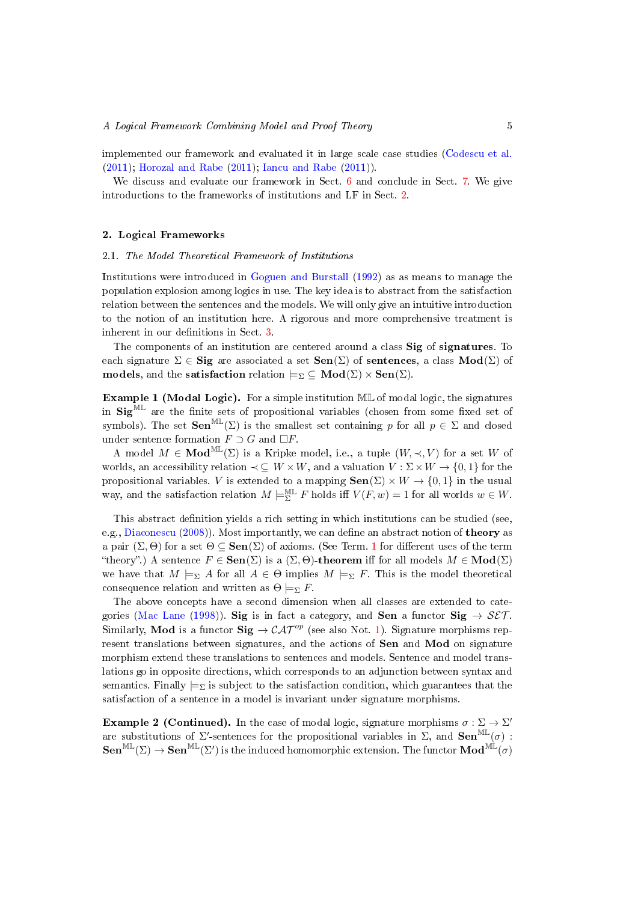implemented our framework and evaluated it in large scale case studies [\(Codescu et al.](#page-49-8) [\(2011\)](#page-49-8); [Horozal and Rabe](#page-51-11) [\(2011\)](#page-51-11); [Iancu and Rabe](#page-51-12) [\(2011\)](#page-51-12)).

We discuss and evaluate our framework in Sect. [6](#page-38-0) and conclude in Sect. [7.](#page-46-0) We give introductions to the frameworks of institutions and LF in Sect. [2.](#page-4-0)

## <span id="page-4-0"></span>2. Logical Frameworks

## 2.1. The Model Theoretical Framework of Institutions

Institutions were introduced in [Goguen and Burstall](#page-50-2) [\(1992\)](#page-50-2) as as means to manage the population explosion among logics in use. The key idea is to abstract from the satisfaction relation between the sentences and the models. We will only give an intuitive introduction to the notion of an institution here. A rigorous and more comprehensive treatment is inherent in our definitions in Sect. [3.](#page-8-0)

The components of an institution are centered around a class Sig of signatures. To each signature  $\Sigma \in \mathbf{Sig}$  are associated a set  $\mathbf{Sen}(\Sigma)$  of sentences, a class  $\mathbf{Mod}(\Sigma)$  of models, and the satisfaction relation  $\models_{\Sigma} \subseteq Mod(\Sigma) \times Sen(\Sigma)$ .

<span id="page-4-1"></span>Example 1 (Modal Logic). For a simple institution ML of modal logic, the signatures in  $\text{Sig}^{\text{ML}}$  are the finite sets of propositional variables (chosen from some fixed set of symbols). The set  $\text{Sen}^{\text{ML}}(\Sigma)$  is the smallest set containing p for all  $p \in \Sigma$  and closed under sentence formation  $F \supset G$  and  $\Box F$ .

A model  $M \in Mod^{\mathbb{ML}}(\Sigma)$  is a Kripke model, i.e., a tuple  $(W, \prec, V)$  for a set W of worlds, an accessibility relation  $\prec \subseteq W \times W$ , and a valuation  $V : \Sigma \times W \to \{0, 1\}$  for the propositional variables. V is extended to a mapping  $\textbf{Sen}(\Sigma) \times W \to \{0,1\}$  in the usual way, and the satisfaction relation  $M \models_{\Sigma}^{\mathbb{ML}} F$  holds iff  $V(F, w) = 1$  for all worlds  $w \in W$ .

This abstract definition yields a rich setting in which institutions can be studied (see, e.g., [Diaconescu](#page-49-0) [\(2008\)](#page-49-0)). Most importantly, we can define an abstract notion of **theory** as a pair  $(\Sigma, \Theta)$  for a set  $\Theta \subseteq \textbf{Sen}(\Sigma)$  of axioms. (See Term. [1](#page-12-0) for different uses of the term "theory".) A sentence  $F \in \text{Sen}(\Sigma)$  is a  $(\Sigma, \Theta)$ -theorem iff for all models  $M \in \text{Mod}(\Sigma)$ we have that  $M \models_{\Sigma} A$  for all  $A \in \Theta$  implies  $M \models_{\Sigma} F$ . This is the model theoretical consequence relation and written as  $\Theta \models_{\Sigma} F$ .

The above concepts have a second dimension when all classes are extended to cate-gories [\(Mac Lane](#page-51-1) [\(1998\)](#page-51-1)). Sig is in fact a category, and Sen a functor Sig  $\rightarrow$  SET. Similarly, **Mod** is a functor  $\text{Sig} \rightarrow \mathcal{CAT}^{op}$  (see also Not. [1\)](#page-8-1). Signature morphisms represent translations between signatures, and the actions of Sen and Mod on signature morphism extend these translations to sentences and models. Sentence and model translations go in opposite directions, which corresponds to an adjunction between syntax and semantics. Finally  $\models_{\Sigma}$  is subject to the satisfaction condition, which guarantees that the satisfaction of a sentence in a model is invariant under signature morphisms.

**Example 2 (Continued).** In the case of modal logic, signature morphisms  $\sigma : \Sigma \to \Sigma'$ are substitutions of  $\Sigma'$ -sentences for the propositional variables in  $\Sigma$ , and  $\textbf{Sen}^{\text{ML}}(\sigma)$ :  $\mathbf{Sen}^{\mathrm{ML}}(\Sigma) \to \mathbf{Sen}^{\mathrm{ML}}(\Sigma')$  is the induced homomorphic extension. The functor  $\mathbf{Mod}^{\mathrm{ML}}(\sigma)$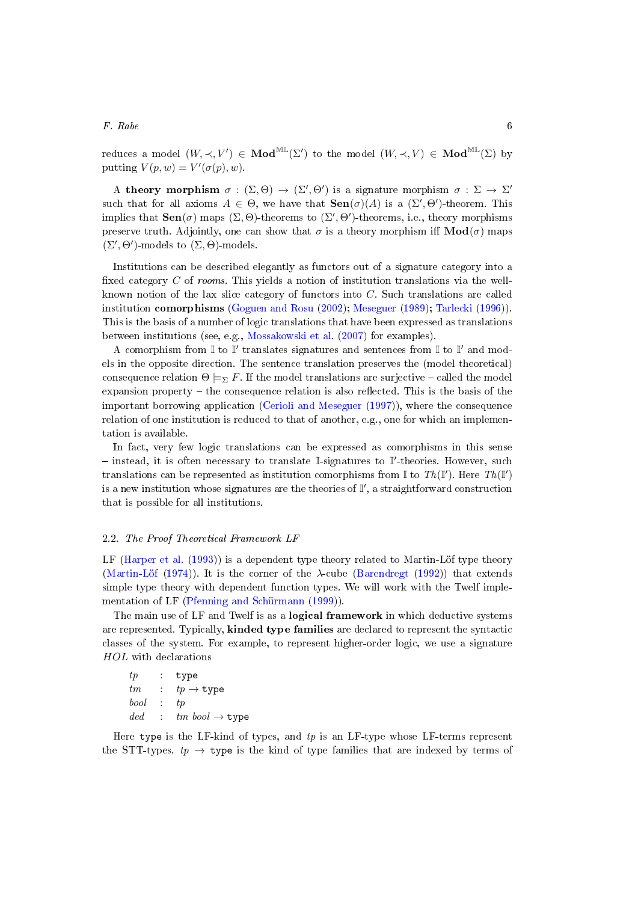reduces a model  $(W, \prec, V') \in Mod^{M\mathbb{L}}(\Sigma')$  to the model  $(W, \prec, V) \in Mod^{M\mathbb{L}}(\Sigma)$  by putting  $V(p, w) = V'(\sigma(p), w)$ .

A theory morphism  $\sigma : (\Sigma, \Theta) \to (\Sigma', \Theta')$  is a signature morphism  $\sigma : \Sigma \to \Sigma'$ such that for all axioms  $A \in \Theta$ , we have that  $\textbf{Sen}(\sigma)(A)$  is a  $(\Sigma', \Theta')$ -theorem. This implies that  $\textbf{Sen}(\sigma)$  maps  $(\Sigma, \Theta)$ -theorems to  $(\Sigma', \Theta')$ -theorems, i.e., theory morphisms preserve truth. Adjointly, one can show that  $\sigma$  is a theory morphism iff  $\text{Mod}(\sigma)$  maps  $(\Sigma', \Theta')$ -models to  $(\Sigma, \Theta)$ -models.

Institutions can be described elegantly as functors out of a signature category into a fixed category  $C$  of rooms. This yields a notion of institution translations via the wellknown notion of the lax slice category of functors into C. Such translations are called institution comorphisms [\(Goguen and Rosu](#page-50-6) [\(2002\)](#page-50-6); [Meseguer](#page-51-0) [\(1989\)](#page-51-0); [Tarlecki](#page-53-6) [\(1996\)](#page-53-6)). This is the basis of a number of logic translations that have been expressed as translations between institutions (see, e.g., [Mossakowski et al.](#page-51-5) [\(2007\)](#page-51-5) for examples).

A comorphism from  $\mathbb I$  to  $\mathbb I'$  translates signatures and sentences from  $\mathbb I$  to  $\mathbb I'$  and models in the opposite direction. The sentence translation preserves the (model theoretical) consequence relation  $\Theta \models_{\Sigma} F$ . If the model translations are surjective – called the model expansion property  $-$  the consequence relation is also reflected. This is the basis of the important borrowing application [\(Cerioli and Meseguer](#page-49-9) [\(1997\)](#page-49-9)), where the consequence relation of one institution is reduced to that of another, e.g., one for which an implementation is available.

In fact, very few logic translations can be expressed as comorphisms in this sense - instead, it is often necessary to translate I-signatures to I'-theories. However, such translations can be represented as institution comorphisms from I to Th(I'). Here Th(I') is a new institution whose signatures are the theories of  $\mathbb{I}'$ , a straightforward construction that is possible for all institutions.

#### <span id="page-5-0"></span>2.2. The Proof Theoretical Framework LF

LF [\(Harper et al.](#page-50-5) [\(1993\)](#page-50-5)) is a dependent type theory related to Martin-Löf type theory [\(Martin-Löf](#page-51-6) [\(1974\)](#page-51-6)). It is the corner of the  $\lambda$ -cube [\(Barendregt](#page-48-4) [\(1992\)](#page-48-4)) that extends simple type theory with dependent function types. We will work with the Twelf implementation of LF [\(Pfenning and Schürmann](#page-52-5) [\(1999\)](#page-52-5)).

The main use of LF and Twelf is as a **logical framework** in which deductive systems are represented. Typically, kinded type families are declared to represent the syntactic classes of the system. For example, to represent higher-order logic, we use a signature HOL with declarations

```
tp : type
tm : tp \rightarrow typebool : tp
ded : tmbool \rightarrow type
```
Here type is the LF-kind of types, and  $tp$  is an LF-type whose LF-terms represent the STT-types.  $tp \rightarrow \text{type}$  is the kind of type families that are indexed by terms of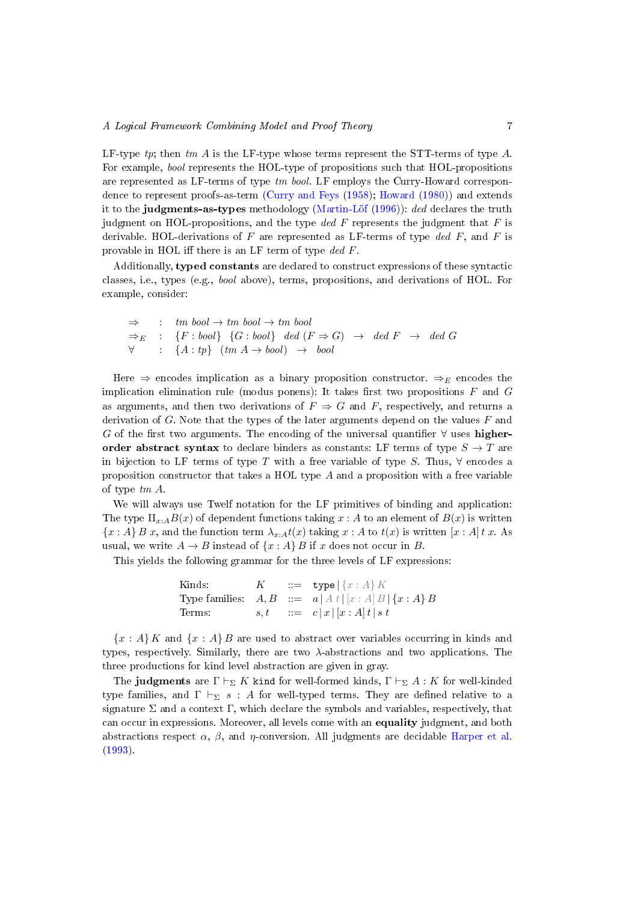LF-type  $tp$ ; then  $tm A$  is the LF-type whose terms represent the STT-terms of type  $A$ . For example, bool represents the HOL-type of propositions such that HOL-propositions are represented as LF-terms of type tm bool. LF employs the Curry-Howard correspondence to represent proofs-as-term [\(Curry and Feys](#page-49-2) [\(1958\)](#page-49-2); [Howard](#page-51-3) [\(1980\)](#page-51-3)) and extends it to the judgments-as-types methodology [\(Martin-Löf](#page-51-7) [\(1996\)](#page-51-7)): ded declares the truth judgment on HOL-propositions, and the type ded  $F$  represents the judgment that  $F$  is derivable. HOL-derivations of F are represented as LF-terms of type ded F, and F is provable in HOL iff there is an LF term of type  $ded F$ .

Additionally, typed constants are declared to construct expressions of these syntactic classes, i.e., types (e.g., bool above), terms, propositions, and derivations of HOL. For example, consider:

|  | $\Rightarrow$ : tm bool $\rightarrow$ tm bool $\rightarrow$ tm bool                                 |
|--|-----------------------------------------------------------------------------------------------------|
|  | $\Rightarrow_E$ : {F:bool} {G:bool} ded (F $\Rightarrow$ G) $\rightarrow$ ded F $\rightarrow$ ded G |
|  | $\forall : \{A : tp\} \ (tm \ A \rightarrow bool) \ \rightarrow \ bool$                             |

Here  $\Rightarrow$  encodes implication as a binary proposition constructor.  $\Rightarrow_E$  encodes the implication elimination rule (modus ponens): It takes first two propositions  $F$  and  $G$ as arguments, and then two derivations of  $F \Rightarrow G$  and F, respectively, and returns a derivation of  $G$ . Note that the types of the later arguments depend on the values  $F$  and G of the first two arguments. The encoding of the universal quantifier  $\forall$  uses higherorder abstract syntax to declare binders as constants: LF terms of type  $S \to T$  are in bijection to LF terms of type T with a free variable of type S. Thus,  $\forall$  encodes a proposition constructor that takes a HOL type  $A$  and a proposition with a free variable of type tm A.

We will always use Twelf notation for the LF primitives of binding and application: The type  $\Pi_{x:A}B(x)$  of dependent functions taking  $x:A$  to an element of  $B(x)$  is written  ${x : A} B x$ , and the function term  $\lambda_{x:A} t(x)$  taking  $x : A$  to  $t(x)$  is written  $[x : A] t x$ . As usual, we write  $A \to B$  instead of  $\{x : A\}$  B if x does not occur in B.

This yields the following grammar for the three levels of LF expressions:

| Kinds: | K | $ ::=$ type $ \{x : A\} K $                                  |
|--------|---|--------------------------------------------------------------|
|        |   | Type families: $A, B$ ::= $a  A t   [x : A] B   \{x : A\} B$ |
| Terms: |   | $s,t$ $::= c x [x:A]t s t$                                   |

 ${x : A} K$  and  ${x : A} B$  are used to abstract over variables occurring in kinds and types, respectively. Similarly, there are two  $\lambda$ -abstractions and two applications. The three productions for kind level abstraction are given in gray.

The judgments are  $\Gamma \vdash_{\Sigma} K$  kind for well-formed kinds,  $\Gamma \vdash_{\Sigma} A : K$  for well-kinded type families, and  $\Gamma \vdash_{\Sigma} s : A$  for well-typed terms. They are defined relative to a signature  $\Sigma$  and a context  $\Gamma$ , which declare the symbols and variables, respectively, that can occur in expressions. Moreover, all levels come with an equality judgment, and both abstractions respect  $\alpha$ ,  $\beta$ , and  $\eta$ -conversion. All judgments are decidable [Harper et al.](#page-50-5) [\(1993\)](#page-50-5).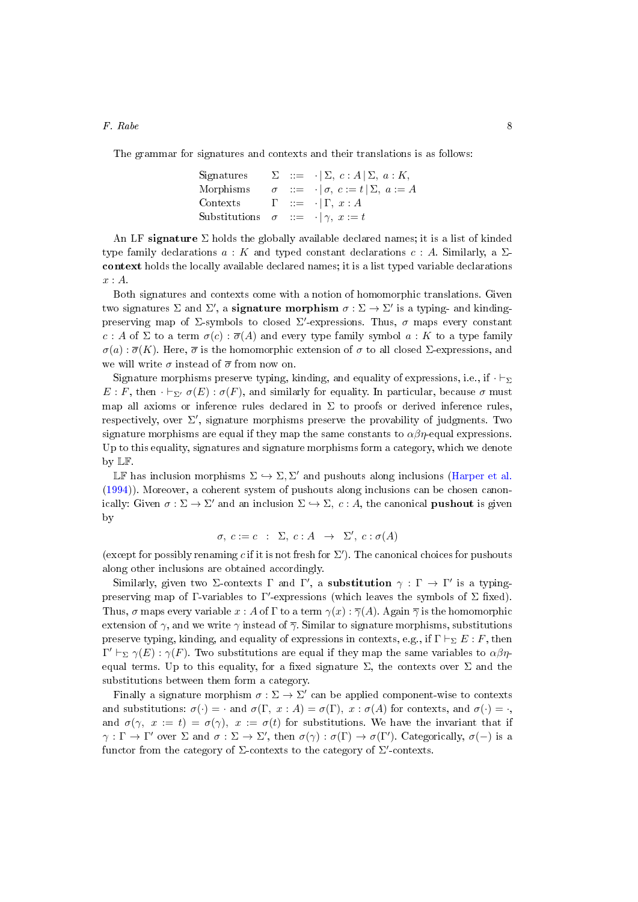The grammar for signatures and contexts and their translations is as follows:

Signatures 
$$
\Sigma
$$
 ::=  $\cdot | \Sigma, c : A | \Sigma, a : K,$   
Morphisms  $\sigma$  ::=  $\cdot | \sigma, c := t | \Sigma, a := A$   
Contexts  $\Gamma$  ::=  $\cdot | \Gamma, x : A$   
Substitutions  $\sigma$  ::=  $\cdot | \gamma, x := t$ 

An LF signature  $\Sigma$  holds the globally available declared names; it is a list of kinded type family declarations  $a: K$  and typed constant declarations  $c: A$ . Similarly, a  $\Sigma$ context holds the locally available declared names; it is a list typed variable declarations  $x:A$ .

Both signatures and contexts come with a notion of homomorphic translations. Given two signatures  $\Sigma$  and  $\Sigma'$ , a **signature morphism**  $\sigma : \Sigma \to \Sigma'$  is a typing- and kindingpreserving map of  $\Sigma$ -symbols to closed  $\Sigma'$ -expressions. Thus,  $\sigma$  maps every constant c : A of  $\Sigma$  to a term  $\sigma(c)$  :  $\overline{\sigma}(A)$  and every type family symbol  $a: K$  to a type family  $\sigma(a): \overline{\sigma}(K)$ . Here,  $\overline{\sigma}$  is the homomorphic extension of  $\sigma$  to all closed  $\Sigma$ -expressions, and we will write  $\sigma$  instead of  $\bar{\sigma}$  from now on.

Signature morphisms preserve typing, kinding, and equality of expressions, i.e., if  $\cdot \vdash_{\Sigma}$  $E : F$ , then  $\cdot \vdash_{\Sigma'} \sigma(E) : \sigma(F)$ , and similarly for equality. In particular, because  $\sigma$  must map all axioms or inference rules declared in  $\Sigma$  to proofs or derived inference rules, respectively, over  $\Sigma'$ , signature morphisms preserve the provability of judgments. Two signature morphisms are equal if they map the same constants to  $\alpha\beta\eta$ -equal expressions. Up to this equality, signatures and signature morphisms form a category, which we denote by LF.

LF has inclusion morphisms  $\Sigma \hookrightarrow \Sigma, \Sigma'$  and pushouts along inclusions [\(Harper et al.](#page-50-11) [\(1994\)](#page-50-11)). Moreover, a coherent system of pushouts along inclusions can be chosen canonically: Given  $\sigma : \Sigma \to \Sigma'$  and an inclusion  $\Sigma \hookrightarrow \Sigma$ ,  $c : A$ , the canonical **pushout** is given by

$$
\sigma, c := c : \Sigma, c : A \rightarrow \Sigma', c : \sigma(A)
$$

(except for possibly renaming c if it is not fresh for  $\Sigma'$ ). The canonical choices for pushouts along other inclusions are obtained accordingly.

Similarly, given two Σ-contexts  $\Gamma$  and  $\Gamma'$ , a **substitution**  $\gamma : \Gamma \to \Gamma'$  is a typingpreserving map of  $\Gamma$ -variables to  $\Gamma'$ -expressions (which leaves the symbols of  $\Sigma$  fixed). Thus,  $\sigma$  maps every variable  $x : A$  of  $\Gamma$  to a term  $\gamma(x) : \overline{\gamma}(A)$ . Again  $\overline{\gamma}$  is the homomorphic extension of  $\gamma$ , and we write  $\gamma$  instead of  $\overline{\gamma}$ . Similar to signature morphisms, substitutions preserve typing, kinding, and equality of expressions in contexts, e.g., if  $\Gamma \vdash_{\Sigma} E : F$ , then  $\Gamma' \vdash_{\Sigma} \gamma(E) : \gamma(F)$ . Two substitutions are equal if they map the same variables to  $\alpha\beta\eta$ equal terms. Up to this equality, for a fixed signature  $\Sigma$ , the contexts over  $\Sigma$  and the substitutions between them form a category.

Finally a signature morphism  $\sigma : \Sigma \to \Sigma'$  can be applied component-wise to contexts and substitutions:  $\sigma(\cdot) = \cdot$  and  $\sigma(\Gamma, x : A) = \sigma(\Gamma), x : \sigma(A)$  for contexts, and  $\sigma(\cdot) = \cdot$ , and  $\sigma(\gamma, x := t) = \sigma(\gamma), x := \sigma(t)$  for substitutions. We have the invariant that if  $\gamma : \Gamma \to \Gamma'$  over  $\Sigma$  and  $\sigma : \Sigma \to \Sigma'$ , then  $\sigma(\gamma) : \sigma(\Gamma) \to \sigma(\Gamma')$ . Categorically,  $\sigma(-)$  is a functor from the category of  $\Sigma$ -contexts to the category of  $\Sigma'$ -contexts.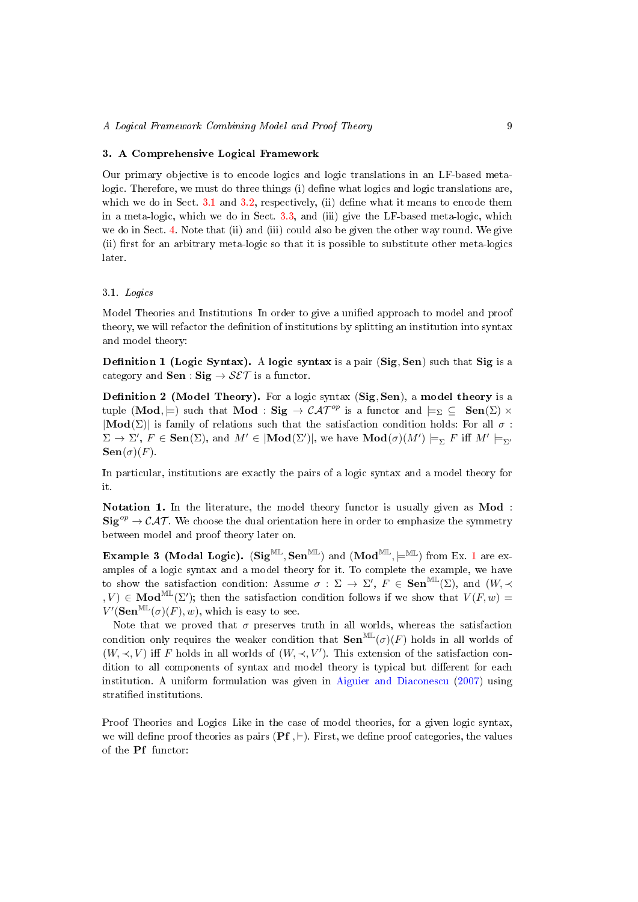## <span id="page-8-0"></span>3. A Comprehensive Logical Framework

Our primary objective is to encode logics and logic translations in an LF-based metalogic. Therefore, we must do three things (i) define what logics and logic translations are, which we do in Sect.  $3.1$  and  $3.2$ , respectively, (ii) define what it means to encode them in a meta-logic, which we do in Sect. [3.3,](#page-14-0) and (iii) give the LF-based meta-logic, which we do in Sect. [4.](#page-18-0) Note that (ii) and (iii) could also be given the other way round. We give (ii) first for an arbitrary meta-logic so that it is possible to substitute other meta-logics later.

## <span id="page-8-2"></span>3.1. Logics

Model Theories and Institutions In order to give a unified approach to model and proof theory, we will refactor the definition of institutions by splitting an institution into syntax and model theory:

**Definition 1 (Logic Syntax).** A logic syntax is a pair  $(Sig, Sen)$  such that Sig is a category and **Sen** : **Sig**  $\rightarrow$  **SET** is a functor.

<span id="page-8-3"></span>Definition 2 (Model Theory). For a logic syntax (Sig, Sen), a model theory is a tuple (Mod,  $\models$ ) such that Mod : Sig  $\rightarrow$  CAT<sup>op</sup> is a functor and  $\models_{\Sigma} \subseteq$  Sen( $\Sigma$ ) ×  $|\text{Mod}(\Sigma)|$  is family of relations such that the satisfaction condition holds: For all  $\sigma$ :  $\Sigma \to \Sigma'$ ,  $F \in \mathbf{Sen}(\Sigma)$ , and  $M' \in |\mathbf{Mod}(\Sigma')|$ , we have  $\mathbf{Mod}(\sigma)(M') \models_{\Sigma} F$  iff  $M' \models_{\Sigma'}$  $\textbf{Sen}(\sigma)(F)$ .

In particular, institutions are exactly the pairs of a logic syntax and a model theory for it.

<span id="page-8-1"></span>Notation 1. In the literature, the model theory functor is usually given as Mod :  $\text{Sig}^{op} \to \mathcal{CAT}$ . We choose the dual orientation here in order to emphasize the symmetry between model and proof theory later on.

**Example 3 (Modal Logic).** (Sig<sup>ML</sup>, Sen<sup>ML</sup>) and (Mod<sup>ML</sup>,  $\models$ <sup>ML</sup>) from Ex. [1](#page-4-1) are examples of a logic syntax and a model theory for it. To complete the example, we have to show the satisfaction condition: Assume  $\sigma : \Sigma \to \Sigma'$ ,  $F \in \mathbf{Sen}^{\mathbb{ML}}(\Sigma)$ , and  $(W, \prec$  $, V) \in \textbf{Mod}^{\text{ML}}(\Sigma')$ ; then the satisfaction condition follows if we show that  $V(F, w) =$  $V'(\textbf{Sen}^{\text{ML}}(\sigma)(F), w)$ , which is easy to see.

Note that we proved that  $\sigma$  preserves truth in all worlds, whereas the satisfaction condition only requires the weaker condition that  $\textbf{Sen}^{\text{ML}}(\sigma)(F)$  holds in all worlds of  $(W, \prec, V)$  iff F holds in all worlds of  $(W, \prec, V')$ . This extension of the satisfaction condition to all components of syntax and model theory is typical but different for each institution. A uniform formulation was given in [Aiguier and Diaconescu](#page-48-5) [\(2007\)](#page-48-5) using stratied institutions.

Proof Theories and Logics Like in the case of model theories, for a given logic syntax, we will define proof theories as pairs  $(PF, \vdash)$ . First, we define proof categories, the values of the Pf functor: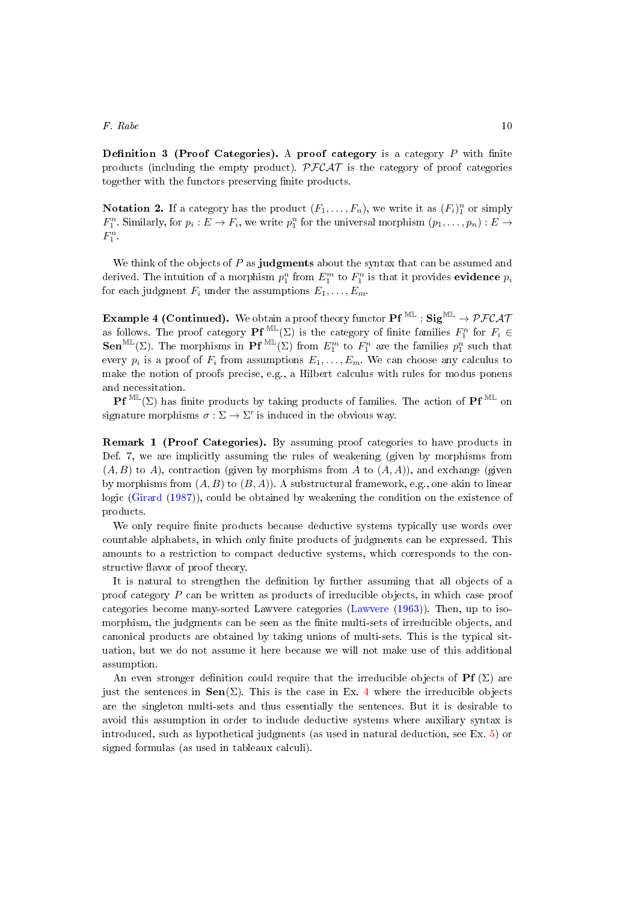**Definition 3 (Proof Categories).** A proof category is a category  $P$  with finite products (including the empty product).  $\mathcal{PFCAT}$  is the category of proof categories together with the functors preserving finite products.

**Notation 2.** If a category has the product  $(F_1, \ldots, F_n)$ , we write it as  $(F_i)_1^n$  or simply  $F_1^n$ . Similarly, for  $p_i: E \to F_i$ , we write  $p_1^n$  for the universal morphism  $(p_1, \ldots, p_n): E \to$  $F_1^n$ .

We think of the objects of  $P$  as judgments about the syntax that can be assumed and derived. The intuition of a morphism  $p_1^n$  from  $E_1^m$  to  $F_1^n$  is that it provides  $\mathbf{e}\mathbf{v}\mathbf{idence}\ p_i$ for each judgment  $F_i$  under the assumptions  $E_1, \ldots, E_m$ .

<span id="page-9-0"></span>**Example 4 (Continued).** We obtain a proof theory functor  $\mathbf{Pf}^{\text{ML}}$  :  $\text{Sig}^{\text{ML}} \rightarrow \mathcal{PFCAI}$ as follows. The proof category  $\mathbf{Pf}^{\text{ML}}(\Sigma)$  is the category of finite families  $F_1^n$  for  $F_i \in$ Sen<sup>ML</sup>(Σ). The morphisms in Pf<sup>ML</sup>(Σ) from  $E_1^m$  to  $F_1^n$  are the families  $p_1^n$  such that every  $p_i$  is a proof of  $F_i$  from assumptions  $E_1, \ldots, E_m$ . We can choose any calculus to make the notion of proofs precise, e.g., a Hilbert calculus with rules for modus ponens and necessitation.

**Pf** ML( $\Sigma$ ) has finite products by taking products of families. The action of **Pf** ML on signature morphisms  $\sigma : \Sigma \to \Sigma'$  is induced in the obvious way.

<span id="page-9-2"></span>Remark 1 (Proof Categories). By assuming proof categories to have products in Def. 7, we are implicitly assuming the rules of weakening (given by morphisms from  $(A, B)$  to A), contraction (given by morphisms from A to  $(A, A)$ ), and exchange (given by morphisms from  $(A, B)$  to  $(B, A)$ ). A substructural framework, e.g., one akin to linear logic [\(Girard](#page-50-12) [\(1987\)](#page-50-12)), could be obtained by weakening the condition on the existence of products.

We only require finite products because deductive systems typically use words over countable alphabets, in which only finite products of judgments can be expressed. This amounts to a restriction to compact deductive systems, which corresponds to the constructive flavor of proof theory.

It is natural to strengthen the denition by further assuming that all objects of a proof category P can be written as products of irreducible objects, in which case proof categories become many-sorted Lawvere categories [\(Lawvere](#page-51-10) [\(1963\)](#page-51-10)). Then, up to isomorphism, the judgments can be seen as the finite multi-sets of irreducible objects, and canonical products are obtained by taking unions of multi-sets. This is the typical situation, but we do not assume it here because we will not make use of this additional assumption.

<span id="page-9-1"></span>An even stronger definition could require that the irreducible objects of **Pf** ( $\Sigma$ ) are just the sentences in  $\textbf{Sen}(\Sigma)$ . This is the case in Ex. [4](#page-9-0) where the irreducible objects are the singleton multi-sets and thus essentially the sentences. But it is desirable to avoid this assumption in order to include deductive systems where auxiliary syntax is introduced, such as hypothetical judgments (as used in natural deduction, see Ex. [5\)](#page-9-1) or signed formulas (as used in tableaux calculi).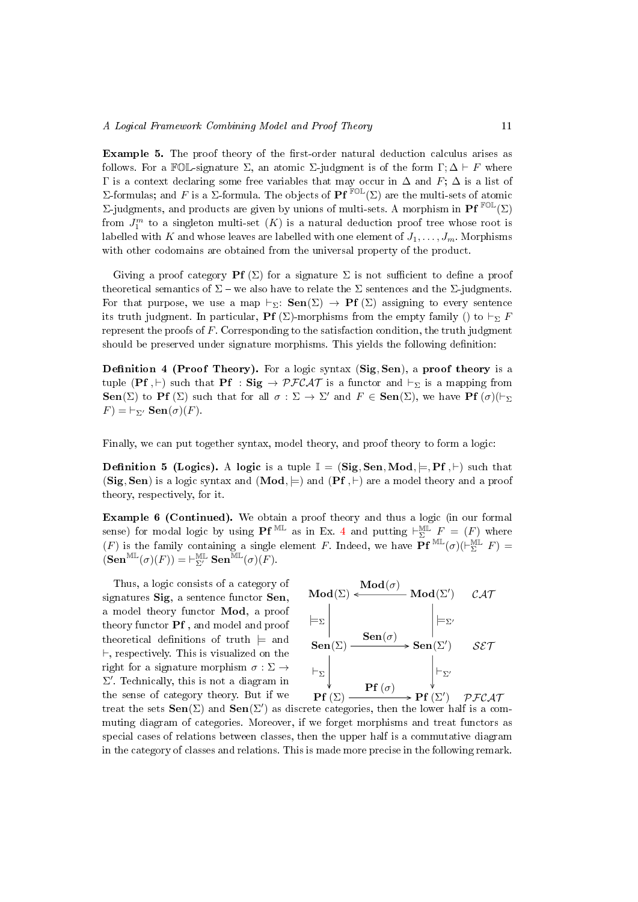Example 5. The proof theory of the first-order natural deduction calculus arises as follows. For a FOL-signature  $\Sigma$ , an atomic  $\Sigma$ -judgment is of the form  $\Gamma; \Delta \vdash F$  where Γ is a context declaring some free variables that may occur in ∆ and F; ∆ is a list of Σ-formulas; and F is a Σ-formula. The objects of **Pf**<sup>FOL</sup>(Σ) are the multi-sets of atomic Σ-judgments, and products are given by unions of multi-sets. A morphism in Pf<sup>FOL</sup>(Σ) from  $J_1^m$  to a singleton multi-set  $(K)$  is a natural deduction proof tree whose root is labelled with K and whose leaves are labelled with one element of  $J_1, \ldots, J_m$ . Morphisms with other codomains are obtained from the universal property of the product.

Giving a proof category **Pf**  $(\Sigma)$  for a signature  $\Sigma$  is not sufficient to define a proof theoretical semantics of  $\Sigma$  – we also have to relate the  $\Sigma$  sentences and the  $\Sigma$ -judgments. For that purpose, we use a map  $\vdash_{\Sigma}:$  Sen( $\Sigma$ )  $\rightarrow$  Pf ( $\Sigma$ ) assigning to every sentence its truth judgment. In particular, **Pf** (Σ)-morphisms from the empty family () to  $\vdash_{\Sigma} F$ represent the proofs of F. Corresponding to the satisfaction condition, the truth judgment should be preserved under signature morphisms. This yields the following definition:

<span id="page-10-1"></span>**Definition 4 (Proof Theory).** For a logic syntax  $(Sig, Sen)$ , a proof theory is a tuple (Pf ,  $\vdash$ ) such that Pf : Sig  $\rightarrow$  PFCAT is a functor and  $\vdash_{\Sigma}$  is a mapping from **Sen**( $\Sigma$ ) to **Pf** ( $\Sigma$ ) such that for all  $\sigma : \Sigma \to \Sigma'$  and  $F \in \textbf{Sen}(\Sigma)$ , we have **Pf** ( $\sigma$ )( $\vdash_{\Sigma}$ )  $F$ ) =  $\vdash_{\Sigma'}$  Sen $(\sigma)(F)$ .

Finally, we can put together syntax, model theory, and proof theory to form a logic:

**Definition 5 (Logics).** A logic is a tuple  $\mathbb{I} = (\text{Sig}, \text{Sen}, \text{Mod}, \models, \text{Pf}, \models)$  such that (Sig, Sen) is a logic syntax and  $(Mod, \models)$  and  $(Pf, \models)$  are a model theory and a proof theory, respectively, for it.

Example 6 (Continued). We obtain a proof theory and thus a logic (in our formal sense) for modal logic by using **Pf**<sup>ML</sup> as in Ex. [4](#page-9-0) and putting  $\vdash_{\Sigma}^{\mathbb{ML}} F = (F)$  where (F) is the family containing a single element F. Indeed, we have  $\overline{Pf}^{\text{ML}}(\sigma)(\overline{\vdash_{\Sigma}^{\text{ML}}} F)$  $(\operatorname{\mathbf{Sen}}^{\operatorname{ML}}(\sigma)(F)) = \vdash_{\Sigma'}^{\operatorname{ML}} \operatorname{\mathbf{Sen}}^{\operatorname{\overline{ML}}}(\sigma)(F).$ 

Thus, a logic consists of a category of signatures Sig, a sentence functor Sen, a model theory functor Mod, a proof theory functor Pf , and model and proof theoretical definitions of truth  $\models$  and  $\vdash$ , respectively. This is visualized on the right for a signature morphism  $\sigma : \Sigma \rightarrow$  $\Sigma'$ . Technically, this is not a diagram in the sense of category theory. But if we



<span id="page-10-0"></span>treat the sets  $\textbf{Sen}(\Sigma)$  and  $\textbf{Sen}(\Sigma')$  as discrete categories, then the lower half is a commuting diagram of categories. Moreover, if we forget morphisms and treat functors as special cases of relations between classes, then the upper half is a commutative diagram in the category of classes and relations. This is made more precise in the following remark.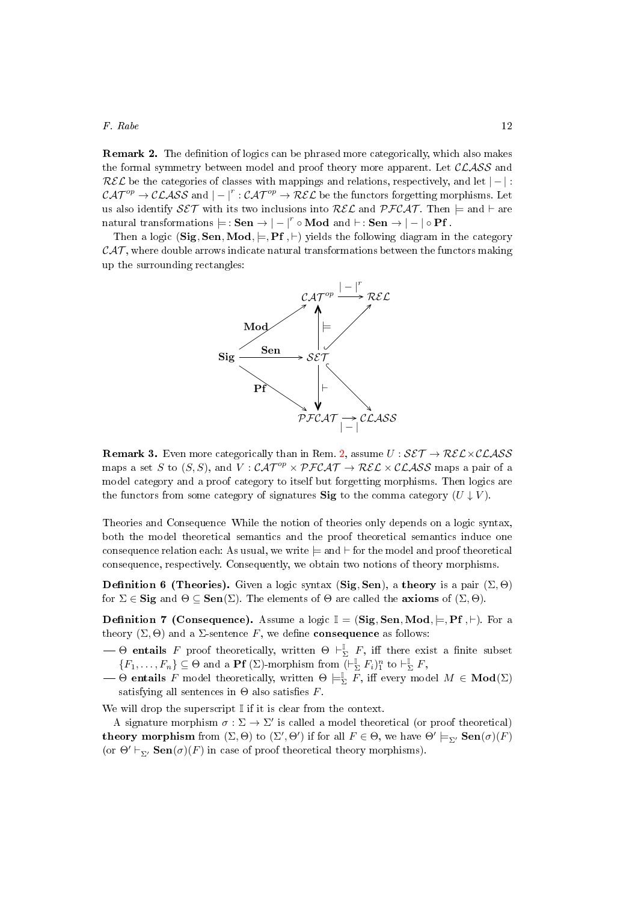**Remark 2.** The definition of logics can be phrased more categorically, which also makes the formal symmetry between model and proof theory more apparent. Let  $\mathcal{CLASS}$  and  $R\mathcal{EL}$  be the categories of classes with mappings and relations, respectively, and let  $|-|$ :  $\mathcal{CAT}^{op}\to \mathcal{CLASS}$  and  $|-|^r:\mathcal{CAT}^{op}\to \mathcal{REL}$  be the functors forgetting morphisms. Let us also identify  $SET$  with its two inclusions into  $REL$  and  $PFCAT$ . Then  $\models$  and  $\models$  are natural transformations  $\models$  : Sen  $\rightarrow$   $| - |^r \circ \textbf{Mod} \,$  and  $\vdash$  : Sen  $\rightarrow$   $| - | \circ \textbf{Pf} \,$ .

Then a logic (Sig, Sen, Mod,  $\models$ , Pf,  $\vdash$ ) yields the following diagram in the category  $\mathcal{CAT}$ , where double arrows indicate natural transformations between the functors making up the surrounding rectangles:



<span id="page-11-0"></span>**Remark 3.** Even more categorically than in Rem. [2,](#page-10-0) assume  $U : \mathcal{SET} \rightarrow \mathcal{REL} \times \mathcal{CLASS}$ maps a set S to  $(S, S)$ , and  $V : \mathcal{CAT}^{op} \times \mathcal{PFCAT} \to \mathcal{REL} \times \mathcal{CLASS}$  maps a pair of a model category and a proof category to itself but forgetting morphisms. Then logics are the functors from some category of signatures Sig to the comma category  $(U \downarrow V)$ .

Theories and Consequence While the notion of theories only depends on a logic syntax, both the model theoretical semantics and the proof theoretical semantics induce one consequence relation each: As usual, we write  $\models$  and  $\vdash$  for the model and proof theoretical consequence, respectively. Consequently, we obtain two notions of theory morphisms.

**Definition 6 (Theories).** Given a logic syntax (Sig, Sen), a theory is a pair  $(\Sigma, \Theta)$ for  $\Sigma \in \mathbf{Sig}$  and  $\Theta \subseteq \mathbf{Sen}(\Sigma)$ . The elements of  $\Theta$  are called the **axioms** of  $(\Sigma, \Theta)$ .

**Definition 7 (Consequence).** Assume a logic  $\mathbb{I} = (\text{Sig}, \text{Sen}, \text{Mod}, \models, \text{Pf}, \vdash)$ . For a theory  $(\Sigma, \Theta)$  and a  $\Sigma$ -sentence F, we define **consequence** as follows:

- $\longrightarrow$  Θ entails F proof theoretically, written  $\Theta \vdash^{\mathbb{I}}_{\Sigma} F$ , iff there exist a finite subset  $\{F_1,\ldots,F_n\}\subseteq \Theta$  and a **Pf** ( $\Sigma$ )-morphism from  $\overline{(-\Sigma \rvert F_i)^n}$  to  $\vdash_{\Sigma}^{\mathbb{I}} F$ ,
- $\overline{\Theta} \to \overline{\Theta}$  entails  $F$  model theoretically, written  $\Theta \models^{\mathbb{I}}_{\Sigma} \overline{F}$ , iff every model  $M \in \textbf{Mod}(\Sigma)$ satisfying all sentences in  $\Theta$  also satisfies F.

We will drop the superscript  $\mathbb I$  if it is clear from the context.

A signature morphism  $\sigma : \Sigma \to \Sigma'$  is called a model theoretical (or proof theoretical) theory morphism from  $(\Sigma, \Theta)$  to  $(\Sigma', \Theta')$  if for all  $F \in \Theta$ , we have  $\Theta' \models_{\Sigma'} \textbf{Sen}(\sigma)(F)$ (or  $\Theta' \vdash_{\Sigma'} \mathbf{Sen}(\sigma)(F)$  in case of proof theoretical theory morphisms).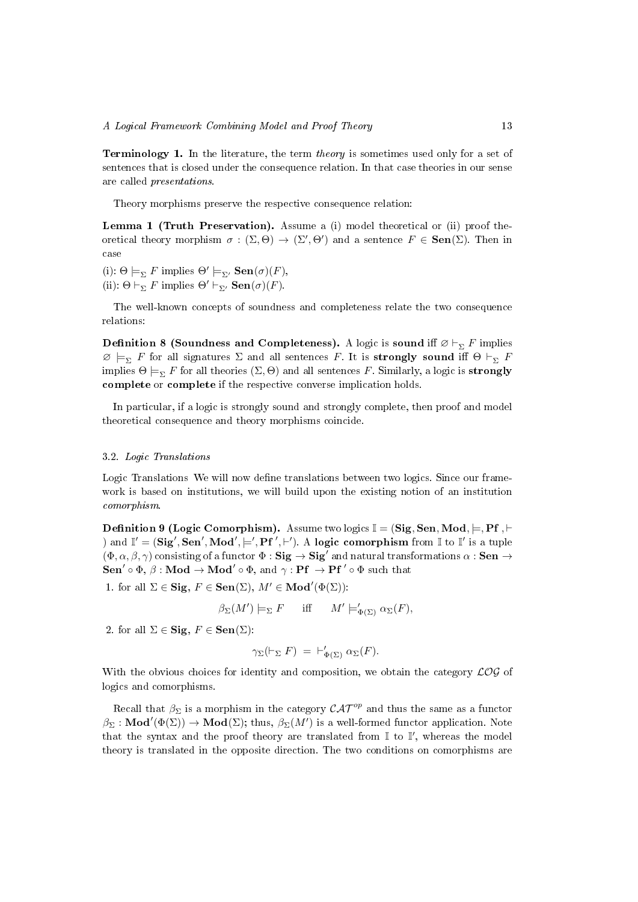<span id="page-12-0"></span>Terminology 1. In the literature, the term theory is sometimes used only for a set of sentences that is closed under the consequence relation. In that case theories in our sense are called presentations.

Theory morphisms preserve the respective consequence relation:

Lemma 1 (Truth Preservation). Assume a (i) model theoretical or (ii) proof theoretical theory morphism  $\sigma : (\Sigma, \Theta) \to (\Sigma', \Theta')$  and a sentence  $F \in \mathbf{Sen}(\Sigma)$ . Then in case

(i):  $\Theta \models_{\Sigma} F$  implies  $\Theta' \models_{\Sigma'} \mathbf{Sen}(\sigma)(F)$ , (ii):  $\Theta \vdash_{\Sigma} F$  implies  $\Theta' \vdash_{\Sigma'} \mathbf{Sen}(\sigma)(F)$ .

The well-known concepts of soundness and completeness relate the two consequence relations:

**Definition 8 (Soundness and Completeness).** A logic is sound iff  $\varnothing \vdash_{\Sigma} F$  implies  $\emptyset \models_{\Sigma} F$  for all signatures  $\Sigma$  and all sentences F. It is **strongly sound** iff  $\Theta \vdash_{\Sigma} F$ implies  $\Theta \models_{\Sigma} F$  for all theories  $(\Sigma, \Theta)$  and all sentences F. Similarly, a logic is **strongly** complete or complete if the respective converse implication holds.

In particular, if a logic is strongly sound and strongly complete, then proof and model theoretical consequence and theory morphisms coincide.

#### <span id="page-12-1"></span>3.2. Logic Translations

Logic Translations We will now define translations between two logics. Since our framework is based on institutions, we will build upon the existing notion of an institution comorphism.

<span id="page-12-4"></span>**Definition 9 (Logic Comorphism).** Assume two logics  $\mathbb{I} = (\text{Sig}, \text{Sen}, \text{Mod}, \models, \text{Pf}, \vdash)$ ) and  $\mathbb{I}' = (\mathbf{Sig}', \mathbf{Sen}', \mathbf{Mod}', \models', \mathbf{Pf}', \vdash')$ . A logic comorphism from  $\mathbb{I}$  to  $\mathbb{I}'$  is a tuple  $(\Phi, \alpha, \beta, \gamma)$  consisting of a functor  $\Phi :$  Sig  $\rightarrow$  Sig<sup>'</sup> and natural transformations  $\alpha :$  Sen  $\rightarrow$ Sen'  $\circ \Phi$ ,  $\beta$ : Mod  $\rightarrow$  Mod'  $\circ \Phi$ , and  $\gamma$ : Pf  $\rightarrow$  Pf'  $\circ \Phi$  such that

<span id="page-12-2"></span>1. for all  $\Sigma \in \mathbf{Sig}, F \in \mathbf{Sen}(\Sigma), M' \in \mathbf{Mod}'(\Phi(\Sigma))$ :

$$
\beta_{\Sigma}(M') \models_{\Sigma} F \quad \text{iff} \quad M' \models'_{\Phi(\Sigma)} \alpha_{\Sigma}(F),
$$

<span id="page-12-3"></span>2. for all  $\Sigma \in \mathbf{Sig}, F \in \mathbf{Sen}(\Sigma)$ :

$$
\gamma_{\Sigma}(\vdash_{\Sigma} F) = \vdash'_{\Phi(\Sigma)} \alpha_{\Sigma}(F).
$$

With the obvious choices for identity and composition, we obtain the category  $\mathcal{LOG}$  of logics and comorphisms.

Recall that  $\beta_{\Sigma}$  is a morphism in the category  $\mathcal{CAT}^{op}$  and thus the same as a functor  $\beta_{\Sigma} : \textbf{Mod}'(\Phi(\Sigma)) \to \textbf{Mod}(\Sigma)$ ; thus,  $\beta_{\Sigma}(M')$  is a well-formed functor application. Note that the syntax and the proof theory are translated from  $\mathbb I$  to  $\mathbb I'$ , whereas the model theory is translated in the opposite direction. The two conditions on comorphisms are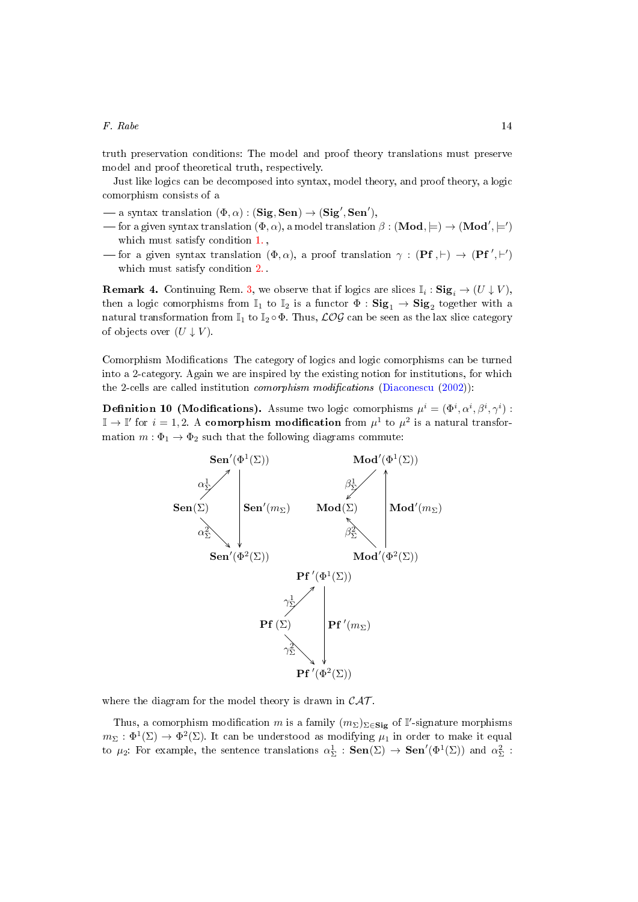truth preservation conditions: The model and proof theory translations must preserve model and proof theoretical truth, respectively.

Just like logics can be decomposed into syntax, model theory, and proof theory, a logic comorphism consists of a

- $-$  a syntax translation  $(\Phi, \alpha) : (\mathbf{Sig}, \mathbf{Sen}) \to (\mathbf{Sig}', \mathbf{Sen}'),$
- for a given syntax translation (Φ, α), a model translation  $\beta : (\mathbf{Mod} , \models) \to (\mathbf{Mod}^\prime , \models^\prime)$ which must satisfy condition [1.](#page-12-2) ,
- for a given syntax translation  $(\Phi, \alpha)$ , a proof translation  $\gamma : (\mathbf{Pf}, \vdash) \to (\mathbf{Pf}', \vdash')$ which must satisfy condition [2.](#page-12-3) .

**Remark 4.** Continuing Rem. [3,](#page-11-0) we observe that if logics are slices  $\mathbb{I}_i$ :  $\text{Sig}_i \to (U \downarrow V)$ , then a logic comorphisms from  $\mathbb{I}_1$  to  $\mathbb{I}_2$  is a functor  $\Phi$  :  $\mathbf{Sig}_1 \to \mathbf{Sig}_2$  together with a natural transformation from  $\mathbb{I}_1$  to  $\mathbb{I}_2 \circ \Phi$ . Thus,  $\mathcal{LOG}$  can be seen as the lax slice category of objects over  $(U \downarrow V)$ .

Comorphism Modifications The category of logics and logic comorphisms can be turned into a 2-category. Again we are inspired by the existing notion for institutions, for which the 2-cells are called institution *comorphism modifications* [\(Diaconescu](#page-49-10)  $(2002)$ ):

<span id="page-13-0"></span>**Definition 10 (Modifications).** Assume two logic comorphisms  $\mu^i = (\Phi^i, \alpha^i, \beta^i, \gamma^i)$ :  $\mathbb{I} \to \mathbb{I}'$  for  $i = 1, 2$ . A comorphism modification from  $\mu^1$  to  $\mu^2$  is a natural transformation  $m : \Phi_1 \to \Phi_2$  such that the following diagrams commute:



where the diagram for the model theory is drawn in  $\mathcal{CAT}$ .

Thus, a comorphism modification m is a family  $(m_{\Sigma})_{\Sigma \in \mathbf{Sig}}$  of I'-signature morphisms  $m_{\Sigma}:\Phi^1(\Sigma)\to\Phi^2(\Sigma).$  It can be understood as modifying  $\mu_1$  in order to make it equal to  $\mu_2$ : For example, the sentence translations  $\alpha_{\Sigma}^1$  :  $\textbf{Sen}(\Sigma) \to \textbf{Sen}'(\Phi^1(\Sigma))$  and  $\alpha_{\Sigma}^2$  :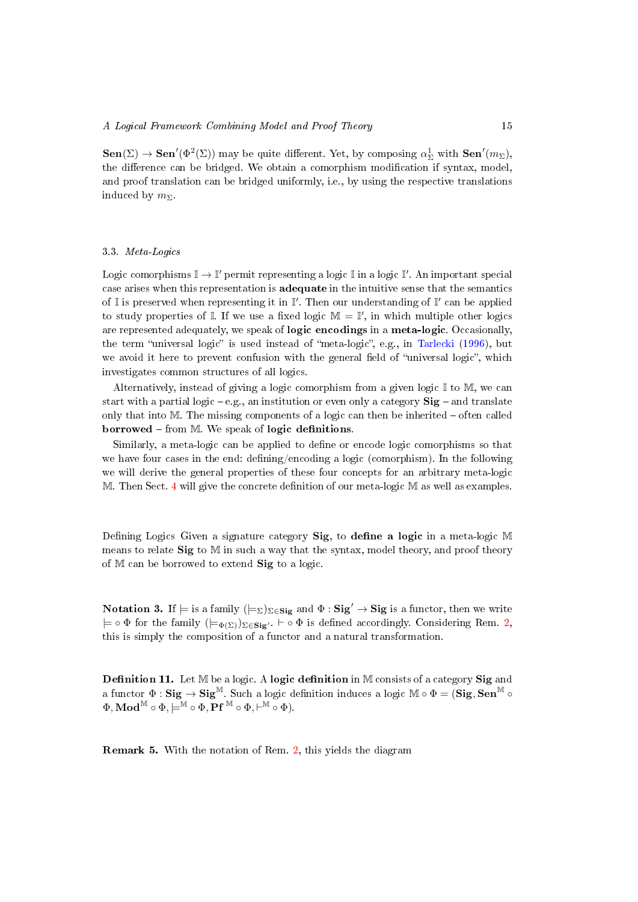$\textbf{Sen}(\Sigma) \to \textbf{Sen}'(\Phi^2(\Sigma))$  may be quite different. Yet, by composing  $\alpha_{\Sigma}^1$  with  $\textbf{Sen}'(m_{\Sigma})$ , the difference can be bridged. We obtain a comorphism modification if syntax, model, and proof translation can be bridged uniformly, i.e., by using the respective translations induced by  $m_{\Sigma}$ .

## <span id="page-14-0"></span>3.3. Meta-Logics

Logic comorphisms  $\mathbb{I} \to \mathbb{I}'$  permit representing a logic  $\mathbb{I}$  in a logic  $\mathbb{I}'$ . An important special case arises when this representation is adequate in the intuitive sense that the semantics of  $\mathbb I$  is preserved when representing it in  $\mathbb I'$ . Then our understanding of  $\mathbb I'$  can be applied to study properties of  $\mathbb I$ . If we use a fixed logic  $\mathbb M = \mathbb I'$ , in which multiple other logics are represented adequately, we speak of logic encodings in a meta-logic. Occasionally, the term "universal logic" is used instead of "meta-logic", e.g., in [Tarlecki](#page-53-6) [\(1996\)](#page-53-6), but we avoid it here to prevent confusion with the general field of "universal logic", which investigates common structures of all logics.

Alternatively, instead of giving a logic comorphism from a given logic  $\mathbb{I}$  to  $\mathbb{M}$ , we can start with a partial logic  $-e.g.,$  an institution or even only a category  $\textbf{Sig}$  – and translate only that into  $M$ . The missing components of a logic can then be inherited  $-$  often called  $\bf{b}$  borrowed – from M. We speak of logic definitions.

Similarly, a meta-logic can be applied to define or encode logic comorphisms so that we have four cases in the end: defining/encoding a logic (comorphism). In the following we will derive the general properties of these four concepts for an arbitrary meta-logic  $M.$  Then Sect. [4](#page-18-0) will give the concrete definition of our meta-logic  $M$  as well as examples.

Defining Logics Given a signature category Sig, to define a logic in a meta-logic M means to relate  $\text{Sig}$  to  $\mathbb{M}$  in such a way that the syntax, model theory, and proof theory of M can be borrowed to extend Sig to a logic.

Notation 3. If  $\models$  is a family  $(\models_{\Sigma})_{\Sigma \in \mathbf{Sig}}$  and  $\Phi : \mathbf{Sig}' \to \mathbf{Sig}$  is a functor, then we write  $\models \circ \Phi$  for the family  $(\models_{\Phi(\Sigma)})_{\Sigma \in \mathbf{Sig'}}$ .  $\vdash \circ \Phi$  is defined accordingly. Considering Rem. [2,](#page-10-0) this is simply the composition of a functor and a natural transformation.

<span id="page-14-2"></span>**Definition 11.** Let  $M$  be a logic. A logic definition in  $M$  consists of a category Sig and a functor  $\Phi : \mathbf{Sig} \to \mathbf{Sig}^{\mathbb{M}}$ . Such a logic definition induces a logic  $\mathbb{M} \circ \Phi = \widetilde{(\mathbf{Sig}, \mathbf{Sen}^{\mathbb{M}}} \circ$  $\Phi,\mathbf{Mod}^{\mathbb{M}}\circ\Phi,\models^{\mathbb{M}}\circ\Phi,\mathbf{Pf}^{\mathbb{M}}\circ\Phi,\vdash^{\mathbb{M}}\circ\Phi).$ 

<span id="page-14-1"></span>Remark 5. With the notation of Rem. [2,](#page-10-0) this yields the diagram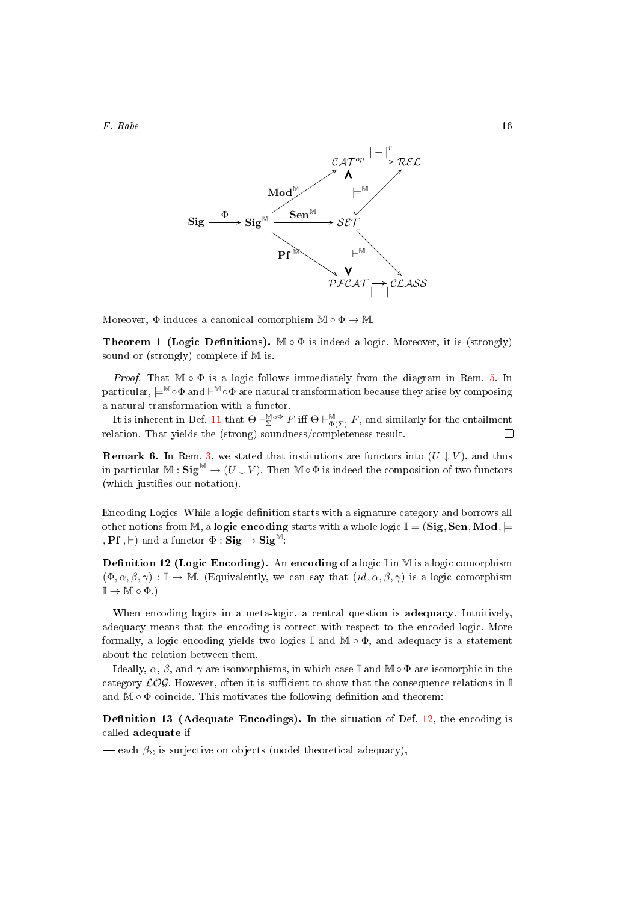

Moreover,  $\Phi$  induces a canonical comorphism  $\mathbb{M} \circ \Phi \to \mathbb{M}$ 

<span id="page-15-1"></span>**Theorem 1 (Logic Definitions).** M  $\circ$   $\Phi$  is indeed a logic. Moreover, it is (strongly) sound or (strongly) complete if M is.

*Proof.* That  $\mathbb{M} \circ \Phi$  is a logic follows immediately from the diagram in Rem. [5.](#page-14-1) In particular,  $\models^\mathbb{M}\circ\Phi$  and  $\vdash^\mathbb{M}\circ\Phi$  are natural transformation because they arise by composing a natural transformation with a functor.

It is inherent in Def. [11](#page-14-2) that  $\Theta \vdash^{\mathbb{M} \circ \Phi}_{\Sigma} F$  iff  $\Theta \vdash^{\mathbb{M}}_{\Phi(\Sigma)} F$ , and similarly for the entailment relation. That yields the (strong) soundness/completeness result.

<span id="page-15-2"></span>**Remark 6.** In Rem. [3,](#page-11-0) we stated that institutions are functors into  $(U \downarrow V)$ , and thus in particular  $M : \mathbf{Sig}^M \to (U \downarrow V)$ . Then  $M \circ \Phi$  is indeed the composition of two functors (which justifies our notation).

Encoding Logics While a logic definition starts with a signature category and borrows all other notions from M, a **logic encoding** starts with a whole logic  $\mathbb{I} = (\mathbf{Sig}, \mathbf{Sen}, \mathbf{Mod}, \models$ , **Pf**,  $\vdash$ ) and a functor  $\Phi : \mathbf{Sig} \to \mathbf{Sig}^{\mathbb{M}}$ :

<span id="page-15-0"></span>**Definition 12 (Logic Encoding).** An encoding of a logic  $\mathbb{I}$  in M is a logic comorphism  $(\Phi, \alpha, \beta, \gamma) : \mathbb{I} \to \mathbb{M}$ . (Equivalently, we can say that  $(id, \alpha, \beta, \gamma)$  is a logic comorphism  $\mathbb{I} \to \mathbb{M} \circ \Phi.$ 

When encoding logics in a meta-logic, a central question is **adequacy**. Intuitively, adequacy means that the encoding is correct with respect to the encoded logic. More formally, a logic encoding yields two logics  $\mathbb I$  and  $\mathbb M \circ \Phi$ , and adequacy is a statement about the relation between them.

Ideally,  $\alpha$ ,  $\beta$ , and  $\gamma$  are isomorphisms, in which case I and M  $\circ$   $\Phi$  are isomorphic in the category  $\mathcal{LOG}$ . However, often it is sufficient to show that the consequence relations in I and  $M \circ \Phi$  coincide. This motivates the following definition and theorem:

<span id="page-15-3"></span>Definition 13 (Adequate Encodings). In the situation of Def.  $12$ , the encoding is called adequate if

 $-\text{each }\beta_{\Sigma}$  is surjective on objects (model theoretical adequacy),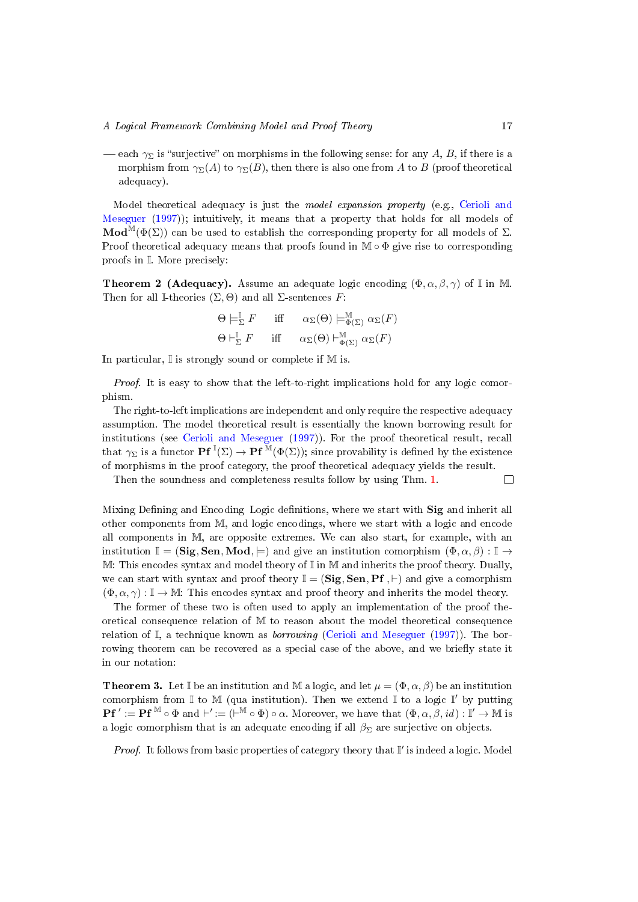$\longrightarrow$  each  $\gamma_{\Sigma}$  is "surjective" on morphisms in the following sense: for any A, B, if there is a morphism from  $\gamma_{\Sigma}(A)$  to  $\gamma_{\Sigma}(B)$ , then there is also one from A to B (proof theoretical adequacy).

Model theoretical adequacy is just the model expansion property (e.g., [Cerioli and](#page-49-9) [Meseguer](#page-49-9) [\(1997\)](#page-49-9)); intuitively, it means that a property that holds for all models of Mod<sup>M</sup>( $\Phi(\Sigma)$ ) can be used to establish the corresponding property for all models of  $\Sigma$ . Proof theoretical adequacy means that proofs found in  $\mathbb{M} \circ \Phi$  give rise to corresponding proofs in I. More precisely:

<span id="page-16-0"></span>**Theorem 2 (Adequacy).** Assume an adequate logic encoding  $(\Phi, \alpha, \beta, \gamma)$  of I in M. Then for all I-theories  $(\Sigma, \Theta)$  and all  $\Sigma$ -sentences F:

$$
\Theta \models_{\Sigma}^{\mathbb{I}} F \quad \text{iff} \quad \alpha_{\Sigma}(\Theta) \models_{\Phi(\Sigma)}^{\mathbb{M}} \alpha_{\Sigma}(F)
$$
  

$$
\Theta \models_{\Sigma}^{\mathbb{I}} F \quad \text{iff} \quad \alpha_{\Sigma}(\Theta) \models_{\Phi(\Sigma)}^{\mathbb{M}} \alpha_{\Sigma}(F)
$$

In particular,  $\mathbb I$  is strongly sound or complete if M is.

Proof. It is easy to show that the left-to-right implications hold for any logic comorphism.

The right-to-left implications are independent and only require the respective adequacy assumption. The model theoretical result is essentially the known borrowing result for institutions (see [Cerioli and Meseguer](#page-49-9) [\(1997\)](#page-49-9)). For the proof theoretical result, recall that  $\gamma_{\Sigma}$  is a functor  $\mathbf{Pf}^{\mathbb{I}}(\Sigma) \to \mathbf{Pf}^{\mathbb{M}}(\Phi(\Sigma))$ ; since provability is defined by the existence of morphisms in the proof category, the proof theoretical adequacy yields the result.

Then the soundness and completeness results follow by using Thm. [1.](#page-15-1)

Mixing Defining and Encoding Logic definitions, where we start with Sig and inherit all other components from M, and logic encodings, where we start with a logic and encode all components in M, are opposite extremes. We can also start, for example, with an institution  $\mathbb{I} = (\mathbf{Sig}, \mathbf{Sen}, \mathbf{Mod}, \models)$  and give an institution comorphism  $(\Phi, \alpha, \beta) : \mathbb{I} \to$  $M:$  This encodes syntax and model theory of  $\mathbb I$  in M and inherits the proof theory. Dually, we can start with syntax and proof theory  $\mathbb{I} = (\mathbf{Sig}, \mathbf{Sen}, \mathbf{Pf}, \vdash)$  and give a comorphism  $(\Phi, \alpha, \gamma) : \mathbb{I} \to \mathbb{M}$ : This encodes syntax and proof theory and inherits the model theory.

The former of these two is often used to apply an implementation of the proof theoretical consequence relation of M to reason about the model theoretical consequence relation of  $\mathbb{I}$ , a technique known as *borrowing* [\(Cerioli and Meseguer](#page-49-9) [\(1997\)](#page-49-9)). The borrowing theorem can be recovered as a special case of the above, and we briefly state it in our notation:

**Theorem 3.** Let I be an institution and M a logic, and let  $\mu = (\Phi, \alpha, \beta)$  be an institution comorphism from  $\mathbb I$  to  $\mathbb M$  (qua institution). Then we extend  $\mathbb I$  to a logic  $\mathbb I'$  by putting  $\mathbf{P} \mathbf{f}' := \mathbf{P} \mathbf{f}^{\mathbb{M}} \circ \Phi$  and  $\vdash' := (\vdash^{\mathbb{M}} \circ \Phi) \circ \alpha$ . Moreover, we have that  $(\Phi, \alpha, \beta, id) : \mathbb{I}' \to \mathbb{M}$  is a logic comorphism that is an adequate encoding if all  $\beta_{\Sigma}$  are surjective on objects.

*Proof.* It follows from basic properties of category theory that  $\mathbb{I}'$  is indeed a logic. Model

 $\Box$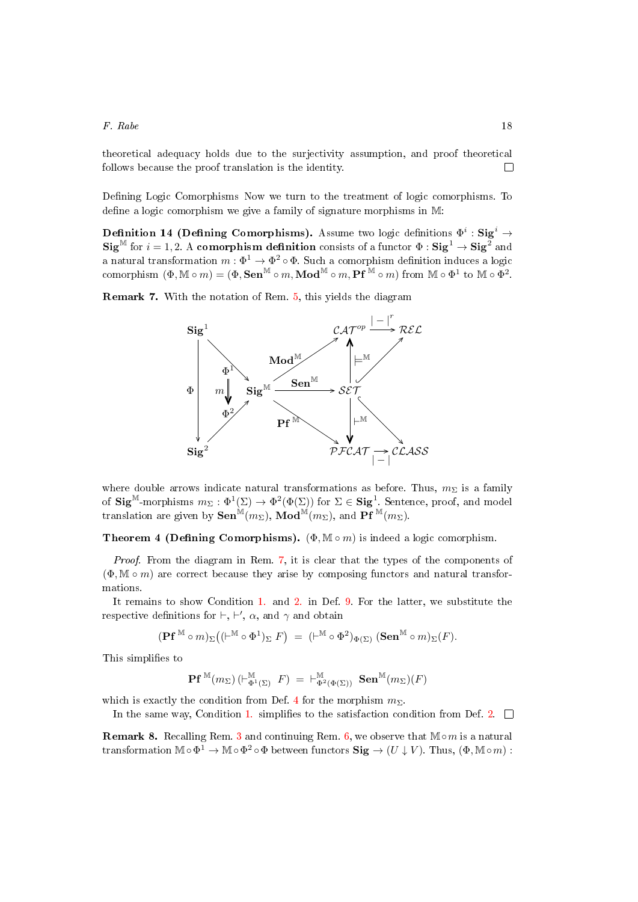theoretical adequacy holds due to the surjectivity assumption, and proof theoretical follows because the proof translation is the identity.  $\Box$ 

Defining Logic Comorphisms Now we turn to the treatment of logic comorphisms. To define a logic comorphism we give a family of signature morphisms in  $M$ :

Definition 14 (Defining Comorphisms). Assume two logic definitions  $\Phi^i$ : Sig $^i$   $\rightarrow$  $\text{Sig}^{\mathbb{M}}$  for  $i = 1, 2$ . A comorphism definition consists of a functor  $\Phi : \text{Sig}^1 \to \text{Sig}^2$  and a natural transformation  $m: \Phi^1 \to \Phi^2 \circ \Phi$ . Such a comorphism definition induces a logic  $\text{comorphism } (\Phi, \mathbb{M} \circ m) = (\Phi, \mathbf{Sen}^\mathbb{M} \circ m, \mathbf{Mod}^\mathbb{M} \circ m, \mathbf{Pf}^\mathbb{M} \circ m) \text{ from } \mathbb{M} \circ \Phi^1 \text{ to } \mathbb{M} \circ \Phi^2.$ 

<span id="page-17-0"></span>Remark 7. With the notation of Rem. [5,](#page-14-1) this yields the diagram



where double arrows indicate natural transformations as before. Thus,  $m_{\Sigma}$  is a family of  $\text{Sig}^{\mathbb{M}}$ -morphisms  $m_{\Sigma}: \Phi^1(\Sigma) \to \Phi^2(\Phi(\Sigma))$  for  $\Sigma \in \text{Sig}^1$ . Sentence, proof, and model translation are given by  $\textbf{Sen}^{\mathbb{M}}(m_{\Sigma}), \ \textbf{Mod}^{\mathbb{M}}(m_{\Sigma}),$  and  $\textbf{Pf}^{\mathbb{M}}(m_{\Sigma}).$ 

<span id="page-17-1"></span>**Theorem 4 (Defining Comorphisms).** ( $\Phi$ ,  $\mathbb{M} \circ m$ ) is indeed a logic comorphism.

Proof. From the diagram in Rem. [7,](#page-17-0) it is clear that the types of the components of  $(\Phi, \mathbb{M} \circ m)$  are correct because they arise by composing functors and natural transformations.

It remains to show Condition [1.](#page-12-2) and [2.](#page-12-3) in Def. [9.](#page-12-4) For the latter, we substitute the respective definitions for  $\vdash, \vdash', \alpha$ , and  $\gamma$  and obtain

$$
(\mathbf{P} \mathbf{f}^{\mathbb{M}} \circ m)_{\Sigma} \big( (\vdash^{\mathbb{M}} \circ \Phi^{1})_{\Sigma} \; F \big) \; = \; (\vdash^{\mathbb{M}} \circ \Phi^{2})_{\Phi(\Sigma)} \; (\mathbf{Sen}^{\mathbb{M}} \circ m)_{\Sigma}(F).
$$

This simplifies to

$$
\mathbf{Pf}^{\,\mathbb{M}}(m_\Sigma)\left(\vdash^\mathbb{M}_{\Phi^1(\Sigma)} \; F\right) \; = \; \vdash^\mathbb{M}_{\Phi^2(\Phi(\Sigma))} \; \mathbf{Sen}^\mathbb{M}(m_\Sigma)(F)
$$

which is exactly the condition from Def. [4](#page-10-1) for the morphism  $m_{\Sigma}$ .

In the same way, Condition [1.](#page-12-2) simplifies to the satisfaction condition from Def. [2.](#page-8-3)  $\Box$ 

**Remark 8.** Recalling Rem. [3](#page-11-0) and continuing Rem. [6,](#page-15-2) we observe that  $M \circ m$  is a natural transformation  $\mathbb{M} \circ \Phi^1 \to \mathbb{M} \circ \Phi^2 \circ \Phi$  between functors  $\textbf{Sig} \to (U \downarrow V)$ . Thus,  $(\Phi, \mathbb{M} \circ m)$ :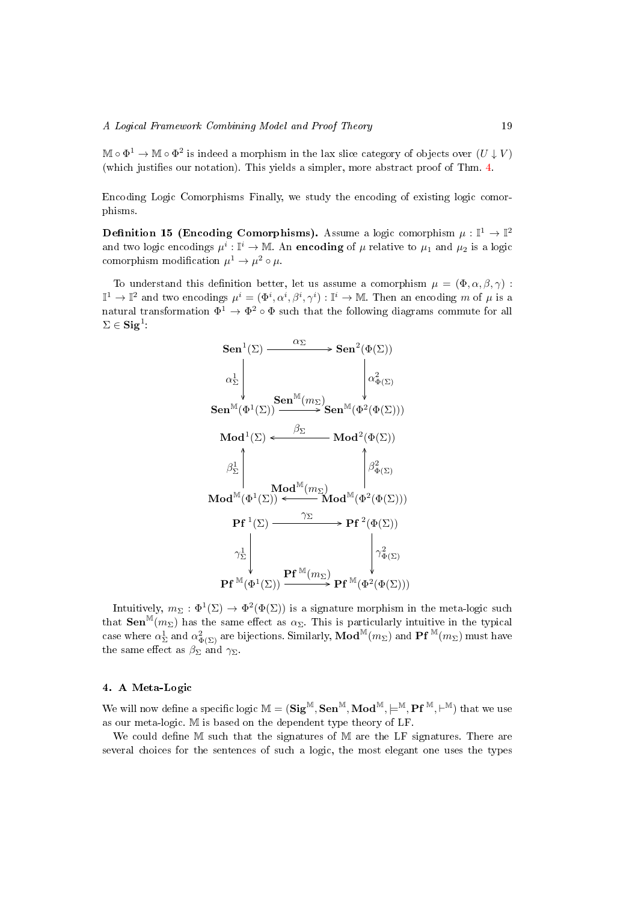$\mathbb{M} \circ \Phi^1 \to \mathbb{M} \circ \Phi^2$  is indeed a morphism in the lax slice category of objects over  $(U \downarrow V)$ (which justifies our notation). This yields a simpler, more abstract proof of Thm. [4.](#page-17-1)

Encoding Logic Comorphisms Finally, we study the encoding of existing logic comorphisms.

**Definition 15 (Encoding Comorphisms).** Assume a logic comorphism  $\mu : \mathbb{I}^1 \to \mathbb{I}^2$ and two logic encodings  $\mu^i: \mathbb{I}^i \to \mathbb{M}$ . An encoding of  $\mu$  relative to  $\mu_1$  and  $\mu_2$  is a logic comorphism modification  $\mu^1 \to \mu^2 \circ \mu$ .

To understand this definition better, let us assume a comorphism  $\mu = (\Phi, \alpha, \beta, \gamma)$ :  $\mathbb{I}^1 \to \mathbb{I}^2$  and two encodings  $\mu^i = (\Phi^i, \alpha^i, \beta^i, \gamma^i) : \mathbb{I}^i \to \mathbb{M}$ . Then an encoding m of  $\mu$  is a natural transformation  $\Phi^1 \to \Phi^2 \circ \Phi$  such that the following diagrams commute for all  $\Sigma \in \mathbf{Sig}^1$  :

$$
\begin{CD} {\bf Sen}^1(\Sigma) @>{\alpha_\Sigma}>> {\bf Sen}^2(\Phi(\Sigma))\\ \\ \alpha_\Sigma^1 \Bigg| @>$\alpha_\Phi^2(\Sigma)\\ \\ {\bf Sen}^{\mathbb{M}}(\Phi^1(\Sigma)) \overset{\bf Sen{\mathbb{M}}(m_\Sigma)}\longrightarrow {\bf Sen}^{\mathbb{M}}(\Phi^2(\Phi(\Sigma)))\\ \\ {\bf Mod}^1(\Sigma) @>{\beta_\Sigma}>> {\bf Mod}^2(\Phi(\Sigma))\\ \\ \beta_\Sigma^1 \Bigg| @>{\bf Mod}^{\mathbb{M}}(m_\Sigma)\\ \\ {\bf Mod}^{\mathbb{M}}(\Phi^1(\Sigma)) @>{\gamma_\Sigma}>> {\bf Pf}^2(\Phi(\Sigma))\\ \\ \gamma_\Sigma^1 \Bigg| @>$\gamma_\Phi^2(\Sigma)\\ \\ \gamma_\Sigma^1 \Bigg| @>{\gamma_\Phi^2(\Sigma)}\\ \\ {\bf Pf}^{\mathbb{M}}(\Phi^1(\Sigma)) \overset{\bf PF}{\longrightarrow} {\bf Pf}^{\mathbb{M}}(\Phi^2(\Phi(\Sigma)))\\ \\ {\bf Pf}^{\mathbb{M}}(\Phi^1(\Sigma)) \overset{\bf PF}{\longrightarrow} {\bf Pf}^{\mathbb{M}}(\Phi^2(\Phi(\Sigma)))\\ \end{CD}
$$

Intuitively,  $m_{\Sigma} : \Phi^1(\Sigma) \to \Phi^2(\Phi(\Sigma))$  is a signature morphism in the meta-logic such that  $\textbf{Sen}^{\mathbb{M}}(m_{\Sigma})$  has the same effect as  $\alpha_{\Sigma}$ . This is particularly intuitive in the typical case where  $\alpha_{\Sigma}^1$  and  $\alpha_{\Phi(\Sigma)}^2$  are bijections. Similarly,  $\mathbf{Mod}^{\mathbb{M}}(m_{\Sigma})$  and  $\mathbf{Pf}^{\mathbb{M}}(m_{\Sigma})$  must have the same effect as  $\beta_{\Sigma}$  and  $\gamma_{\Sigma}$ .

# <span id="page-18-0"></span>4. A Meta-Logic

We will now define a specific logic  $M = (Sig^M, Sen^M, Mod^M, \models^M, Pf^M, \vdash^M)$  that we use as our meta-logic. M is based on the dependent type theory of LF.

We could define  $M$  such that the signatures of  $M$  are the LF signatures. There are several choices for the sentences of such a logic, the most elegant one uses the types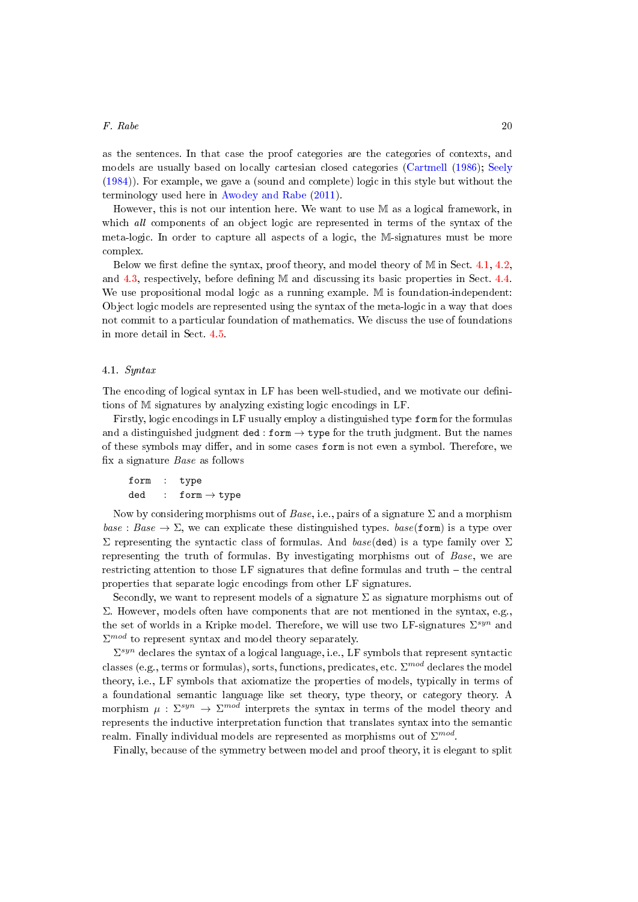as the sentences. In that case the proof categories are the categories of contexts, and models are usually based on locally cartesian closed categories [\(Cartmell](#page-49-11) [\(1986\)](#page-49-11); [Seely](#page-53-7) [\(1984\)](#page-53-7)). For example, we gave a (sound and complete) logic in this style but without the terminology used here in [Awodey and Rabe](#page-48-6) [\(2011\)](#page-48-6).

However, this is not our intention here. We want to use M as a logical framework, in which all components of an object logic are represented in terms of the syntax of the meta-logic. In order to capture all aspects of a logic, the M-signatures must be more complex.

Below we first define the syntax, proof theory, and model theory of  $\mathbb M$  in Sect. [4.1,](#page-19-0) [4.2,](#page-22-0) and  $4.3$ , respectively, before defining M and discussing its basic properties in Sect.  $4.4$ . We use propositional modal logic as a running example. M is foundation-independent: Object logic models are represented using the syntax of the meta-logic in a way that does not commit to a particular foundation of mathematics. We discuss the use of foundations in more detail in Sect. [4.5.](#page-29-0)

## <span id="page-19-0"></span>4.1. Syntax

The encoding of logical syntax in LF has been well-studied, and we motivate our definitions of M signatures by analyzing existing logic encodings in LF.

Firstly, logic encodings in LF usually employ a distinguished type form for the formulas and a distinguished judgment ded : form  $\rightarrow$  type for the truth judgment. But the names of these symbols may differ, and in some cases form is not even a symbol. Therefore, we x a signature Base as follows

$$
\begin{array}{lcl} \texttt{form} & : & \texttt{type} \\ \texttt{ded} & : & \texttt{form} \rightarrow \texttt{type} \end{array}
$$

Now by considering morphisms out of Base, i.e., pairs of a signature  $\Sigma$  and a morphism  $base : Base \rightarrow \Sigma$ , we can explicate these distinguished types.  $base(**form**)$  is a type over Σ representing the syntactic class of formulas. And base(ded) is a type family over Σ representing the truth of formulas. By investigating morphisms out of Base, we are restricting attention to those LF signatures that define formulas and truth  $-$  the central properties that separate logic encodings from other LF signatures.

Secondly, we want to represent models of a signature  $\Sigma$  as signature morphisms out of Σ. However, models often have components that are not mentioned in the syntax, e.g., the set of worlds in a Kripke model. Therefore, we will use two LF-signatures  $\Sigma^{syn}$  and  $\Sigma^{mod}$  to represent syntax and model theory separately.

 $\Sigma^{syn}$  declares the syntax of a logical language, i.e., LF symbols that represent syntactic classes (e.g., terms or formulas), sorts, functions, predicates, etc.  $\Sigma^{mod}$  declares the model theory, i.e., LF symbols that axiomatize the properties of models, typically in terms of a foundational semantic language like set theory, type theory, or category theory. A morphism  $\mu: \Sigma^{syn} \to \Sigma^{mod}$  interprets the syntax in terms of the model theory and represents the inductive interpretation function that translates syntax into the semantic realm. Finally individual models are represented as morphisms out of  $\Sigma^{mod}$ .

Finally, because of the symmetry between model and proof theory, it is elegant to split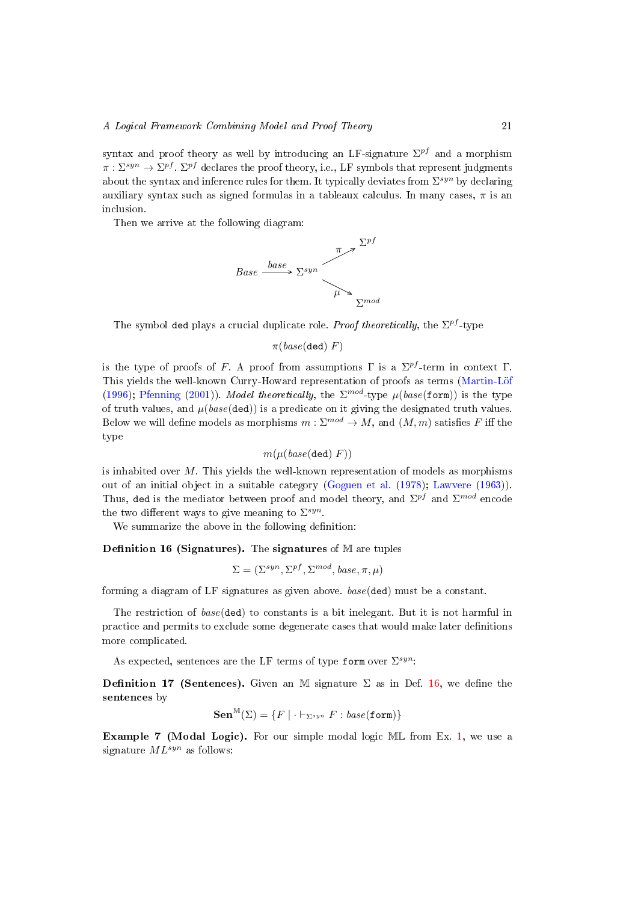syntax and proof theory as well by introducing an LF-signature  $\Sigma^{pf}$  and a morphism  $\pi:\Sigma^{syn}\to\Sigma^{pf}$  .  $\Sigma^{pf}$  declares the proof theory, i.e., LF symbols that represent judgments about the syntax and inference rules for them. It typically deviates from  $\Sigma^{syn}$  by declaring auxiliary syntax such as signed formulas in a tableaux calculus. In many cases,  $\pi$  is an inclusion.

Then we arrive at the following diagram:



The symbol ded plays a crucial duplicate role. *Proof theoretically*, the  $\Sigma^{pf}$ -type

 $\pi(base(\text{ded})\ F)$ 

is the type of proofs of F. A proof from assumptions  $\Gamma$  is a  $\Sigma^{pf}$ -term in context  $\Gamma$ . This yields the well-known Curry-Howard representation of proofs as terms [\(Martin-Löf](#page-51-7) [\(1996\)](#page-51-7); [Pfenning](#page-52-3) [\(2001\)](#page-52-3)). Model theoretically, the  $\Sigma^{mod}$ -type  $\mu(base(\texttt{form}))$  is the type of truth values, and  $\mu(base(\text{ded}))$  is a predicate on it giving the designated truth values. Below we will define models as morphisms  $m: \Sigma^{mod} \to M$ , and  $(M, m)$  satisfies F iff the type

$$
m(\mu(\text{base}(\text{ded})\ F))
$$

is inhabited over  $M$ . This yields the well-known representation of models as morphisms out of an initial object in a suitable category [\(Goguen et al.](#page-50-1) [\(1978\)](#page-50-1); [Lawvere](#page-51-10) [\(1963\)](#page-51-10)). Thus, ded is the mediator between proof and model theory, and  $\Sigma^{pf}$  and  $\Sigma^{mod}$  encode the two different ways to give meaning to  $\Sigma^{syn}$ .

We summarize the above in the following definition:

<span id="page-20-0"></span>Definition 16 (Signatures). The signatures of  $M$  are tuples

$$
\Sigma = (\Sigma^{syn}, \Sigma^{pf}, \Sigma^{mod}, base, \pi, \mu)
$$

forming a diagram of LF signatures as given above. base(ded) must be a constant.

The restriction of base(ded) to constants is a bit inelegant. But it is not harmful in practice and permits to exclude some degenerate cases that would make later denitions more complicated.

As expected, sentences are the LF terms of type form over  $\Sigma^{syn}$ :

**Definition 17 (Sentences).** Given an M signature  $\Sigma$  as in Def. [16,](#page-20-0) we define the sentences by

$$
\mathbf{Sen}^{\mathbb{M}}(\Sigma) = \{ F \mid \cdot \vdash_{\Sigma^{syn}} F : \text{base}(\text{form}) \}
$$

Example 7 (Modal Logic). For our simple modal logic ML from Ex. [1,](#page-4-1) we use a signature  $ML^{syn}$  as follows: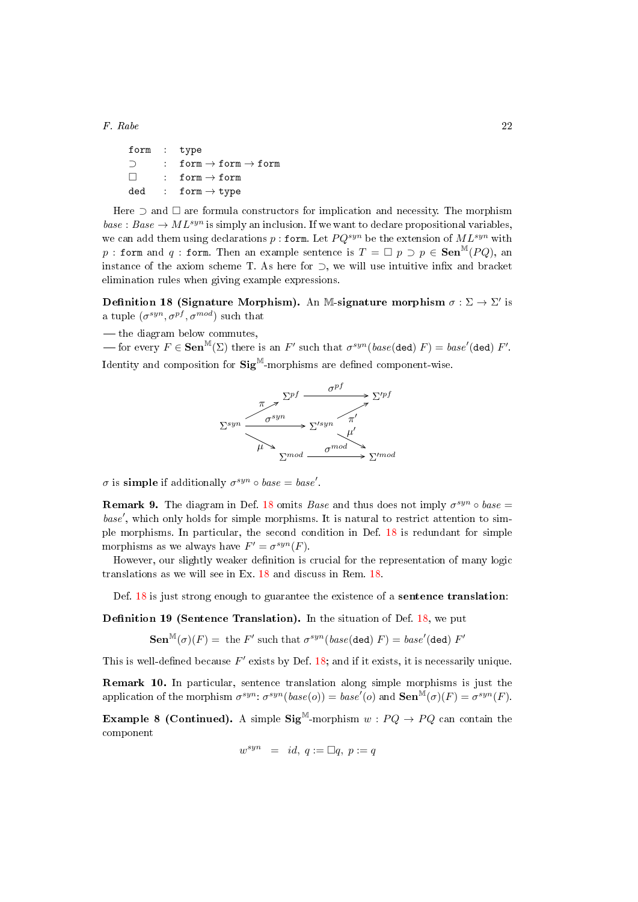| form : type |                                              |
|-------------|----------------------------------------------|
| ⊃           | : form $\rightarrow$ form $\rightarrow$ form |
| $\Box$      | : form $\rightarrow$ form                    |
| ded         | : form $\rightarrow$ type                    |

Here  $\supset$  and  $\square$  are formula constructors for implication and necessity. The morphism  $base : Base \rightarrow ML^{syn}$  is simply an inclusion. If we want to declare propositional variables, we can add them using declarations p : form. Let  $PQ^{syn}$  be the extension of  $ML^{syn}$  with p : form and q : form. Then an example sentence is  $T = \Box p \supset p \in \textbf{Sen}^M(PQ)$ , an instance of the axiom scheme T. As here for  $\supset$ , we will use intuitive infix and bracket elimination rules when giving example expressions.

<span id="page-21-0"></span>Definition 18 (Signature Morphism). An M-signature morphism  $\sigma : \Sigma \to \Sigma'$  is a tuple  $(\sigma^{syn}, \sigma^{pf}, \sigma^{mod})$  such that

— the diagram below commutes,

 $f(x)$  for every  $F ∈ \mathbf{Sen}^{\mathbb{M}}(\Sigma)$  there is an  $F'$  such that  $\sigma^{syn}(base(\text{ded}) F) = base'(\text{ded}) F'.$ Identity and composition for  $\text{Sig}^{\mathbb{M}}$ -morphisms are defined component-wise.



 $\sigma$  is simple if additionally  $\sigma^{syn} \circ base = base'$ .

<span id="page-21-1"></span>**Remark 9.** The diagram in Def. [18](#page-21-0) omits *Base* and thus does not imply  $\sigma^{syn} \circ base =$ base', which only holds for simple morphisms. It is natural to restrict attention to simple morphisms. In particular, the second condition in Def. [18](#page-21-0) is redundant for simple morphisms as we always have  $F' = \sigma^{syn}(F)$ .

However, our slightly weaker definition is crucial for the representation of many logic translations as we will see in Ex. [18](#page-37-0) and discuss in Rem. [18.](#page-38-1)

Def.  $18$  is just strong enough to guarantee the existence of a sentence translation:

**Definition 19 (Sentence Translation).** In the situation of Def.  $18$ , we put

 $\mathbf{Sen}^{\mathbb{M}}(\sigma)(F) = \text{ the } F' \text{ such that } \sigma^{syn}(\text{base}(\text{ded}) \ F) = \text{base}'(\text{ded}) \ F'$ 

This is well-defined because  $F'$  exists by Def. [18;](#page-21-0) and if it exists, it is necessarily unique.

Remark 10. In particular, sentence translation along simple morphisms is just the application of the morphism  $\sigma^{syn}$ :  $\sigma^{syn}(base(o)) = base'(o)$  and  $\textbf{Sen}^{\mathbb{M}}(\sigma)(F) = \sigma^{syn}(F)$ .

**Example 8 (Continued).** A simple  $\text{Sig}^{\mathbb{M}}$ -morphism  $w : PQ \rightarrow PQ$  can contain the component

$$
w^{syn} = id, q := \Box q, p := q
$$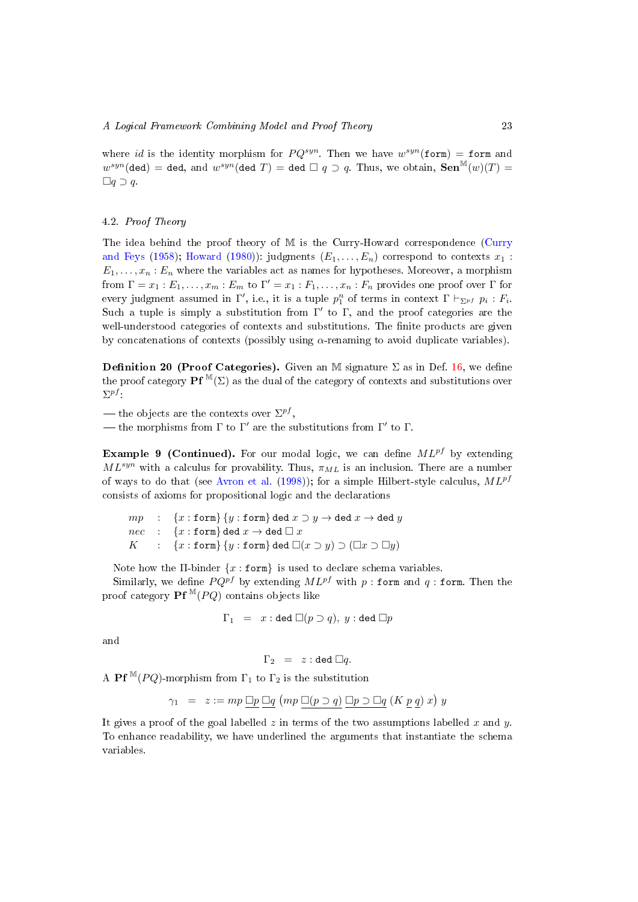where id is the identity morphism for  $PQ^{syn}$ . Then we have  $w^{syn}(\text{form}) = \text{form}$  and  $w^{syn}$ (ded) = ded, and  $w^{syn}$ (ded T) = ded  $\Box$  q  $\supset$  q. Thus, we obtain,  $\mathbf{Sen}^{\mathbb{M}}(w)(T)$  =  $\Box q \supset q$ .

## <span id="page-22-0"></span>4.2. Proof Theory

The idea behind the proof theory of M is the Curry-Howard correspondence [\(Curry](#page-49-2) [and Feys](#page-49-2) [\(1958\)](#page-49-2); [Howard](#page-51-3) [\(1980\)](#page-51-3)): judgments  $(E_1, \ldots, E_n)$  correspond to contexts  $x_1$ :  $E_1, \ldots, x_n : E_n$  where the variables act as names for hypotheses. Moreover, a morphism from  $\Gamma = x_1 : E_1, \ldots, x_m : E_m$  to  $\Gamma' = x_1 : F_1, \ldots, x_n : F_n$  provides one proof over  $\Gamma$  for every judgment assumed in  $\Gamma'$ , i.e., it is a tuple  $p_1^n$  of terms in context  $\Gamma \vdash_{\Sigma^{pf}} p_i : F_i$ . Such a tuple is simply a substitution from  $\Gamma'$  to  $\Gamma$ , and the proof categories are the well-understood categories of contexts and substitutions. The finite products are given by concatenations of contexts (possibly using  $\alpha$ -renaming to avoid duplicate variables).

Definition 20 (Proof Categories). Given an M signature  $\Sigma$  as in Def. [16,](#page-20-0) we define the proof category **Pf**  $^M(\Sigma)$  as the dual of the category of contexts and substitutions over  $\Sigma^{pf}$  :

— the objects are the contexts over  $\Sigma^{pf},$ 

— the morphisms from  $\Gamma$  to  $\Gamma'$  are the substitutions from  $\Gamma'$  to  $\Gamma$ .

**Example 9 (Continued).** For our modal logic, we can define  $ML^{pf}$  by extending  $ML^{syn}$  with a calculus for provability. Thus,  $\pi_{ML}$  is an inclusion. There are a number of ways to do that (see [Avron et al.](#page-48-7) [\(1998\)](#page-48-7)); for a simple Hilbert-style calculus,  $ML^{pf}$ consists of axioms for propositional logic and the declarations

 $mp$  : {x : form} {y : form} ded  $x \supset y \to$  ded  $x \to$  ded y  $nec$  :  $\{x : \texttt{form}\}$  ded  $x \to \texttt{ded } \Box x$ K :  $\{x : \text{form}\}\{y : \text{form}\}\}\$  ded  $\Box(x \supset y) \supset (\Box x \supset \Box y)$ 

Note how the  $\Pi$ -binder  $\{x : \text{form}\}\$ is used to declare schema variables.

Similarly, we define  $P Q^{pf}$  by extending  $ML^{pf}$  with p : form and q : form. Then the proof category **Pf**  $^M(PQ)$  contains objects like

$$
\Gamma_1 = x : \text{ded } \Box(p \supset q), y : \text{ded } \Box p
$$

and

$$
\Gamma_2 \ = \ z : \text{ded } \Box q.
$$

A Pf<sup>M</sup>(PQ)-morphism from  $\Gamma_1$  to  $\Gamma_2$  is the substitution

$$
\gamma_1 = z := mp \,\underline{\Box p} \,\underline{\Box q} \, (mp \,\underline{\Box (p \supset q)} \,\underline{\Box p \supset \Box q} \, (K \, \underline{p} \, \underline{q}) \, x) \, y
$$

It gives a proof of the goal labelled z in terms of the two assumptions labelled x and  $y$ . To enhance readability, we have underlined the arguments that instantiate the schema variables.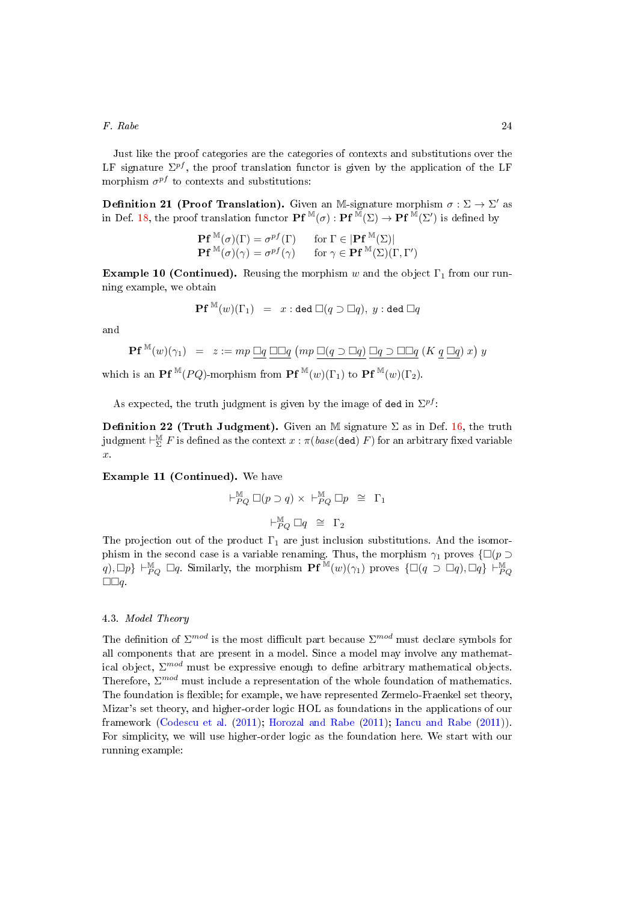Just like the proof categories are the categories of contexts and substitutions over the LF signature  $\Sigma^{pf}$ , the proof translation functor is given by the application of the LF morphism  $\sigma^{pf}$  to contexts and substitutions:

**Definition 21 (Proof Translation).** Given an M-signature morphism  $\sigma : \Sigma \to \Sigma'$  as in Def. [18,](#page-21-0) the proof translation functor  $\mathbf{Pf}^{\mathbb{M}}(\sigma) : \mathbf{Pf}^{\mathbb{M}}(\Sigma) \to \mathbf{Pf}^{\mathbb{M}}(\Sigma')$  is defined by

$$
\mathbf{Pf}^{\mathbb{M}}(\sigma)(\Gamma) = \sigma^{pf}(\Gamma) \quad \text{for } \Gamma \in |\mathbf{Pf}^{\mathbb{M}}(\Sigma)|
$$
  

$$
\mathbf{Pf}^{\mathbb{M}}(\sigma)(\gamma) = \sigma^{pf}(\gamma) \quad \text{for } \gamma \in \mathbf{Pf}^{\mathbb{M}}(\Sigma)(\Gamma, \Gamma')
$$

**Example 10 (Continued).** Reusing the morphism w and the object  $\Gamma_1$  from our running example, we obtain

$$
\mathbf{Pf}^{\mathbb{M}}(w)(\Gamma_{1})\ =\ x : \operatorname{ded} \ \Box(q \supset \Box q),\ y : \operatorname{ded} \ \Box q
$$

and

$$
\mathbf{Pf}^{\mathbb{M}}(w)(\gamma_1) = z := mp \,\,\underline{\Box q} \,\,\underline{\Box \Box q} \,\,(mp \,\,\underline{\Box (q \supset \Box q)} \,\,\underline{\Box q \supset \Box \Box q} \,\,(K \,\,\underline{q} \,\,\underline{\Box q}) \,\,x\,) \,\,y
$$

which is an **Pf**  $^{\mathbb{M}}(PQ)$ -morphism from **Pf**  $^{\mathbb{M}}(w)(\Gamma_1)$  to **Pf**  $^{\mathbb{M}}(w)(\Gamma_2)$ .

As expected, the truth judgment is given by the image of ded in  $\Sigma^{pf}$ :

**Definition 22 (Truth Judgment).** Given an M signature  $\Sigma$  as in Def. [16,](#page-20-0) the truth judgment  $\vdash_{\Sigma}^{\mathbb{M}} F$  is defined as the context  $x$  :  $\pi(\mathit{base}(\texttt{ded})\ F)$  for an arbitrary fixed variable  $\hat{r}$ .

Example 11 (Continued). We have

$$
\begin{array}{rcl}\n\vdash_{PQ}^{\mathbb{M}} \Box (p \supset q) \times \vdash_{PQ}^{\mathbb{M}} \Box p & \cong \quad \Gamma_1 \\
\\ \vdash_{PQ}^{\mathbb{M}} \Box q & \cong \quad \Gamma_2\n\end{array}
$$

The projection out of the product  $\Gamma_1$  are just inclusion substitutions. And the isomorphism in the second case is a variable renaming. Thus, the morphism  $\gamma_1$  proves  $\{\Box(p \supset$  $q$ ),  $\Box p$   $\vdash^{\mathbb{M}}_{PQ} \Box q$ . Similarly, the morphism  $\mathbf{Pf}^{\mathbb{M}}(w)(\gamma_1)$  proves  $\{\Box(q \supset \Box q), \Box q\} \vdash^{\mathbb{M}}_{PQ}$  $\square \square q$ .

## <span id="page-23-0"></span>4.3. Model Theory

<span id="page-23-1"></span>The definition of  $\Sigma^{mod}$  is the most difficult part because  $\Sigma^{mod}$  must declare symbols for all components that are present in a model. Since a model may involve any mathematical object,  $\Sigma^{mod}$  must be expressive enough to define arbitrary mathematical objects. Therefore,  $\Sigma^{mod}$  must include a representation of the whole foundation of mathematics. The foundation is flexible; for example, we have represented Zermelo-Fraenkel set theory, Mizar's set theory, and higher-order logic HOL as foundations in the applications of our framework [\(Codescu et al.](#page-49-8) [\(2011\)](#page-49-8); [Horozal and Rabe](#page-51-11) [\(2011\)](#page-51-11); [Iancu and Rabe](#page-51-12) [\(2011\)](#page-51-12)). For simplicity, we will use higher-order logic as the foundation here. We start with our running example: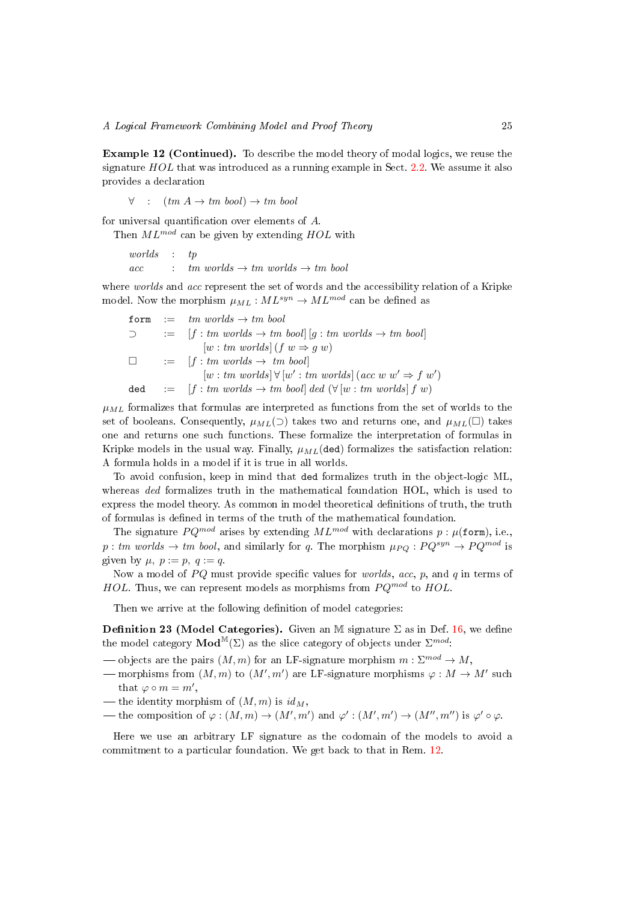Example 12 (Continued). To describe the model theory of modal logics, we reuse the signature  $HOL$  that was introduced as a running example in Sect. [2.2.](#page-5-0) We assume it also provides a declaration

$$
\forall \quad : \quad (tm A \to tm \; bool) \to tm \; bool
$$

for universal quantification over elements of  $A$ .

Then  $ML^{mod}$  can be given by extending  $HOL$  with

worlds : tp  $acc :$  tm worlds  $\rightarrow$  tm worlds  $\rightarrow$  tm bool

where worlds and acc represent the set of words and the accessibility relation of a Kripke model. Now the morphism  $\mu_{ML} : ML^{syn} \to ML^{mod}$  can be defined as

$$
\begin{array}{lcl} \texttt{form} & := & \mathit{tm} \ \mathit{worlds} \rightarrow \mathit{tm} \ \mathit{bool} \\ \supset & := & [f: \mathit{tm} \ \mathit{worlds} \rightarrow \mathit{tm} \ \mathit{bool}] \ [g: \mathit{tm} \ \mathit{worlds} \rightarrow \mathit{tm} \ \mathit{bool}] \\ & & [w: \mathit{tm} \ \mathit{worlds}] \ (f \ w \Rightarrow g \ w) \\ \Box & := & [f: \mathit{tm} \ \mathit{worlds} \rightarrow \mathit{tm} \ \mathit{bool}] \\ & & [w: \mathit{tm} \ \mathit{worlds}] \ \forall \ [w': \mathit{tm} \ \mathit{worlds}] \ (acc \ w \ w' \Rightarrow f \ w') \\ \mathrm{ded} & := & [f: \mathit{tm} \ \mathit{worlds} \rightarrow \mathit{tm} \ \mathit{bool}] \ \mathit{ded} \ (\forall [w: \mathit{tm} \ \mathit{worlds}] \ f \ w) \end{array}
$$

 $\mu_{ML}$  formalizes that formulas are interpreted as functions from the set of worlds to the set of booleans. Consequently,  $\mu_{ML}(\supset)$  takes two and returns one, and  $\mu_{ML}(\supset)$  takes one and returns one such functions. These formalize the interpretation of formulas in Kripke models in the usual way. Finally,  $\mu_{ML}$ (ded) formalizes the satisfaction relation: A formula holds in a model if it is true in all worlds.

To avoid confusion, keep in mind that ded formalizes truth in the object-logic ML, whereas ded formalizes truth in the mathematical foundation HOL, which is used to express the model theory. As common in model theoretical denitions of truth, the truth of formulas is defined in terms of the truth of the mathematical foundation.

The signature  $PQ^{mod}$  arises by extending  $ML^{mod}$  with declarations  $p : \mu(\text{form})$ , i.e., p : tm worlds  $\rightarrow$  tm bool, and similarly for q. The morphism  $\mu_{PO} : PQ^{syn} \rightarrow PQ^{mod}$  is given by  $\mu$ ,  $p := p$ ,  $q := q$ .

Now a model of  $PQ$  must provide specific values for *worlds*, acc, p, and q in terms of HOL. Thus, we can represent models as morphisms from  $PQ^{mod}$  to HOL.

Then we arrive at the following definition of model categories:

<span id="page-24-0"></span>**Definition 23 (Model Categories).** Given an M signature  $\Sigma$  as in Def. [16,](#page-20-0) we define the model category  $\text{Mod}^{\mathbb{M}}(\Sigma)$  as the slice category of objects under  $\Sigma^{mod}$ :

- $\sim$  objects are the pairs  $(M, m)$  for an LF-signature morphism  $m : \Sigma^{mod} \to M$ ,
- morphisms from  $(M, m)$  to  $(M', m')$  are LF-signature morphisms  $\varphi : M \to M'$  such that  $\varphi \circ m = m'$ ,
- the identity morphism of  $(M, m)$  is  $id_M$ ,
- the composition of  $\varphi: (M,m) \to (M',m')$  and  $\varphi': (M',m') \to (M'',m'')$  is  $\varphi' \circ \varphi$ .

Here we use an arbitrary LF signature as the codomain of the models to avoid a commitment to a particular foundation. We get back to that in Rem. [12.](#page-26-1)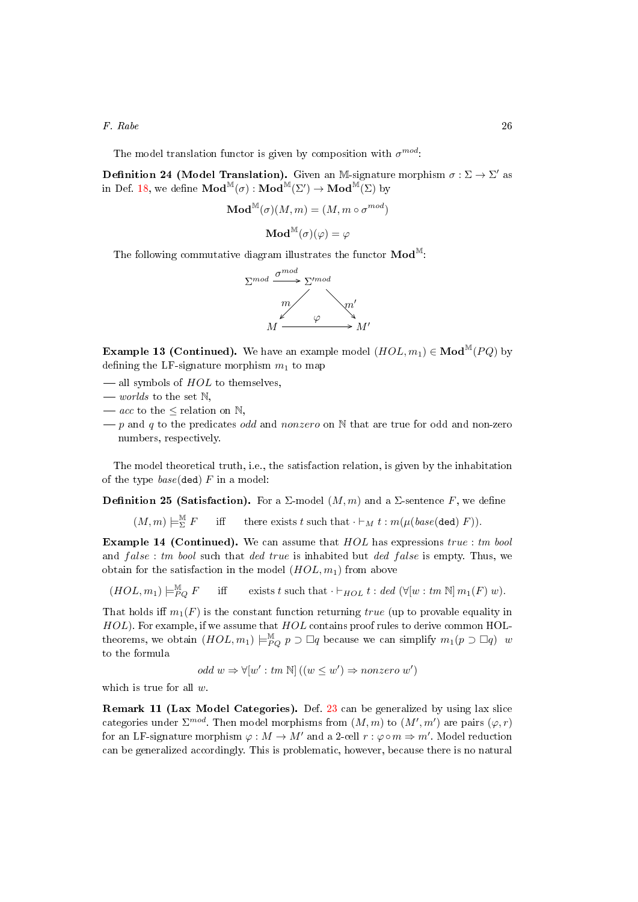The model translation functor is given by composition with  $\sigma^{mod}$ :

**Definition 24 (Model Translation).** Given an M-signature morphism  $\sigma : \Sigma \to \Sigma'$  as in Def. [18,](#page-21-0) we define  $\mathbf{Mod}^{\mathbb{M}}(\sigma) : \mathbf{Mod}^{\mathbb{M}}(\Sigma') \to \mathbf{Mod}^{\mathbb{M}}(\Sigma)$  by

$$
\mathbf{Mod}^\mathbb{M}(\sigma)(M,m) = (M,m \circ \sigma^{mod})
$$

$$
\mathbf{Mod}^\mathbb{M}(\sigma)(\varphi) = \varphi
$$

The following commutative diagram illustrates the functor  $\mathbf{Mod}^{\mathbb{M}}$ :



**Example 13 (Continued).** We have an example model  $(HOL, m_1) \in Mod^M(PQ)$  by defining the LF-signature morphism  $m_1$  to map

- $\sim$  all symbols of HOL to themselves,
- $-$  worlds to the set  $\mathbb{N}$ ,
- $\frac{a}{c}$  to the  $\leq$  relation on  $\mathbb{N}$ ,
- $-p$  and q to the predicates odd and nonzero on N that are true for odd and non-zero numbers, respectively.

The model theoretical truth, i.e., the satisfaction relation, is given by the inhabitation of the type  $base$ (ded) F in a model:

**Definition 25 (Satisfaction).** For a  $\Sigma$ -model  $(M, m)$  and a  $\Sigma$ -sentence F, we define

 $(M,m) \models_{\Sigma}^{\mathbb{M}}$ iff there exists t such that  $\cdot \vdash_M t : m(\mu(\text{base}(\text{ded}) \ F)).$ 

**Example 14 (Continued).** We can assume that  $HOL$  has expressions true : tm bool and  $false: tm \boldsymbol{bool}$  such that ded true is inhabited but ded false is empty. Thus, we obtain for the satisfaction in the model  $(HOL, m_1)$  from above

 $(HOL, m_1) \models^{\mathbb{M}}_{PQ} F$  iff exists t such that  $\cdot \vdash_{HOL} t : ded \ (\forall [w : tm \ \mathbb{N}] \ m_1(F) \ w).$ 

That holds iff  $m_1(F)$  is the constant function returning true (up to provable equality in  $HOL$ ). For example, if we assume that  $HOL$  contains proof rules to derive common HOLtheorems, we obtain  $(HOL, m_1) \models_{PQ}^{\mathbb{M}} p \supseteq \Box q$  because we can simplify  $m_1(p \supseteq \Box q)$  w to the formula

odd 
$$
w \Rightarrow \forall [w':tm \mathbb{N}] ((w \leq w') \Rightarrow nonzero \ w')
$$

which is true for all  $w$ .

<span id="page-25-0"></span>Remark 11 (Lax Model Categories). Def. [23](#page-24-0) can be generalized by using lax slice categories under  $\Sigma^{mod}$ . Then model morphisms from  $(M,m)$  to  $(M',m')$  are pairs  $(\varphi,r)$ for an LF-signature morphism  $\varphi : M \to M'$  and a 2-cell  $r : \varphi \circ m \Rightarrow m'.$  Model reduction can be generalized accordingly. This is problematic, however, because there is no natural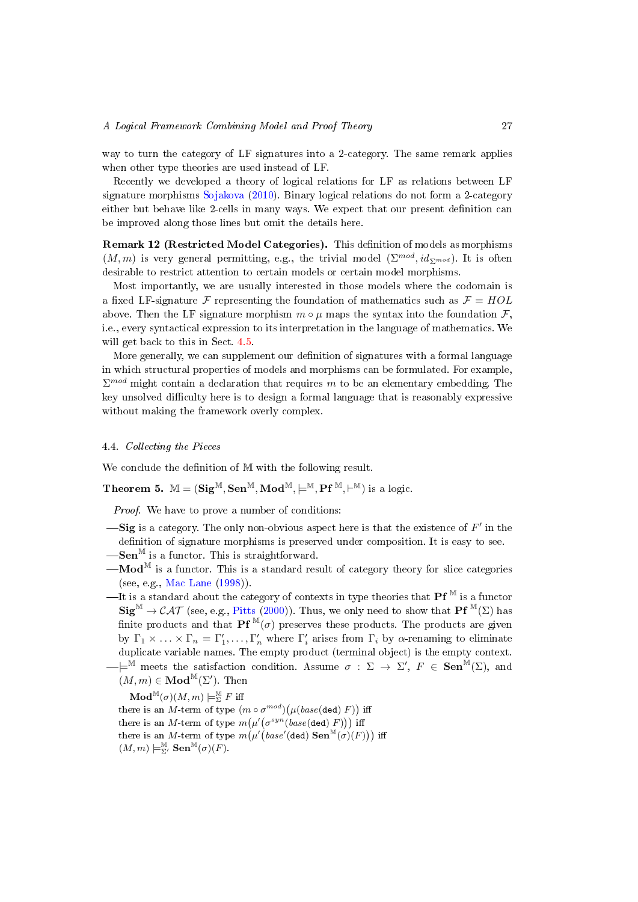way to turn the category of LF signatures into a 2-category. The same remark applies when other type theories are used instead of LF.

Recently we developed a theory of logical relations for LF as relations between LF signature morphisms [Sojakova](#page-53-8) [\(2010\)](#page-53-8). Binary logical relations do not form a 2-category either but behave like 2-cells in many ways. We expect that our present definition can be improved along those lines but omit the details here.

<span id="page-26-1"></span>Remark 12 (Restricted Model Categories). This definition of models as morphisms  $(M,m)$  is very general permitting, e.g., the trivial model  $(\Sigma^{mod}, id_{\Sigma^{mod}})$ . It is often desirable to restrict attention to certain models or certain model morphisms.

Most importantly, we are usually interested in those models where the codomain is a fixed LF-signature F representing the foundation of mathematics such as  $\mathcal{F} = HOL$ above. Then the LF signature morphism  $m \circ \mu$  maps the syntax into the foundation  $\mathcal{F}$ , i.e., every syntactical expression to its interpretation in the language of mathematics. We will get back to this in Sect. [4.5.](#page-29-0)

More generally, we can supplement our definition of signatures with a formal language in which structural properties of models and morphisms can be formulated. For example,  $\Sigma^{mod}$  might contain a declaration that requires m to be an elementary embedding. The key unsolved difficulty here is to design a formal language that is reasonably expressive without making the framework overly complex.

## <span id="page-26-0"></span>4.4. Collecting the Pieces

We conclude the definition of M with the following result.

**Theorem 5.**  $M = (Sig^M, Sen^M, Mod^M, \models^M, Pf^M, \models^M)$  is a logic.

<span id="page-26-2"></span>Proof. We have to prove a number of conditions:

- $\longrightarrow$  Sig is a category. The only non-obvious aspect here is that the existence of  $F'$  in the definition of signature morphisms is preserved under composition. It is easy to see.  $\textbf{Sen}^{\mathbb{M}}$  is a functor. This is straightforward.
- $\mathbf{Mod}^{\mathbb{M}}$  is a functor. This is a standard result of category theory for slice categories (see, e.g., [Mac Lane](#page-51-1) [\(1998\)](#page-51-1)).
- —It is a standard about the category of contexts in type theories that  $Pf^M$  is a functor  $\text{Sig}^{\mathbb{M}} \to \mathcal{CAT}$  (see, e.g., [Pitts](#page-52-6) [\(2000\)](#page-52-6)). Thus, we only need to show that  $\text{Pf}^{\mathbb{M}}(\Sigma)$  has finite products and that  $\mathbf{Pf}^{\mathbb{M}}(\sigma)$  preserves these products. The products are given by  $\Gamma_1 \times \ldots \times \Gamma_n = \Gamma'_1, \ldots, \Gamma'_n$  where  $\Gamma'_i$  arises from  $\Gamma_i$  by  $\alpha$ -renaming to eliminate duplicate variable names. The empty product (terminal object) is the empty context.

 $-\models^{\tilde{M}}$  meets the satisfaction condition. Assume  $\sigma : \Sigma \to \Sigma'$ ,  $F \in \mathbf{Sen}^{\tilde{M}}(\Sigma)$ , and  $(M, m) \in \mathbf{Mod}^{\mathbb{M}}(\Sigma')$ . Then

 $\mathbf{Mod}^{\mathbb{M}}(\sigma)(M,m) \models^{\mathbb{M}}_{\Sigma} F \text{ iff }$ 

there is an M-term of type  $(m \circ \sigma^{mod}) (\mu (base(\texttt{ded}) \ F))$  iff there is an M-term of type  $m(\mu'(\sigma^{syn}(base(\texttt{ded})\ F)))$  iff there is an M-term of type  $m\big(\mu'\big(base'(\mathsf{ded})\ \mathbf{Sen}^{\mathbb{M}}(\sigma)(F)\big)\big)$  iff  $(M,m) \models_{\Sigma'}^{\mathbb{M}} \mathbf{Sen}^{\mathbb{M}}(\sigma)(F).$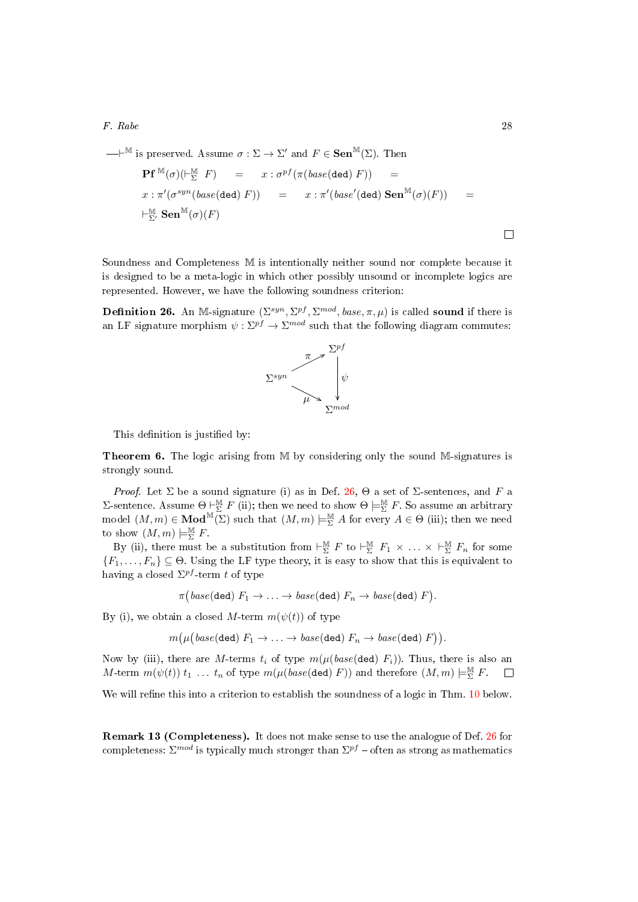$$
\begin{array}{rcl}\n\begin{array}{rcl}\n\text{---} \mathbb{P}^{\mathbb{M}} \text{ is preserved.} \text{ Assume } \sigma : \Sigma \to \Sigma' \text{ and } F \in \mathbf{Sen}^{\mathbb{M}}(\Sigma). \text{ Then} \\
\mathbf{Pf}^{\mathbb{M}}(\sigma)(\vdash_{\Sigma}^{\mathbb{M}} F) & = & x : \sigma^{pf}(\pi(\text{base}(\text{ded}) \ F)) \\
x : \pi'(\sigma^{syn}(\text{base}(\text{ded}) \ F)) & = & x : \pi'(\text{base}'(\text{ded}) \ \mathbf{Sen}^{\mathbb{M}}(\sigma)(F)) \\
&\vdash_{\Sigma'}^{\mathbb{M}} \mathbf{Sen}^{\mathbb{M}}(\sigma)(F)\n\end{array}\n\end{array}
$$

Soundness and Completeness M is intentionally neither sound nor complete because it is designed to be a meta-logic in which other possibly unsound or incomplete logics are represented. However, we have the following soundness criterion:

<span id="page-27-0"></span>**Definition 26.** An M-signature  $(\Sigma^{syn}, \Sigma^{pf}, \Sigma^{mod}, base, \pi, \mu)$  is called **sound** if there is an LF signature morphism  $\psi : \Sigma^{pf} \to \Sigma^{mod}$  such that the following diagram commutes:



This definition is justified by:

<span id="page-27-1"></span>Theorem 6. The logic arising from M by considering only the sound M-signatures is strongly sound.

*Proof.* Let  $\Sigma$  be a sound signature (i) as in Def. [26,](#page-27-0)  $\Theta$  a set of  $\Sigma$ -sentences, and F a Σ-sentence. Assume  $\Theta \subset \Sigma$  F (ii); then we need to show  $\Theta \models_{\Sigma}^{\mathbb{M}} F$ . So assume an arbitrary model  $(M,m) \in \mathbf{Mod}^{\mathbb{M}}(\Sigma)$  such that  $(M,m) \models_{\Sigma}^{\mathbb{M}} A$  for every  $A \in \Theta$  (iii); then we need to show  $(M,m) \models_{\Sigma}^{\mathbb{M}} F$ .

By (ii), there must be a substitution from  $\vdash_{\Sigma}^{\mathbb{M}} F$  to  $\vdash_{\Sigma}^{\mathbb{M}} F_1 \times \ldots \times \vdash_{\Sigma}^{\mathbb{M}} F_n$  for some  ${F_1, \ldots, F_n} \subseteq \Theta$ . Using the LF type theory, it is easy to show that this is equivalent to having a closed  $\Sigma^{pf}$ -term t of type

 $\pi\bigl(\mathit{base}(\texttt{ded}) \ F_1 \rightarrow \ldots \rightarrow \mathit{base}(\texttt{ded}) \ F_n \rightarrow \mathit{base}(\texttt{ded}) \ F \bigr).$ 

By (i), we obtain a closed M-term  $m(\psi(t))$  of type

 $m\big(\mu\big(\textit{base}(\texttt{ded})\ F_1 \to \ldots \to \textit{base}(\texttt{ded})\ F_n \to \textit{base}(\texttt{ded})\ F\big)\big).$ 

Now by (iii), there are M-terms  $t_i$  of type  $m(\mu(base(\text{ded}) F_i))$ . Thus, there is also an M-term  $m(\psi(t))$   $t_1$  ...  $t_n$  of type  $m(\mu(base(\text{ded})\)F))$  and therefore  $(M,m) \models^{\mathbb{M}}_{\Sigma} F$ .  $\Box$ 

We will refine this into a criterion to establish the soundness of a logic in Thm. [10](#page-36-0) below.

<span id="page-27-2"></span>Remark 13 (Completeness). It does not make sense to use the analogue of Def. [26](#page-27-0) for completeness:  $\Sigma^{mod}$  is typically much stronger than  $\Sigma^{pf}$  – often as strong as mathematics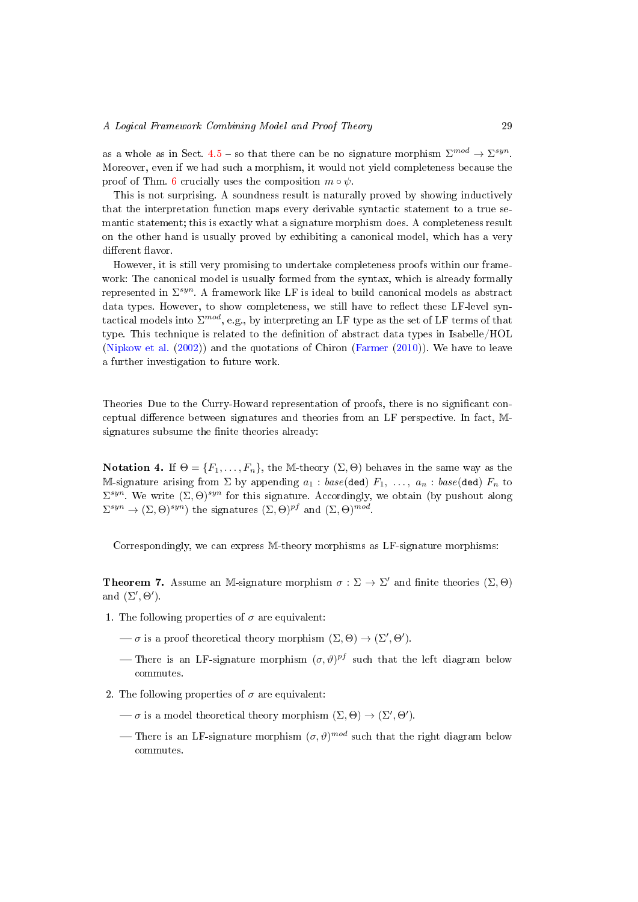as a whole as in Sect. [4.5](#page-29-0) – so that there can be no signature morphism  $\Sigma^{mod} \to \Sigma^{syn}$ . Moreover, even if we had such a morphism, it would not yield completeness because the proof of Thm. [6](#page-27-1) crucially uses the composition  $m \circ \psi$ .

This is not surprising. A soundness result is naturally proved by showing inductively that the interpretation function maps every derivable syntactic statement to a true semantic statement; this is exactly what a signature morphism does. A completeness result on the other hand is usually proved by exhibiting a canonical model, which has a very different flavor.

However, it is still very promising to undertake completeness proofs within our framework: The canonical model is usually formed from the syntax, which is already formally represented in  $\Sigma^{syn}$ . A framework like LF is ideal to build canonical models as abstract data types. However, to show completeness, we still have to reflect these LF-level syntactical models into  $\Sigma^{mod}$ , e.g., by interpreting an LF type as the set of LF terms of that type. This technique is related to the denition of abstract data types in Isabelle/HOL [\(Nipkow et al.](#page-52-7) [\(2002\)](#page-52-7)) and the quotations of Chiron [\(Farmer](#page-50-13) [\(2010\)](#page-50-13)). We have to leave a further investigation to future work.

Theories Due to the Curry-Howard representation of proofs, there is no signicant conceptual difference between signatures and theories from an LF perspective. In fact, Msignatures subsume the finite theories already:

Notation 4. If  $\Theta = \{F_1, \ldots, F_n\}$ , the M-theory  $(\Sigma, \Theta)$  behaves in the same way as the M-signature arising from  $\Sigma$  by appending  $a_1 : base(\text{ded})$   $F_1, \ldots, a_n : base(\text{ded})$   $F_n$  to  $\Sigma^{syn}$ . We write  $(\Sigma, \Theta)^{syn}$  for this signature. Accordingly, we obtain (by pushout along  $\Sigma^{syn} \to (\Sigma, \Theta)^{syn}$  the signatures  $(\Sigma, \Theta)^{pf}$  and  $(\Sigma, \Theta)^{mod}$ .

<span id="page-28-0"></span>Correspondingly, we can express M-theory morphisms as LF-signature morphisms:

**Theorem 7.** Assume an M-signature morphism  $\sigma : \Sigma \to \Sigma'$  and finite theories  $(\Sigma, \Theta)$ and  $(\Sigma', \Theta')$ .

- 1. The following properties of  $\sigma$  are equivalent:
	- $\rightarrow \sigma$  is a proof theoretical theory morphism  $(\Sigma, \Theta) \rightarrow (\Sigma', \Theta').$
	- There is an LF-signature morphism  $(\sigma, \vartheta)^{pf}$  such that the left diagram below commutes.
- 2. The following properties of  $\sigma$  are equivalent:
	- $\overline{\sigma}$  is a model theoretical theory morphism  $(\Sigma, \Theta) \rightarrow (\Sigma', \Theta').$
	- There is an LF-signature morphism  $(\sigma, \vartheta)^{mod}$  such that the right diagram below commutes.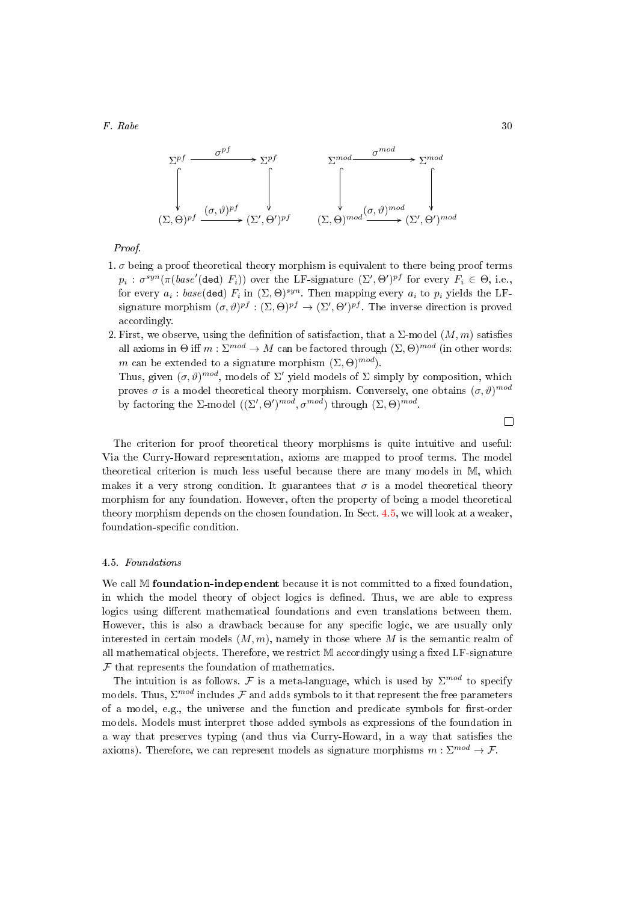

Proof.

- 1.  $\sigma$  being a proof theoretical theory morphism is equivalent to there being proof terms  $p_i$ :  $\sigma^{syn}(\pi(base'(\text{ded})\ F_i))$  over the LF-signature  $(\Sigma', \Theta')^{pf}$  for every  $F_i \in \Theta$ , i.e., for every  $a_i$  :  $base(\text{ded})$   $F_i$  in  $(\Sigma, \Theta)^{syn}$ . Then mapping every  $a_i$  to  $p_i$  yields the LFsignature morphism  $(\sigma, \vartheta)^{pf} : (\Sigma, \Theta)^{pf} \to (\Sigma', \Theta')^{pf}$ . The inverse direction is proved accordingly.
- 2. First, we observe, using the definition of satisfaction, that a  $\Sigma$ -model  $(M, m)$  satisfies all axioms in  $\Theta$  iff  $m : \Sigma^{mod} \to M$  can be factored through  $(\Sigma, \Theta)^{mod}$  (in other words: m can be extended to a signature morphism  $(\Sigma, \Theta)^{mod}$ .

Thus, given  $(\sigma, \vartheta)^{mod}$ , models of  $\Sigma'$  yield models of  $\Sigma$  simply by composition, which proves  $\sigma$  is a model theoretical theory morphism. Conversely, one obtains  $(\sigma, \vartheta)^{mod}$ by factoring the  $\Sigma$ -model  $((\Sigma', \Theta')^{mod}, \sigma^{mod})$  through  $(\Sigma, \Theta)^{mod}$ .

 $\Box$ 

The criterion for proof theoretical theory morphisms is quite intuitive and useful: Via the Curry-Howard representation, axioms are mapped to proof terms. The model theoretical criterion is much less useful because there are many models in M, which makes it a very strong condition. It guarantees that  $\sigma$  is a model theoretical theory morphism for any foundation. However, often the property of being a model theoretical theory morphism depends on the chosen foundation. In Sect. [4.5,](#page-29-0) we will look at a weaker, foundation-specific condition.

## <span id="page-29-0"></span>4.5. Foundations

We call  $M$  foundation-independent because it is not committed to a fixed foundation, in which the model theory of object logics is dened. Thus, we are able to express logics using different mathematical foundations and even translations between them. However, this is also a drawback because for any specific logic, we are usually only interested in certain models  $(M, m)$ , namely in those where M is the semantic realm of all mathematical objects. Therefore, we restrict M accordingly using a fixed LF-signature  $F$  that represents the foundation of mathematics.

The intuition is as follows. F is a meta-language, which is used by  $\Sigma^{mod}$  to specify models. Thus,  $\Sigma^{mod}$  includes  ${\cal F}$  and adds symbols to it that represent the free parameters of a model, e.g., the universe and the function and predicate symbols for first-order models. Models must interpret those added symbols as expressions of the foundation in a way that preserves typing (and thus via Curry-Howard, in a way that satisfies the axioms). Therefore, we can represent models as signature morphisms  $m : \Sigma^{mod} \to \mathcal{F}$ .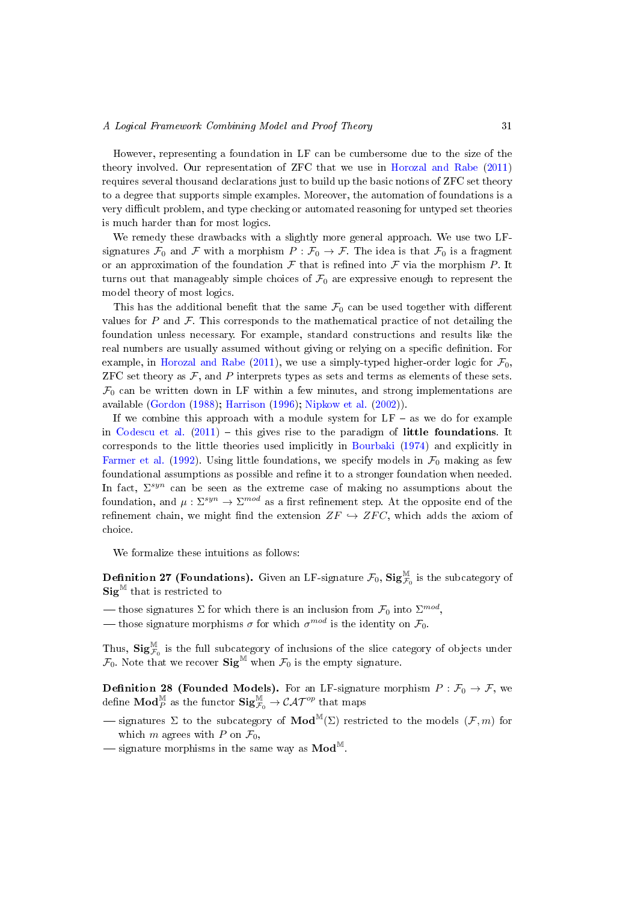However, representing a foundation in LF can be cumbersome due to the size of the theory involved. Our representation of ZFC that we use in [Horozal and Rabe](#page-51-11) [\(2011\)](#page-51-11) requires several thousand declarations just to build up the basic notions of ZFC set theory to a degree that supports simple examples. Moreover, the automation of foundations is a very difficult problem, and type checking or automated reasoning for untyped set theories is much harder than for most logics.

We remedy these drawbacks with a slightly more general approach. We use two LFsignatures  $\mathcal{F}_0$  and  $\mathcal F$  with a morphism  $P : \mathcal{F}_0 \to \mathcal{F}$ . The idea is that  $\mathcal{F}_0$  is a fragment or an approximation of the foundation  $\mathcal F$  that is refined into  $\mathcal F$  via the morphism  $P$ . It turns out that manageably simple choices of  $\mathcal{F}_0$  are expressive enough to represent the model theory of most logics.

This has the additional benefit that the same  $\mathcal{F}_0$  can be used together with different values for  $P$  and  $\mathcal F$ . This corresponds to the mathematical practice of not detailing the foundation unless necessary. For example, standard constructions and results like the real numbers are usually assumed without giving or relying on a specific definition. For example, in [Horozal and Rabe](#page-51-11) [\(2011\)](#page-51-11), we use a simply-typed higher-order logic for  $\mathcal{F}_0$ , ZFC set theory as  $F$ , and P interprets types as sets and terms as elements of these sets.  $\mathcal{F}_0$  can be written down in LF within a few minutes, and strong implementations are available [\(Gordon](#page-50-14) [\(1988\)](#page-50-14); [Harrison](#page-50-15) [\(1996\)](#page-50-15); [Nipkow et al.](#page-52-7) [\(2002\)](#page-52-7)).

If we combine this approach with a module system for  $LF - as$  we do for example in [Codescu et al.](#page-49-8)  $(2011)$  – this gives rise to the paradigm of little foundations. It corresponds to the little theories used implicitly in [Bourbaki](#page-49-12) [\(1974\)](#page-49-12) and explicitly in [Farmer et al.](#page-50-16) [\(1992\)](#page-50-16). Using little foundations, we specify models in  $\mathcal{F}_0$  making as few foundational assumptions as possible and refine it to a stronger foundation when needed. In fact,  $\Sigma^{syn}$  can be seen as the extreme case of making no assumptions about the foundation, and  $\mu: \Sigma^{syn} \to \Sigma^{mod}$  as a first refinement step. At the opposite end of the refinement chain, we might find the extension  $ZF \hookrightarrow ZFC$ , which adds the axiom of choice.

We formalize these intuitions as follows:

**Definition 27 (Foundations).** Given an LF-signature  $\mathcal{F}_0$ ,  $\text{Sig}_{\mathcal{F}_0}^{\mathbb{M}}$  is the subcategory of  $\textbf{Sig}^{\mathbb{M}}$  that is restricted to

— those signatures  $\Sigma$  for which there is an inclusion from  $\mathcal{F}_0$  into  $\Sigma^{mod},$ 

— those signature morphisms  $\sigma$  for which  $\sigma^{mod}$  is the identity on  $\mathcal{F}_0$ .

Thus,  $\text{Sig}^{\mathbb{M}}_{\mathcal{F}_0}$  is the full subcategory of inclusions of the slice category of objects under  $\mathcal{F}_0$ . Note that we recover  $\mathbf{Sig}^{\mathbb{M}}$  when  $\mathcal{F}_0$  is the empty signature.

**Definition 28 (Founded Models).** For an LF-signature morphism  $P: \mathcal{F}_0 \to \mathcal{F},$  we define  $\mathbf{Mod}_{P}^{\mathbb{M}}$  as the functor  $\mathbf{Sig}^{\mathbb{M}}_{\mathcal{F}_{0}} \to \mathcal{CAT}^{op}$  that maps

- $\sim$  signatures Σ to the subcategory of **Mod**<sup>M</sup>(Σ) restricted to the models (*F*, *m*) for which m agrees with P on  $\mathcal{F}_0$ ,
- signature morphisms in the same way as  $\mathbf{Mod}^{\mathbb{M}}$ .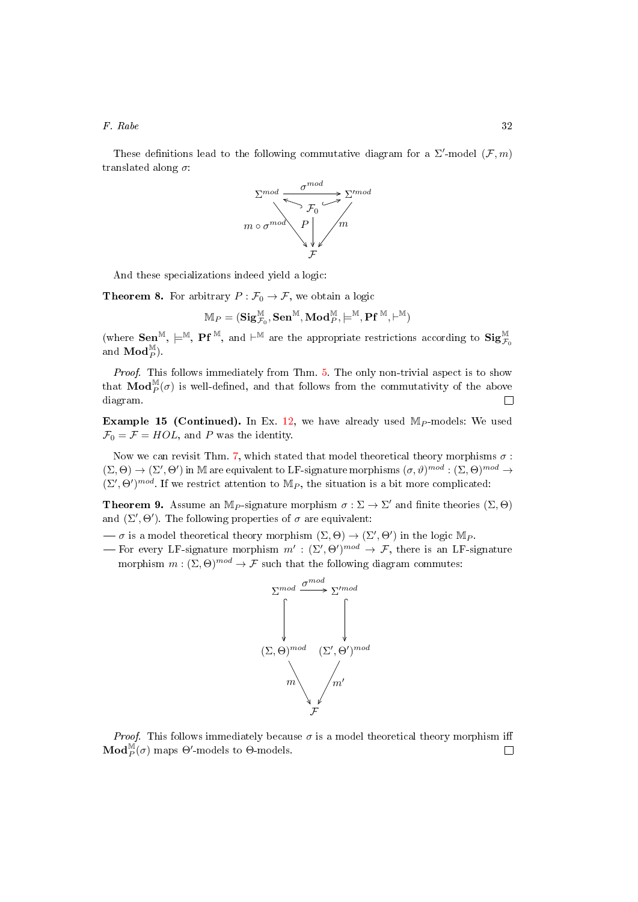These definitions lead to the following commutative diagram for a  $\Sigma'$ -model  $(\mathcal{F}, m)$ translated along  $\sigma$ :



And these specializations indeed yield a logic:

**Theorem 8.** For arbitrary  $P : \mathcal{F}_0 \to \mathcal{F}$ , we obtain a logic

$$
\mathbb{M}_P = (\mathbf{Sig}^\mathbb{M}_{\mathcal{F}_0}, \mathbf{Sen}^\mathbb{M}, \mathbf{Mod}^\mathbb{M}_P, \models^\mathbb{M}, \mathbf{Pf}^\mathbb{M}, \vdash^\mathbb{M})
$$

(where  $\mathbf{Sen}^{\mathbb{M}}, \models^{\mathbb{M}}, \mathbf{Pf}^{\mathbb{M}}, \text{ and } \vdash^{\mathbb{M}} \text{ are the appropriate restrictions according to } \mathbf{Sig}_{\mathcal{F}_{0}}^{\mathbb{M}}$ and  $\mathbf{Mod}_P^{\mathbb{M}}$ ).

Proof. This follows immediately from Thm. [5.](#page-26-2) The only non-trivial aspect is to show that  $\mathbf{Mod}_{P}^{\mathbb{M}}(\sigma)$  is well-defined, and that follows from the commutativity of the above diagram.  $\Box$ 

<span id="page-31-1"></span>**Example 15 (Continued).** In Ex. [12,](#page-23-1) we have already used  $M_P$ -models: We used  $\mathcal{F}_0 = \mathcal{F} = HOL$ , and P was the identity.

Now we can revisit Thm. [7,](#page-28-0) which stated that model theoretical theory morphisms  $\sigma$ :  $(\Sigma, \Theta) \to (\Sigma', \Theta')$  in M are equivalent to LF-signature morphisms  $(\sigma, \vartheta)^{mod} : (\Sigma, \Theta)^{mod} \to$  $(\Sigma', \Theta')^{mod}$ . If we restrict attention to M<sub>P</sub>, the situation is a bit more complicated:

<span id="page-31-0"></span>**Theorem 9.** Assume an M<sub>P</sub>-signature morphism  $\sigma : \Sigma \to \Sigma'$  and finite theories  $(\Sigma, \Theta)$ and  $(\Sigma', \Theta')$ . The following properties of  $\sigma$  are equivalent:

 $-\sigma$  is a model theoretical theory morphism  $(\Sigma, \Theta) \to (\Sigma', \Theta')$  in the logic M<sub>P</sub>.

— For every LF-signature morphism  $m' : (\Sigma', \Theta')^{mod} \to \mathcal{F}$ , there is an LF-signature morphism  $m : (\Sigma, \Theta)^{mod} \to \mathcal{F}$  such that the following diagram commutes:



*Proof.* This follows immediately because  $\sigma$  is a model theoretical theory morphism iff  $\mathbf{Mod}_{P}^{\mathbb{M}}(\sigma)$  maps  $\Theta'$ -models to  $\Theta$ -models. П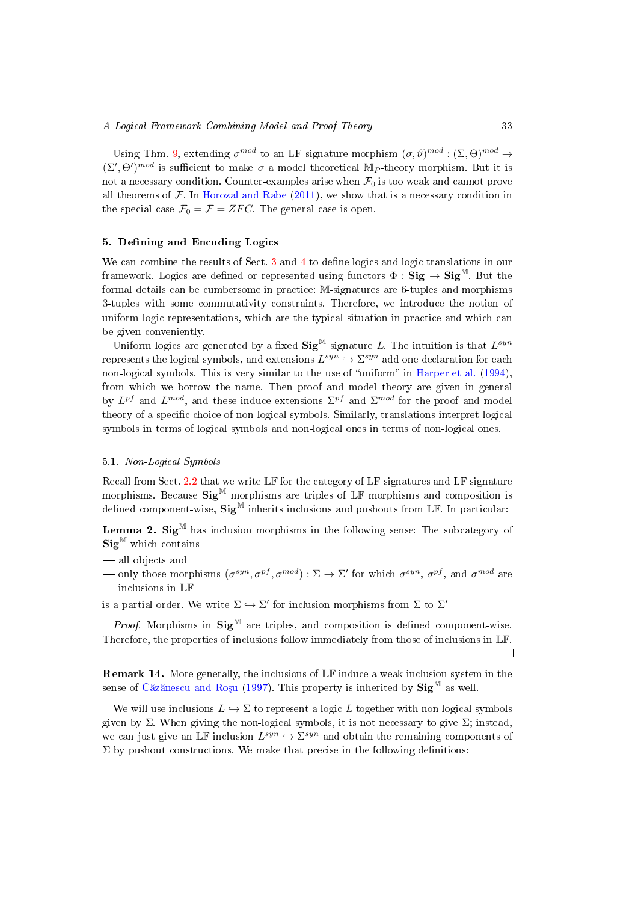Using Thm. [9,](#page-31-0) extending  $\sigma^{mod}$  to an LF-signature morphism  $(\sigma, \vartheta)^{mod} : (\Sigma, \Theta)^{mod} \to$  $(\Sigma', \Theta')^{mod}$  is sufficient to make  $\sigma$  a model theoretical M<sub>P</sub>-theory morphism. But it is not a necessary condition. Counter-examples arise when  $\mathcal{F}_0$  is too weak and cannot prove all theorems of  $\mathcal F$ . In [Horozal and Rabe](#page-51-11) [\(2011\)](#page-51-11), we show that is a necessary condition in the special case  $\mathcal{F}_0 = \mathcal{F} = ZFC$ . The general case is open.

# <span id="page-32-0"></span>5. Defining and Encoding Logics

We can combine the results of Sect. [3](#page-8-0) and [4](#page-18-0) to define logics and logic translations in our framework. Logics are defined or represented using functors  $\Phi : \mathbf{Sig} \to \mathbf{Sig}^M$ . But the formal details can be cumbersome in practice: M-signatures are 6-tuples and morphisms 3-tuples with some commutativity constraints. Therefore, we introduce the notion of uniform logic representations, which are the typical situation in practice and which can be given conveniently.

Uniform logics are generated by a fixed  $\text{Sig}^{\mathbb{M}}$  signature L. The intuition is that  $L^{syn}$ represents the logical symbols, and extensions  $L^{syn} \hookrightarrow \Sigma^{syn}$  add one declaration for each non-logical symbols. This is very similar to the use of "uniform" in [Harper et al.](#page-50-11)  $(1994)$ , from which we borrow the name. Then proof and model theory are given in general by  $L^{pf}$  and  $L^{mod}$ , and these induce extensions  $\Sigma^{pf}$  and  $\Sigma^{mod}$  for the proof and model theory of a specific choice of non-logical symbols. Similarly, translations interpret logical symbols in terms of logical symbols and non-logical ones in terms of non-logical ones.

# 5.1. Non-Logical Symbols

Recall from Sect. [2.2](#page-5-0) that we write LF for the category of LF signatures and LF signature morphisms. Because  $\text{Sig}^{\mathbb{M}}$  morphisms are triples of  $\mathbb{LF}$  morphisms and composition is defined component-wise,  $\text{Sig}^{\mathbb{M}}$  inherits inclusions and pushouts from LF. In particular:

**Lemma 2. Sig**<sup>M</sup> has inclusion morphisms in the following sense: The subcategory of  $\mathbf{Sig}^{\mathbb{M}}$  which contains

- all objects and
- only those morphisms  $(\sigma^{syn}, \sigma^{pf}, \sigma^{mod}) : \Sigma \to \Sigma'$  for which  $\sigma^{syn}$ ,  $\sigma^{pf}$ , and  $\sigma^{mod}$  are inclusions in LF

is a partial order. We write  $\Sigma \hookrightarrow \Sigma'$  for inclusion morphisms from  $\Sigma$  to  $\Sigma'$ 

*Proof.* Morphisms in  $Sig^{\mathbb{M}}$  are triples, and composition is defined component-wise. Therefore, the properties of inclusions follow immediately from those of inclusions in LF.  $\Box$ 

Remark 14. More generally, the inclusions of LF induce a weak inclusion system in the sense of Căzănescu and Rosu [\(1997\)](#page-49-13). This property is inherited by  $\text{Sig}^{\mathbb{M}}$  as well.

We will use inclusions  $L \hookrightarrow \Sigma$  to represent a logic L together with non-logical symbols given by Σ. When giving the non-logical symbols, it is not necessary to give Σ; instead, we can just give an LF inclusion  $L^{syn} \hookrightarrow \Sigma^{syn}$  and obtain the remaining components of  $\Sigma$  by pushout constructions. We make that precise in the following definitions: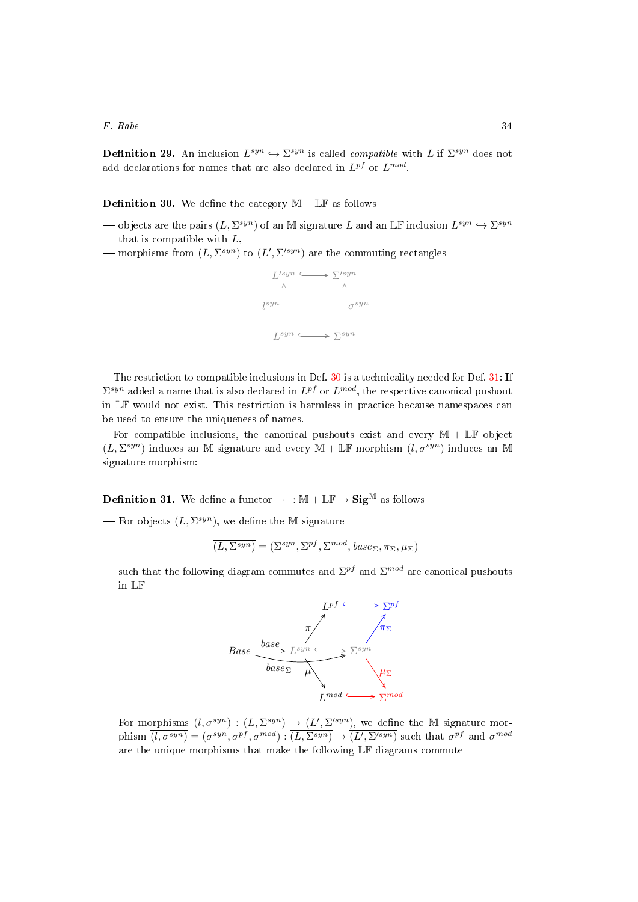**Definition 29.** An inclusion  $L^{syn} \hookrightarrow \Sigma^{syn}$  is called *compatible* with L if  $\Sigma^{syn}$  does not add declarations for names that are also declared in  $L^{pf}$  or  $L^{mod}$ .

<span id="page-33-0"></span>**Definition 30.** We define the category  $M + \mathbb{LF}$  as follows

- → objects are the pairs  $(L, \Sigma^{syn})$  of an M signature L and an LF inclusion  $L^{syn}$  →  $\Sigma^{syn}$ that is compatible with  $L$ ,
- morphisms from  $(L, \Sigma^{syn})$  to  $(L', \Sigma'^{syn})$  are the commuting rectangles



The restriction to compatible inclusions in Def. [30](#page-33-0) is a technicality needed for Def. [31:](#page-33-1) If  $\Sigma^{syn}$  added a name that is also declared in  $L^{pf}$  or  $L^{mod}$ , the respective canonical pushout in LF would not exist. This restriction is harmless in practice because namespaces can be used to ensure the uniqueness of names.

For compatible inclusions, the canonical pushouts exist and every  $M + \mathbb{LF}$  object  $(L, \Sigma^{syn})$  induces an M signature and every  $\mathbb{M} + \mathbb{LF}$  morphism  $(l, \sigma^{syn})$  induces an M signature morphism:

<span id="page-33-1"></span>**Definition 31.** We define a functor  $\overline{\cdot}$  :  $\mathbb{M} + \mathbb{LF} \rightarrow \mathbf{Sig}^{\mathbb{M}}$  as follows

— For objects  $(L, \Sigma^{syn})$ , we define the M signature

$$
\overline{(L,\Sigma^{syn})} = (\Sigma^{syn},\Sigma^{pf},\Sigma^{mod},base_{\Sigma},\pi_{\Sigma},\mu_{\Sigma})
$$

such that the following diagram commutes and  $\Sigma^{pf}$  and  $\Sigma^{mod}$  are canonical pushouts in LF



For morphisms  $(l, \sigma^{syn}) : (L, \Sigma^{syn}) \to (L', \Sigma'^{syn})$ , we define the M signature morphism  $\overline{(l, \sigma^{syn})} = (\sigma^{syn}, \sigma^{pf}, \sigma^{mod}) : \overline{(L, \Sigma^{syn})} \rightarrow \overline{(L', \Sigma'^{syn})}$  such that  $\sigma^{pf}$  and  $\sigma^{mod}$ are the unique morphisms that make the following LF diagrams commute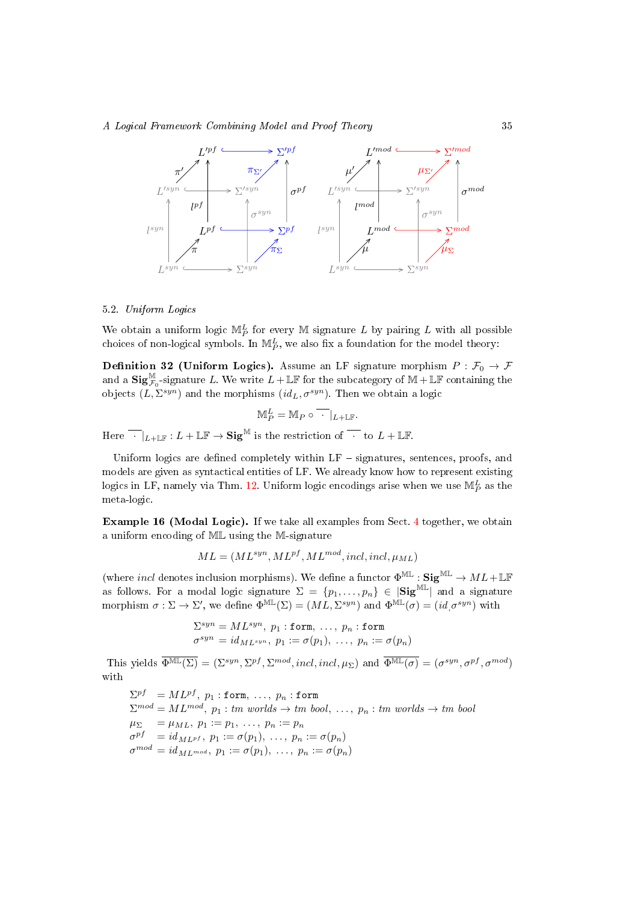#### A Logical Framework Combining Model and Proof Theory 35



## 5.2. Uniform Logics

We obtain a uniform logic  $\mathbb{M}_P^L$  for every M signature L by pairing L with all possible choices of non-logical symbols. In  $\mathbb{M}_{P}^{L}$ , we also fix a foundation for the model theory:

<span id="page-34-0"></span>Definition 32 (Uniform Logics). Assume an LF signature morphism  $P : \mathcal{F}_0 \to \mathcal{F}$ and a  $\text{Sig}_{\mathcal{F}_0}^{\mathbb{M}}$ -signature L. We write  $L+\mathbb{LF}$  for the subcategory of  $\mathbb{M}+\mathbb{LF}$  containing the objects  $(L, \Sigma^{syn})$  and the morphisms  $(id_L, \sigma^{syn})$ . Then we obtain a logic

$$
\mathbb{M}_P^L = \mathbb{M}_P \circ \overline{\cdot} |_{L+\mathbb{LF}}.
$$

Here  $\overline{\cdot}\mid_{L+\mathbb{IR}}: L+\mathbb{LF}\to \mathbf{Sig}^{\mathbb{M}}$  is the restriction of  $\overline{\cdot}$  to  $L+\mathbb{LF}.$ 

Uniform logics are defined completely within  $LF$  -signatures, sentences, proofs, and models are given as syntactical entities of LF. We already know how to represent existing logics in LF, namely via Thm. [12.](#page-15-0) Uniform logic encodings arise when we use  $\mathbb{M}_{P}^{L}$  as the meta-logic.

<span id="page-34-1"></span>Example 16 (Modal Logic). If we take all examples from Sect. [4](#page-18-0) together, we obtain a uniform encoding of ML using the M-signature

$$
ML = (ML^{syn}, ML^{pf}, ML^{mod}, incl, incl, \mu_{ML})
$$

(where *incl* denotes inclusion morphisms). We define a functor  $\Phi^{\text{ML}} : \mathbf{Sig}^{\text{ML}} \to ML + \mathbb{LF}$ as follows. For a modal logic signature  $\Sigma = \{p_1, \ldots, p_n\} \in |\text{Sig}^{\text{ML}}|$  and a signature morphism  $\sigma : \Sigma \to \Sigma'$ , we define  $\Phi^{\text{ML}}(\Sigma) = (ML, \Sigma^{syn})$  and  $\Phi^{\text{ML}}(\sigma) = (id, \sigma^{syn})$  with

$$
\Sigma^{syn} = ML^{syn}, p_1 : \text{form}, \dots, p_n : \text{form}
$$

$$
\sigma^{syn} = id_{ML^{syn}}, p_1 := \sigma(p_1), \dots, p_n := \sigma(p_n)
$$

This yields  $\overline{\Phi^{\text{ML}}(\Sigma)} = (\Sigma^{syn}, \Sigma^{pf}, \Sigma^{mod}, incl, incl, \mu_{\Sigma})$  and  $\overline{\Phi^{\text{ML}}(\sigma)} = (\sigma^{syn}, \sigma^{pf}, \sigma^{mod})$ with

 $\Sigma^{pf}$   $=ML^{pf},$   $p_1$  : form,  $\dots,$   $p_n$  : form  $\Sigma^{mod} = ML^{mod}$ ,  $p_1:$  tm worlds  $\rightarrow$  tm bool, ...,  $p_n:$  tm worlds  $\rightarrow$  tm bool  $\mu_{\Sigma} = \mu_{ML}, p_1 := p_1, \ldots, p_n := p_n$  $\sigma^{pf}$  =  $id_{ML^{pf}}, p_1 := \sigma(p_1), \ldots, p_n := \sigma(p_n)$  $\sigma^{mod}=id_{ML^{mod}},\ p_1:=\sigma(p_1),\ \ldots,\ p_n:=\sigma(p_n)$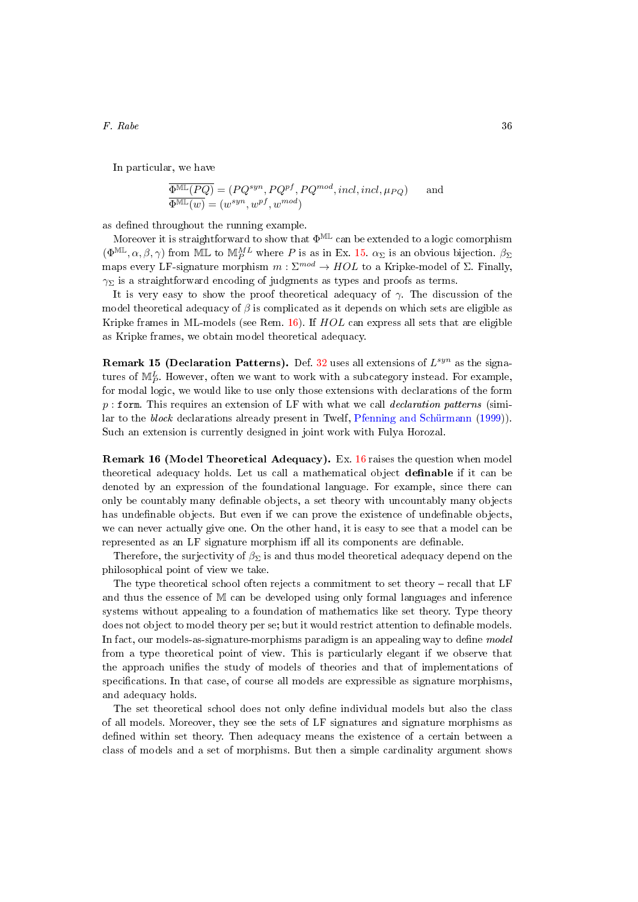In particular, we have

$$
\overline{\Phi^{\text{ML}}(PQ)} = (PQ^{syn}, PQ^{pf}, PQ^{mod}, incl, incl, \mu_{PQ}) \quad \text{and} \quad \overline{\Phi^{\text{ML}}(w)} = (w^{syn}, w^{pf}, w^{mod})
$$

as defined throughout the running example.

Moreover it is straightforward to show that  $\Phi^{\mathbb{ML}}$  can be extended to a logic comorphism  $(\Phi^{\mathbb{ML}}, \alpha, \beta, \gamma)$  from ML to  $\mathbb{M}_{P}^{ML}$  where P is as in Ex. [15.](#page-31-1)  $\alpha_{\Sigma}$  is an obvious bijection.  $\beta_{\Sigma}$ maps every LF-signature morphism  $m : \Sigma^{mod} \to HOL$  to a Kripke-model of  $\Sigma$ . Finally,  $\gamma_{\Sigma}$  is a straightforward encoding of judgments as types and proofs as terms.

It is very easy to show the proof theoretical adequacy of  $\gamma$ . The discussion of the model theoretical adequacy of  $\beta$  is complicated as it depends on which sets are eligible as Kripke frames in ML-models (see Rem.  $16$ ). If  $HOL$  can express all sets that are eligible as Kripke frames, we obtain model theoretical adequacy.

<span id="page-35-1"></span>**Remark 15 (Declaration Patterns).** Def.  $32$  uses all extensions of  $L^{syn}$  as the signatures of  $\mathbb{M}_{P}^{L}$ . However, often we want to work with a subcategory instead. For example, for modal logic, we would like to use only those extensions with declarations of the form  $p:$  form. This requires an extension of LF with what we call *declaration patterns* (similar to the block declarations already present in Twelf, [Pfenning and Schürmann](#page-52-5) [\(1999\)](#page-52-5)). Such an extension is currently designed in joint work with Fulya Horozal.

<span id="page-35-0"></span>Remark 16 (Model Theoretical Adequacy). Ex. [16](#page-34-1) raises the question when model theoretical adequacy holds. Let us call a mathematical object definable if it can be denoted by an expression of the foundational language. For example, since there can only be countably many definable objects, a set theory with uncountably many objects has undefinable objects. But even if we can prove the existence of undefinable objects, we can never actually give one. On the other hand, it is easy to see that a model can be represented as an LF signature morphism iff all its components are definable.

Therefore, the surjectivity of  $\beta_{\Sigma}$  is and thus model theoretical adequacy depend on the philosophical point of view we take.

The type theoretical school often rejects a commitment to set theory – recall that LF and thus the essence of M can be developed using only formal languages and inference systems without appealing to a foundation of mathematics like set theory. Type theory does not object to model theory per se; but it would restrict attention to definable models. In fact, our models-as-signature-morphisms paradigm is an appealing way to define model from a type theoretical point of view. This is particularly elegant if we observe that the approach unifies the study of models of theories and that of implementations of specifications. In that case, of course all models are expressible as signature morphisms, and adequacy holds.

The set theoretical school does not only define individual models but also the class of all models. Moreover, they see the sets of LF signatures and signature morphisms as defined within set theory. Then adequacy means the existence of a certain between a class of models and a set of morphisms. But then a simple cardinality argument shows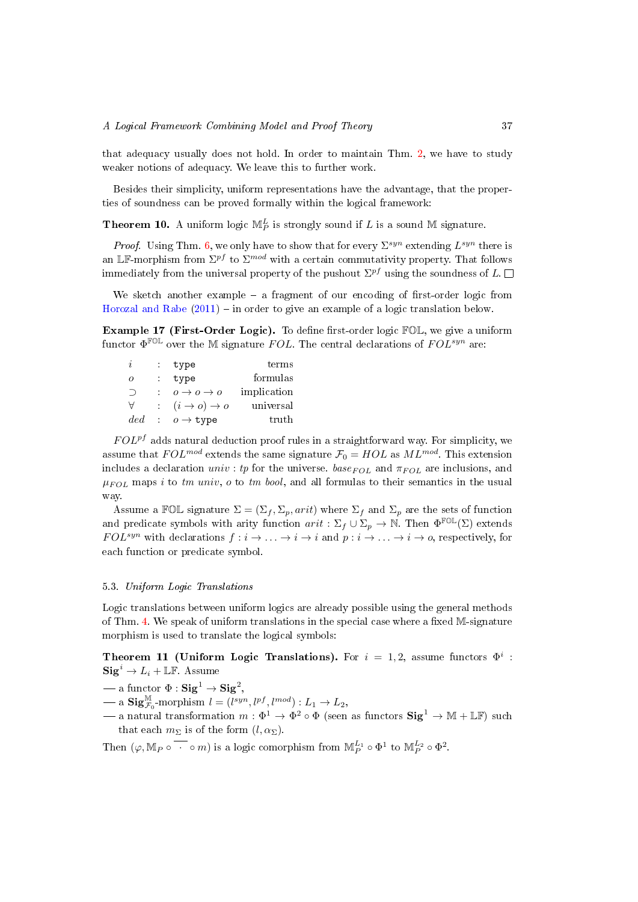that adequacy usually does not hold. In order to maintain Thm. [2,](#page-16-0) we have to study weaker notions of adequacy. We leave this to further work.

<span id="page-36-0"></span>Besides their simplicity, uniform representations have the advantage, that the properties of soundness can be proved formally within the logical framework:

**Theorem 10.** A uniform logic  $\mathbb{M}_{P}^{L}$  is strongly sound if L is a sound  $\mathbb{M}$  signature.

*Proof.* Using Thm. [6,](#page-27-1) we only have to show that for every  $\Sigma^{syn}$  extending  $L^{syn}$  there is an LF-morphism from  $\Sigma^{pf}$  to  $\Sigma^{mod}$  with a certain commutativity property. That follows immediately from the universal property of the pushout  $\Sigma^{pf}$  using the soundness of  $L$ .

We sketch another example  $-$  a fragment of our encoding of first-order logic from [Horozal and Rabe](#page-51-11)  $(2011)$  – in order to give an example of a logic translation below.

Example 17 (First-Order Logic). To define first-order logic  $FOL$ , we give a uniform functor  $\Phi^{\rm FOL}$  over the M signature  $FOL$ . The central declarations of  $FOL^{syn}$  are:

<span id="page-36-1"></span>

| $\imath$ | type                              | terms       |
|----------|-----------------------------------|-------------|
| $\Omega$ | type                              | formulas    |
| ⊃        | $o \rightarrow o \rightarrow o$   | implication |
| ∀        | $(i \rightarrow o) \rightarrow o$ | universal   |
| ded      | $o \rightarrow \texttt{type}$     | truth       |

 $FOL<sup>pf</sup>$  adds natural deduction proof rules in a straightforward way. For simplicity, we assume that  $FOL^{mod}$  extends the same signature  $\mathcal{F}_0 = HOL$  as  $ML^{mod}$ . This extension includes a declaration univ : tp for the universe.  $base_{FOL}$  and  $\pi_{FOL}$  are inclusions, and  $\mu_{FOL}$  maps i to tm univ, o to tm bool, and all formulas to their semantics in the usual way.

Assume a FOL signature  $\Sigma = (\Sigma_f, \Sigma_p, arit)$  where  $\Sigma_f$  and  $\Sigma_p$  are the sets of function and predicate symbols with arity function  $arit : \Sigma_f \cup \Sigma_p \to \mathbb{N}$ . Then  $\Phi^{\text{FOL}}(\Sigma)$  extends  $FOL^{syn}$  with declarations  $f : i \to \ldots \to i \to i$  and  $p : i \to \ldots \to i \to o$ , respectively, for each function or predicate symbol.

## 5.3. Uniform Logic Translations

Logic translations between uniform logics are already possible using the general methods of Thm. [4.](#page-17-1) We speak of uniform translations in the special case where a fixed  $M$ -signature morphism is used to translate the logical symbols:

<span id="page-36-2"></span>Theorem 11 (Uniform Logic Translations). For  $i = 1, 2$ , assume functors  $\Phi^i$ :  $\text{Sig}^i \to L_i + \mathbb{LF}$ . Assume

 $\,\,\,\,\,\,\,\,\,\,\,\,\,\,\,\,\,\,\,\,\,\,\,\ \ \, {\rm -a\ function\ }\,\Phi : {\bf Sig}^1 \rightarrow {\bf Sig}^2,$ 

- $\mathbf{Sig}_{\mathcal{F}_0}^{\mathbb{M}}$ -morphism  $l = (l^{syn}, l^{pf}, l^{mod}) : L_1 \to L_2$ ,
- $-$  a natural transformation  $m: \Phi^1 \to \Phi^2 \circ \Phi$  (seen as functors  $\text{Sig}^1 \to \mathbb{M} + \mathbb{LF}$ ) such that each  $m_{\Sigma}$  is of the form  $(l, \alpha_{\Sigma})$ .

Then  $(\varphi, \mathbb{M}_P \circ \overline{\cdot \cdot \cdot} \circ m)$  is a logic comorphism from  $\mathbb{M}_P^{L_1} \circ \Phi^1$  to  $\mathbb{M}_P^{L_2} \circ \Phi^2$ .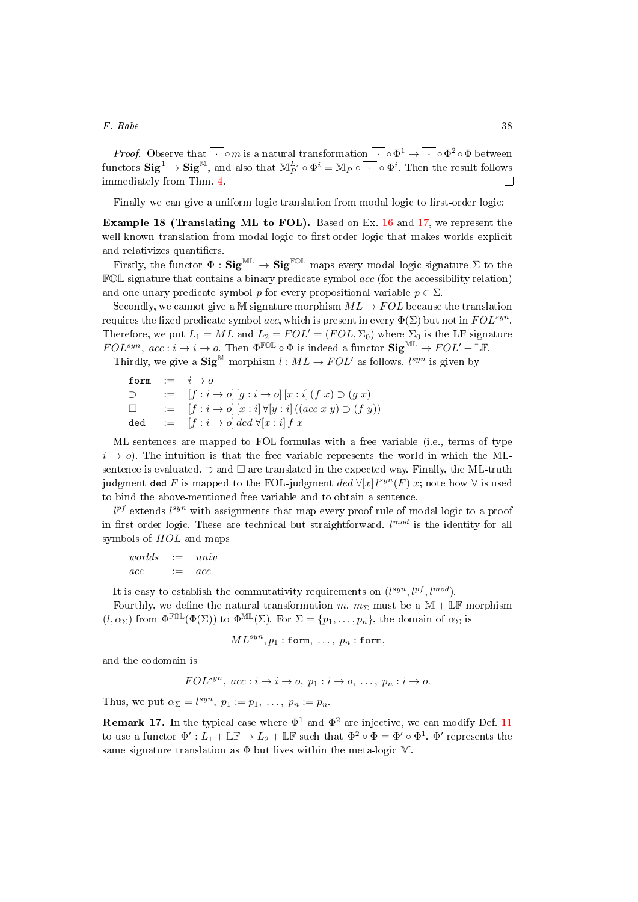*Proof.* Observe that  $\overline{\cdot} \circ m$  is a natural transformation  $\overline{\cdot} \circ \Phi^1 \to \overline{\cdot} \circ \Phi^2 \circ \Phi$  between functors  $\textbf{Sig}^1 \to \textbf{Sig}^{\mathbb{M}},$  and also that  $\mathbb{M}_P^{L_i} \circ \Phi^i = \mathbb{M}_P \circ \overline{\;\cdot\;} \circ \Phi^i.$  Then the result follows immediately from Thm. [4.](#page-17-1)  $\Box$ 

Finally we can give a uniform logic translation from modal logic to first-order logic:

<span id="page-37-0"></span>Example 18 (Translating ML to FOL). Based on Ex. [16](#page-34-1) and [17,](#page-36-1) we represent the well-known translation from modal logic to first-order logic that makes worlds explicit and relativizes quantifiers.

Firstly, the functor  $\Phi : \mathbf{Sig}^{\mathbb{ML}} \to \mathbf{Sig}^{\mathbb{FOL}}$  maps every modal logic signature  $\Sigma$  to the  $FOL$  signature that contains a binary predicate symbol  $acc$  (for the accessibility relation) and one unary predicate symbol p for every propositional variable  $p \in \Sigma$ .

Secondly, we cannot give a M signature morphism  $ML \to FOL$  because the translation requires the fixed predicate symbol acc, which is present in every  $\Phi(\Sigma)$  but not in  $FOL^{syn}$ . Therefore, we put  $L_1 = ML$  and  $L_2 = FOL' = \overline{(FOL, \Sigma_0)}$  where  $\Sigma_0$  is the LF signature  $FOL^{syn}$ ,  $acc: i \to i \to o$ . Then  $\Phi^{\text{FOL}} \circ \Phi$  is indeed a functor  $\text{Sig}^{\text{ML}} \to FOL' + \text{LF}$ .

Thirdly, we give a  $\textbf{Sig}^{\mathbb{M}}$  morphism  $l : ML \to FOL'$  as follows.  $l^{syn}$  is given by

form  $:= i \rightarrow o$  $\supset$  :=  $[f : i \to o][g : i \to o][x : i](f x) \supset (g x)$  $\Box$  :=  $[f : i \rightarrow o][x : i] \forall [y : i] ((acc x y) \supset (f y))$  $\begin{array}{rcl} \texttt{ded} & := & [f : i \rightarrow o] \, ded \; \forall [x : i] \, f \; x \end{array}$ 

ML-sentences are mapped to FOL-formulas with a free variable (i.e., terms of type  $i \rightarrow o$ ). The intuition is that the free variable represents the world in which the MLsentence is evaluated.  $\supset$  and  $\square$  are translated in the expected way. Finally, the ML-truth judgment ded F is mapped to the FOL-judgment  $ded \; \forall [x] \, l^{syn}(F) \; x;$  note how  $\forall$  is used to bind the above-mentioned free variable and to obtain a sentence.

 $l^{pf}$  extends  $l^{syn}$  with assignments that map every proof rule of modal logic to a proof in first-order logic. These are technical but straightforward.  $l^{mod}$  is the identity for all symbols of  $HOL$  and maps

 $worlds$   $:=$   $univ$  $acc \qquad := \quad acc$ 

It is easy to establish the commutativity requirements on  $(l^{syn}, l^{pf}, l^{mod})$ .

Fourthly, we define the natural transformation m.  $m_{\Sigma}$  must be a M + LF morphism  $(l, \alpha_{\Sigma})$  from  $\Phi^{\mathbb{FOL}}(\Phi(\Sigma))$  to  $\Phi^{\mathbb{ML}}(\Sigma)$ . For  $\Sigma = \{p_1, \ldots, p_n\}$ , the domain of  $\alpha_{\Sigma}$  is

$$
ML^{syn}, p_1 : \texttt{form}, \ldots, p_n : \texttt{form},
$$

and the codomain is

$$
FOL^{syn}
$$
,  $acc : i \rightarrow i \rightarrow o$ ,  $p_1 : i \rightarrow o$ , ...,  $p_n : i \rightarrow o$ .

Thus, we put  $\alpha_{\Sigma} = l^{syn}$ ,  $p_1 := p_1, \ldots, p_n := p_n$ .

**Remark 17.** In the typical case where  $\Phi^1$  and  $\Phi^2$  are injective, we can modify Def. [11](#page-36-2) to use a functor  $\Phi': L_1 + \mathbb{LF} \to L_2 + \mathbb{LF}$  such that  $\Phi^2 \circ \Phi = \Phi' \circ \Phi^1$ .  $\Phi'$  represents the same signature translation as  $\Phi$  but lives within the meta-logic M.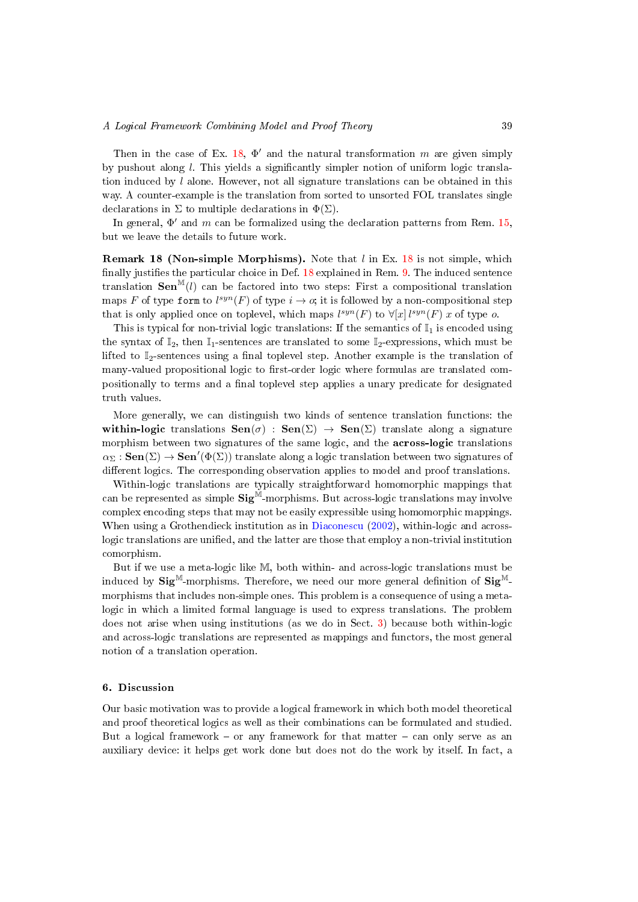Then in the case of Ex. [18,](#page-37-0)  $\Phi'$  and the natural transformation m are given simply by pushout along  $l$ . This yields a significantly simpler notion of uniform logic translation induced by  $l$  alone. However, not all signature translations can be obtained in this way. A counter-example is the translation from sorted to unsorted FOL translates single declarations in  $\Sigma$  to multiple declarations in  $\Phi(\Sigma)$ .

In general,  $\Phi'$  and m can be formalized using the declaration patterns from Rem. [15,](#page-35-1) but we leave the details to future work.

<span id="page-38-1"></span>**Remark [18](#page-37-0) (Non-simple Morphisms).** Note that  $l$  in Ex. 18 is not simple, which finally justifies the particular choice in Def.  $18$  explained in Rem. [9.](#page-21-1) The induced sentence translation  $\textbf{Sen}^{\mathbb{M}}(l)$  can be factored into two steps: First a compositional translation maps F of type form to  $l^{syn}(F)$  of type  $i \to o$ ; it is followed by a non-compositional step that is only applied once on toplevel, which maps  $l^{syn}(F)$  to  $\forall [x]$   $l^{syn}(F)$  x of type o.

This is typical for non-trivial logic translations: If the semantics of  $\mathbb{I}_1$  is encoded using the syntax of  $\mathbb{I}_2$ , then  $\mathbb{I}_1$ -sentences are translated to some  $\mathbb{I}_2$ -expressions, which must be lifted to  $\mathbb{I}_2$ -sentences using a final toplevel step. Another example is the translation of many-valued propositional logic to first-order logic where formulas are translated compositionally to terms and a final toplevel step applies a unary predicate for designated truth values.

More generally, we can distinguish two kinds of sentence translation functions: the within-logic translations  $\text{Sen}(\sigma)$ :  $\text{Sen}(\Sigma) \rightarrow \text{Sen}(\Sigma)$  translate along a signature morphism between two signatures of the same logic, and the across-logic translations  $\alpha_\Sigma:\mathbf{Sen}(\Sigma)\to\mathbf{Sen}'(\Phi(\Sigma))$  translate along a logic translation between two signatures of different logics. The corresponding observation applies to model and proof translations.

Within-logic translations are typically straightforward homomorphic mappings that can be represented as simple  $\textbf{Sig}^{\check{\mathbb{M}}}$ -morphisms. But across-logic translations may involve complex encoding steps that may not be easily expressible using homomorphic mappings. When using a Grothendieck institution as in [Diaconescu](#page-49-10) [\(2002\)](#page-49-10), within-logic and acrosslogic translations are unified, and the latter are those that employ a non-trivial institution comorphism.

But if we use a meta-logic like M, both within- and across-logic translations must be induced by  $\text{Sig}^{\mathbb{M}}$ -morphisms. Therefore, we need our more general definition of  $\text{Sig}^{\mathbb{M}}$ morphisms that includes non-simple ones. This problem is a consequence of using a metalogic in which a limited formal language is used to express translations. The problem does not arise when using institutions (as we do in Sect. [3\)](#page-8-0) because both within-logic and across-logic translations are represented as mappings and functors, the most general notion of a translation operation.

## <span id="page-38-0"></span>6. Discussion

Our basic motivation was to provide a logical framework in which both model theoretical and proof theoretical logics as well as their combinations can be formulated and studied. But a logical framework  $-$  or any framework for that matter  $-$  can only serve as an auxiliary device: it helps get work done but does not do the work by itself. In fact, a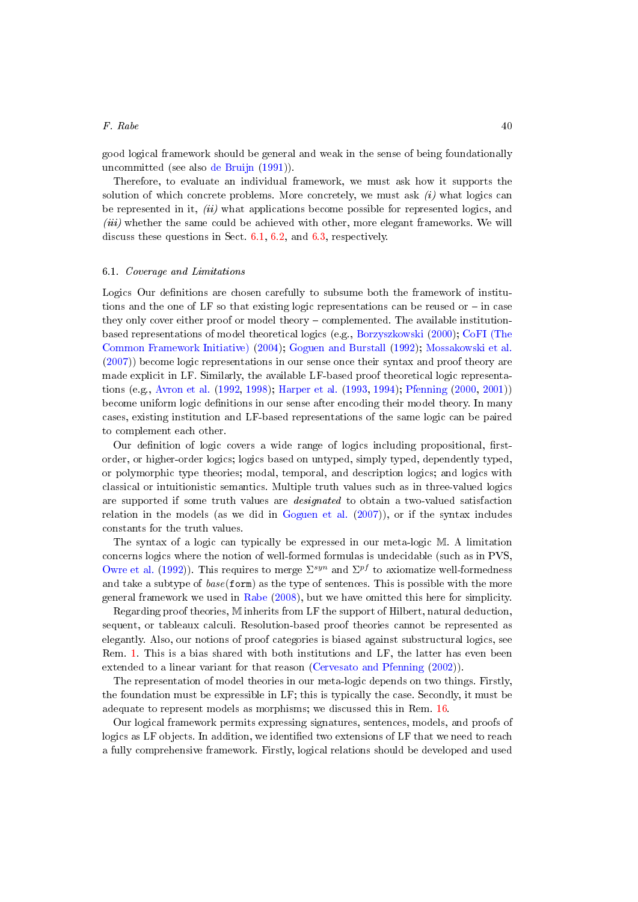good logical framework should be general and weak in the sense of being foundationally uncommitted (see also [de Bruijn](#page-49-14) [\(1991\)](#page-49-14)).

Therefore, to evaluate an individual framework, we must ask how it supports the solution of which concrete problems. More concretely, we must ask  $(i)$  what logics can be represented in it,  $(ii)$  what applications become possible for represented logics, and *(iii)* whether the same could be achieved with other, more elegant frameworks. We will discuss these questions in Sect. [6.1,](#page-39-0) [6.2,](#page-41-0) and [6.3,](#page-43-0) respectively.

## <span id="page-39-0"></span>6.1. Coverage and Limitations

Logics Our definitions are chosen carefully to subsume both the framework of institutions and the one of LF so that existing logic representations can be reused or  $-$  in case they only cover either proof or model theory complemented. The available institutionbased representations of model theoretical logics (e.g., [Borzyszkowski](#page-48-8) [\(2000\)](#page-48-8); [CoFI \(The](#page-49-15) [Common Framework Initiative\)](#page-49-15) [\(2004\)](#page-49-15); [Goguen and Burstall](#page-50-2) [\(1992\)](#page-50-2); [Mossakowski et al.](#page-51-5) [\(2007\)](#page-51-5)) become logic representations in our sense once their syntax and proof theory are made explicit in LF. Similarly, the available LF-based proof theoretical logic representations (e.g., [Avron et al.](#page-48-9) [\(1992,](#page-48-9) [1998\)](#page-48-7); [Harper et al.](#page-50-5) [\(1993,](#page-50-5) [1994\)](#page-50-11); [Pfenning](#page-52-8) [\(2000,](#page-52-8) [2001\)](#page-52-3)) become uniform logic definitions in our sense after encoding their model theory. In many cases, existing institution and LF-based representations of the same logic can be paired to complement each other.

Our definition of logic covers a wide range of logics including propositional, firstorder, or higher-order logics; logics based on untyped, simply typed, dependently typed, or polymorphic type theories; modal, temporal, and description logics; and logics with classical or intuitionistic semantics. Multiple truth values such as in three-valued logics are supported if some truth values are designated to obtain a two-valued satisfaction relation in the models (as we did in [Goguen et al.](#page-50-17) [\(2007\)](#page-50-17)), or if the syntax includes constants for the truth values.

The syntax of a logic can typically be expressed in our meta-logic M. A limitation concerns logics where the notion of well-formed formulas is undecidable (such as in PVS, [Owre et al.](#page-52-9) [\(1992\)](#page-52-9)). This requires to merge  $\Sigma^{syn}$  and  $\Sigma^{pf}$  to axiomatize well-formedness and take a subtype of  $base(form)$  as the type of sentences. This is possible with the more general framework we used in [Rabe](#page-52-10) [\(2008\)](#page-52-10), but we have omitted this here for simplicity.

Regarding proof theories, M inherits from LF the support of Hilbert, natural deduction, sequent, or tableaux calculi. Resolution-based proof theories cannot be represented as elegantly. Also, our notions of proof categories is biased against substructural logics, see Rem. [1.](#page-9-2) This is a bias shared with both institutions and LF, the latter has even been extended to a linear variant for that reason [\(Cervesato and Pfenning](#page-49-16) [\(2002\)](#page-49-16)).

The representation of model theories in our meta-logic depends on two things. Firstly, the foundation must be expressible in LF; this is typically the case. Secondly, it must be adequate to represent models as morphisms; we discussed this in Rem. [16.](#page-35-0)

Our logical framework permits expressing signatures, sentences, models, and proofs of logics as LF objects. In addition, we identified two extensions of LF that we need to reach a fully comprehensive framework. Firstly, logical relations should be developed and used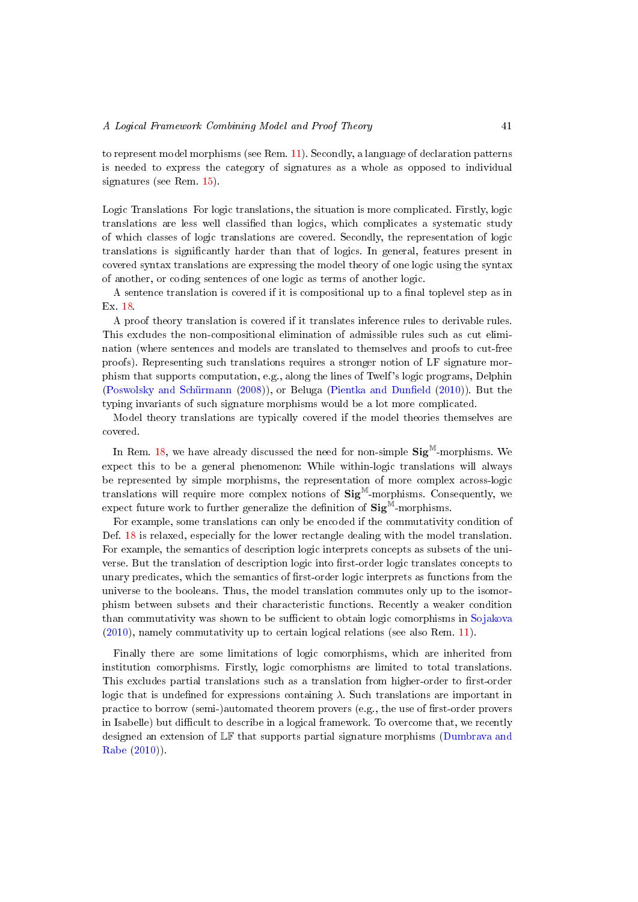to represent model morphisms (see Rem. [11\)](#page-25-0). Secondly, a language of declaration patterns is needed to express the category of signatures as a whole as opposed to individual signatures (see Rem. [15\)](#page-35-1).

Logic Translations For logic translations, the situation is more complicated. Firstly, logic translations are less well classified than logics, which complicates a systematic study of which classes of logic translations are covered. Secondly, the representation of logic translations is signicantly harder than that of logics. In general, features present in covered syntax translations are expressing the model theory of one logic using the syntax of another, or coding sentences of one logic as terms of another logic.

A sentence translation is covered if it is compositional up to a final toplevel step as in Ex. [18.](#page-37-0)

A proof theory translation is covered if it translates inference rules to derivable rules. This excludes the non-compositional elimination of admissible rules such as cut elimination (where sentences and models are translated to themselves and proofs to cut-free proofs). Representing such translations requires a stronger notion of LF signature morphism that supports computation, e.g., along the lines of Twelf's logic programs, Delphin [\(Poswolsky and Schürmann](#page-52-11)  $(2008)$ ), or Beluga (Pientka and Dunfield  $(2010)$ ). But the typing invariants of such signature morphisms would be a lot more complicated.

Model theory translations are typically covered if the model theories themselves are covered.

In Rem. [18,](#page-38-1) we have already discussed the need for non-simple  $\text{Sig}^{\mathbb{M}}$ -morphisms. We expect this to be a general phenomenon: While within-logic translations will always be represented by simple morphisms, the representation of more complex across-logic translations will require more complex notions of  $\text{Sig}^{\text{M}}$ -morphisms. Consequently, we expect future work to further generalize the definition of  $\text{Sig}^{\mathbb{M}}$ -morphisms.

For example, some translations can only be encoded if the commutativity condition of Def. [18](#page-21-0) is relaxed, especially for the lower rectangle dealing with the model translation. For example, the semantics of description logic interprets concepts as subsets of the universe. But the translation of description logic into first-order logic translates concepts to unary predicates, which the semantics of first-order logic interprets as functions from the universe to the booleans. Thus, the model translation commutes only up to the isomorphism between subsets and their characteristic functions. Recently a weaker condition than commutativity was shown to be sufficient to obtain logic comorphisms in [Sojakova](#page-53-8) [\(2010\)](#page-53-8), namely commutativity up to certain logical relations (see also Rem. [11\)](#page-25-0).

Finally there are some limitations of logic comorphisms, which are inherited from institution comorphisms. Firstly, logic comorphisms are limited to total translations. This excludes partial translations such as a translation from higher-order to first-order logic that is undefined for expressions containing  $\lambda$ . Such translations are important in practice to borrow (semi-)automated theorem provers (e.g., the use of first-order provers in Isabelle) but difficult to describe in a logical framework. To overcome that, we recently designed an extension of LF that supports partial signature morphisms [\(Dumbrava and](#page-50-18) [Rabe](#page-50-18) [\(2010\)](#page-50-18)).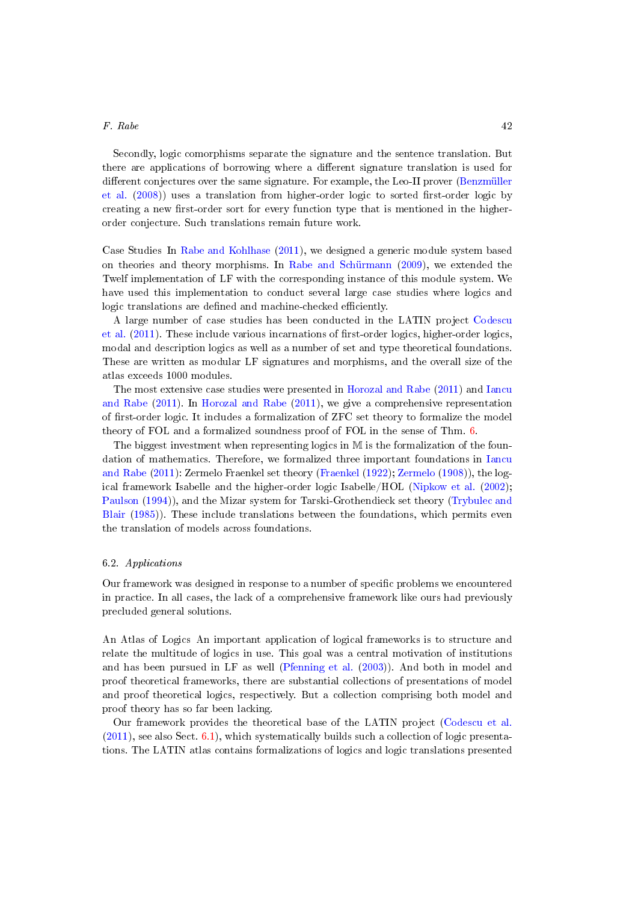Secondly, logic comorphisms separate the signature and the sentence translation. But there are applications of borrowing where a different signature translation is used for different conjectures over the same signature. For example, the Leo-II prover [\(Benzmüller](#page-48-10) [et al.](#page-48-10)  $(2008)$ ) uses a translation from higher-order logic to sorted first-order logic by creating a new first-order sort for every function type that is mentioned in the higherorder conjecture. Such translations remain future work.

Case Studies In [Rabe and Kohlhase](#page-52-13) [\(2011\)](#page-52-13), we designed a generic module system based on theories and theory morphisms. In [Rabe and Schürmann](#page-52-14) [\(2009\)](#page-52-14), we extended the Twelf implementation of LF with the corresponding instance of this module system. We have used this implementation to conduct several large case studies where logics and logic translations are defined and machine-checked efficiently.

A large number of case studies has been conducted in the LATIN project [Codescu](#page-49-8) [et al.](#page-49-8)  $(2011)$ . These include various incarnations of first-order logics, higher-order logics, modal and description logics as well as a number of set and type theoretical foundations. These are written as modular LF signatures and morphisms, and the overall size of the atlas exceeds 1000 modules.

The most extensive case studies were presented in [Horozal and Rabe](#page-51-11) [\(2011\)](#page-51-11) and [Iancu](#page-51-12) [and Rabe](#page-51-12) [\(2011\)](#page-51-12). In [Horozal and Rabe](#page-51-11) [\(2011\)](#page-51-11), we give a comprehensive representation of first-order logic. It includes a formalization of ZFC set theory to formalize the model theory of FOL and a formalized soundness proof of FOL in the sense of Thm. [6.](#page-27-1)

The biggest investment when representing logics in M is the formalization of the foundation of mathematics. Therefore, we formalized three important foundations in [Iancu](#page-51-12) [and Rabe](#page-51-12) [\(2011\)](#page-51-12): Zermelo Fraenkel set theory [\(Fraenkel](#page-50-0) [\(1922\)](#page-50-0); [Zermelo](#page-53-0) [\(1908\)](#page-53-0)), the logical framework Isabelle and the higher-order logic Isabelle/HOL [\(Nipkow et al.](#page-52-7) [\(2002\)](#page-52-7); [Paulson](#page-52-0) [\(1994\)](#page-52-0)), and the Mizar system for Tarski-Grothendieck set theory [\(Trybulec and](#page-53-5) [Blair](#page-53-5) [\(1985\)](#page-53-5)). These include translations between the foundations, which permits even the translation of models across foundations.

## <span id="page-41-0"></span>6.2. Applications

Our framework was designed in response to a number of specific problems we encountered in practice. In all cases, the lack of a comprehensive framework like ours had previously precluded general solutions.

An Atlas of Logics An important application of logical frameworks is to structure and relate the multitude of logics in use. This goal was a central motivation of institutions and has been pursued in LF as well [\(Pfenning et al.](#page-52-15) [\(2003\)](#page-52-15)). And both in model and proof theoretical frameworks, there are substantial collections of presentations of model and proof theoretical logics, respectively. But a collection comprising both model and proof theory has so far been lacking.

Our framework provides the theoretical base of the LATIN project [\(Codescu et al.](#page-49-8)  $(2011)$ , see also Sect. [6.1\)](#page-39-0), which systematically builds such a collection of logic presentations. The LATIN atlas contains formalizations of logics and logic translations presented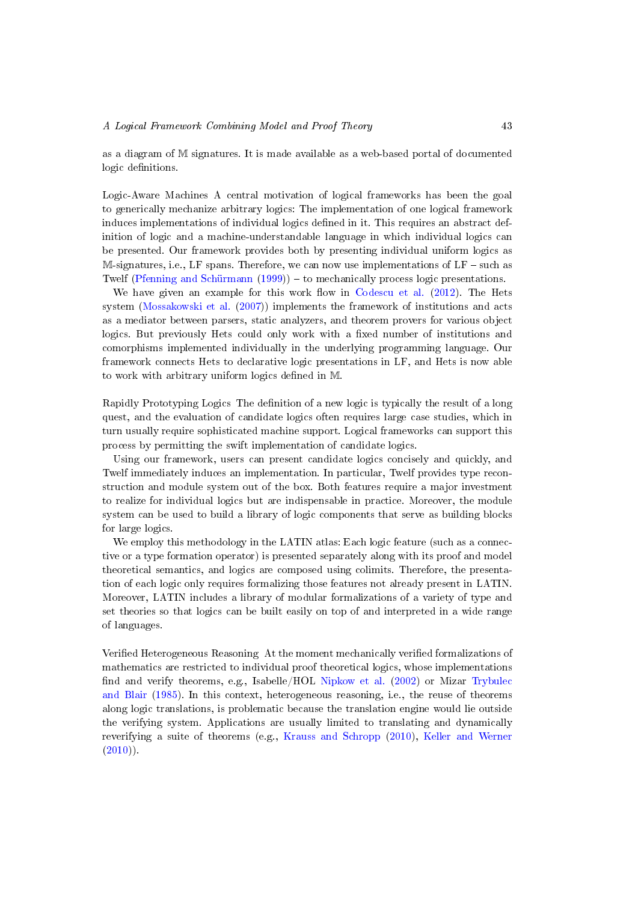as a diagram of M signatures. It is made available as a web-based portal of documented logic definitions.

Logic-Aware Machines A central motivation of logical frameworks has been the goal to generically mechanize arbitrary logics: The implementation of one logical framework induces implementations of individual logics defined in it. This requires an abstract definition of logic and a machine-understandable language in which individual logics can be presented. Our framework provides both by presenting individual uniform logics as  $M$ -signatures, i.e., LF spans. Therefore, we can now use implementations of LF – such as Twelf [\(Pfenning and Schürmann](#page-52-5)  $(1999)$ ) – to mechanically process logic presentations.

We have given an example for this work flow in [Codescu et al.](#page-49-17)  $(2012)$ . The Hets system [\(Mossakowski et al.](#page-51-5) [\(2007\)](#page-51-5)) implements the framework of institutions and acts as a mediator between parsers, static analyzers, and theorem provers for various object logics. But previously Hets could only work with a fixed number of institutions and comorphisms implemented individually in the underlying programming language. Our framework connects Hets to declarative logic presentations in LF, and Hets is now able to work with arbitrary uniform logics defined in M.

Rapidly Prototyping Logics The denition of a new logic is typically the result of a long quest, and the evaluation of candidate logics often requires large case studies, which in turn usually require sophisticated machine support. Logical frameworks can support this process by permitting the swift implementation of candidate logics.

Using our framework, users can present candidate logics concisely and quickly, and Twelf immediately induces an implementation. In particular, Twelf provides type reconstruction and module system out of the box. Both features require a major investment to realize for individual logics but are indispensable in practice. Moreover, the module system can be used to build a library of logic components that serve as building blocks for large logics.

We employ this methodology in the LATIN atlas: Each logic feature (such as a connective or a type formation operator) is presented separately along with its proof and model theoretical semantics, and logics are composed using colimits. Therefore, the presentation of each logic only requires formalizing those features not already present in LATIN. Moreover, LATIN includes a library of modular formalizations of a variety of type and set theories so that logics can be built easily on top of and interpreted in a wide range of languages.

Verified Heterogeneous Reasoning At the moment mechanically verified formalizations of mathematics are restricted to individual proof theoretical logics, whose implementations find and verify theorems, e.g., Isabelle/HOL [Nipkow et al.](#page-52-7)  $(2002)$  or Mizar [Trybulec](#page-53-5) [and Blair](#page-53-5) [\(1985\)](#page-53-5). In this context, heterogeneous reasoning, i.e., the reuse of theorems along logic translations, is problematic because the translation engine would lie outside the verifying system. Applications are usually limited to translating and dynamically reverifying a suite of theorems (e.g., [Krauss and Schropp](#page-51-13) [\(2010\)](#page-51-13), [Keller and Werner](#page-51-14)  $(2010)$ .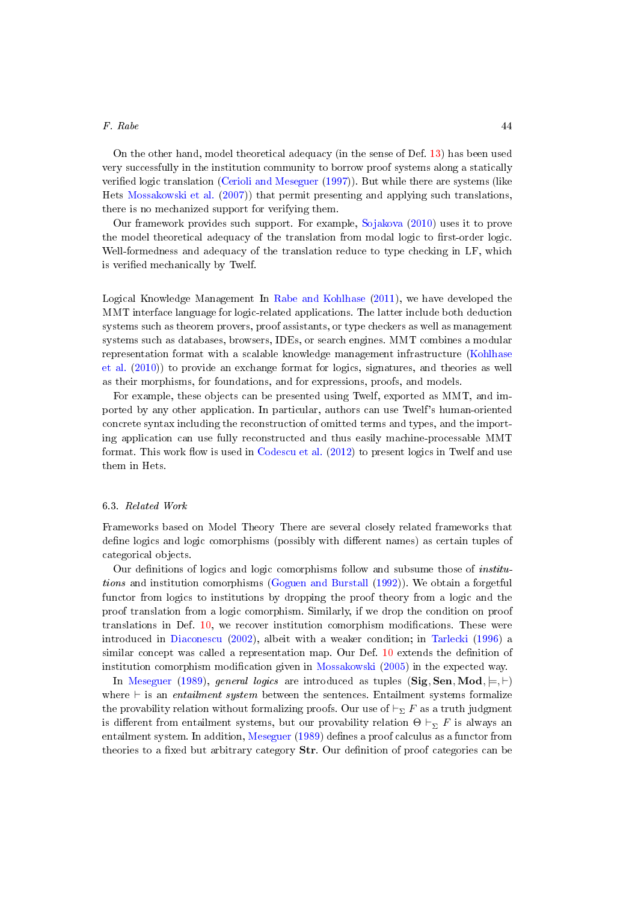On the other hand, model theoretical adequacy (in the sense of Def. [13\)](#page-15-3) has been used very successfully in the institution community to borrow proof systems along a statically verified logic translation [\(Cerioli and Meseguer](#page-49-9) [\(1997\)](#page-49-9)). But while there are systems (like Hets [Mossakowski et al.](#page-51-5) [\(2007\)](#page-51-5)) that permit presenting and applying such translations, there is no mechanized support for verifying them.

Our framework provides such support. For example, [Sojakova](#page-53-8) [\(2010\)](#page-53-8) uses it to prove the model theoretical adequacy of the translation from modal logic to first-order logic. Well-formedness and adequacy of the translation reduce to type checking in LF, which is verified mechanically by Twelf.

Logical Knowledge Management In [Rabe and Kohlhase](#page-52-13) [\(2011\)](#page-52-13), we have developed the MMT interface language for logic-related applications. The latter include both deduction systems such as theorem provers, proof assistants, or type checkers as well as management systems such as databases, browsers, IDEs, or search engines. MMT combines a modular representation format with a scalable knowledge management infrastructure [\(Kohlhase](#page-51-15) [et al.](#page-51-15) [\(2010\)](#page-51-15)) to provide an exchange format for logics, signatures, and theories as well as their morphisms, for foundations, and for expressions, proofs, and models.

For example, these objects can be presented using Twelf, exported as MMT, and imported by any other application. In particular, authors can use Twelf's human-oriented concrete syntax including the reconstruction of omitted terms and types, and the importing application can use fully reconstructed and thus easily machine-processable MMT format. This work flow is used in  $Codescu$  et al. [\(2012\)](#page-49-17) to present logics in Twelf and use them in Hets.

## <span id="page-43-0"></span>6.3. Related Work

Frameworks based on Model Theory There are several closely related frameworks that define logics and logic comorphisms (possibly with different names) as certain tuples of categorical objects.

Our definitions of logics and logic comorphisms follow and subsume those of *institu*tions and institution comorphisms [\(Goguen and Burstall](#page-50-2) [\(1992\)](#page-50-2)). We obtain a forgetful functor from logics to institutions by dropping the proof theory from a logic and the proof translation from a logic comorphism. Similarly, if we drop the condition on proof translations in Def. [10,](#page-13-0) we recover institution comorphism modifications. These were introduced in [Diaconescu](#page-49-10) [\(2002\)](#page-49-10), albeit with a weaker condition; in [Tarlecki](#page-53-6) [\(1996\)](#page-53-6) a similar concept was called a representation map. Our Def. [10](#page-13-0) extends the definition of institution comorphism modification given in [Mossakowski](#page-51-16)  $(2005)$  in the expected way.

In [Meseguer](#page-51-0) [\(1989\)](#page-51-0), general logics are introduced as tuples (Sig, Sen, Mod,  $\models, \vdash$ ) where  $\vdash$  is an entailment system between the sentences. Entailment systems formalize the provability relation without formalizing proofs. Our use of  $\vdash_{\Sigma} F$  as a truth judgment is different from entailment systems, but our provability relation  $\Theta \vdash_{\nabla} F$  is always an entailment system. In addition, [Meseguer](#page-51-0) [\(1989\)](#page-51-0) defines a proof calculus as a functor from theories to a fixed but arbitrary category  $Str$ . Our definition of proof categories can be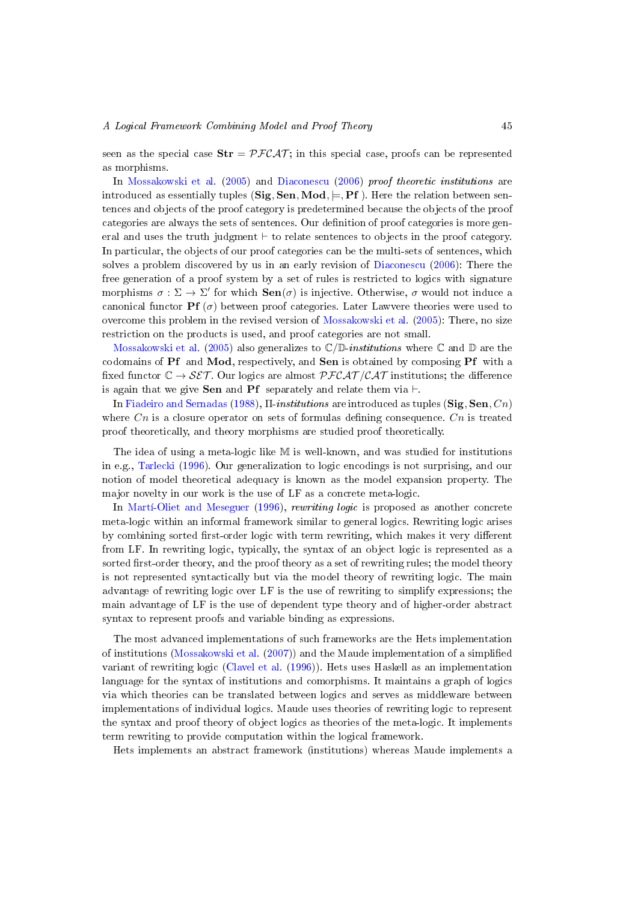seen as the special case  $\text{Str} = \mathcal{PFCAT}$ ; in this special case, proofs can be represented as morphisms.

In [Mossakowski et al.](#page-51-9) [\(2005\)](#page-51-9) and [Diaconescu](#page-49-6) [\(2006\)](#page-49-6) proof theoretic institutions are introduced as essentially tuples (Sig, Sen, Mod,  $\models$ , Pf). Here the relation between sentences and objects of the proof category is predetermined because the objects of the proof categories are always the sets of sentences. Our definition of proof categories is more general and uses the truth judgment  $\vdash$  to relate sentences to objects in the proof category. In particular, the objects of our proof categories can be the multi-sets of sentences, which solves a problem discovered by us in an early revision of [Diaconescu](#page-49-6) [\(2006\)](#page-49-6): There the free generation of a proof system by a set of rules is restricted to logics with signature morphisms  $\sigma : \Sigma \to \Sigma'$  for which  $\textbf{Sen}(\sigma)$  is injective. Otherwise,  $\sigma$  would not induce a canonical functor **Pf** ( $\sigma$ ) between proof categories. Later Lawvere theories were used to overcome this problem in the revised version of [Mossakowski et al.](#page-51-9) [\(2005\)](#page-51-9): There, no size restriction on the products is used, and proof categories are not small.

[Mossakowski et al.](#page-51-9) [\(2005\)](#page-51-9) also generalizes to  $\mathbb{C}/\mathbb{D}$ -*institutions* where  $\mathbb{C}$  and  $\mathbb{D}$  are the codomains of Pf and Mod, respectively, and Sen is obtained by composing Pf with a fixed functor  $\mathbb{C} \to \mathcal{SET}$ . Our logics are almost  $\mathcal{PFCAT}/\mathcal{CAT}$  institutions; the difference is again that we give **Sen** and **Pf** separately and relate them via  $\vdash$ .

In [Fiadeiro and Sernadas](#page-50-9) [\(1988\)](#page-50-9),  $\Pi$ -institutions are introduced as tuples (Sig, Sen, Cn) where  $C_n$  is a closure operator on sets of formulas defining consequence.  $C_n$  is treated proof theoretically, and theory morphisms are studied proof theoretically.

The idea of using a meta-logic like M is well-known, and was studied for institutions in e.g., [Tarlecki](#page-53-6) [\(1996\)](#page-53-6). Our generalization to logic encodings is not surprising, and our notion of model theoretical adequacy is known as the model expansion property. The major novelty in our work is the use of LF as a concrete meta-logic.

In Marti-Oliet and Meseguer [\(1996\)](#page-51-17), rewriting logic is proposed as another concrete meta-logic within an informal framework similar to general logics. Rewriting logic arises by combining sorted first-order logic with term rewriting, which makes it very different from LF. In rewriting logic, typically, the syntax of an object logic is represented as a sorted first-order theory, and the proof theory as a set of rewriting rules; the model theory is not represented syntactically but via the model theory of rewriting logic. The main advantage of rewriting logic over LF is the use of rewriting to simplify expressions; the main advantage of LF is the use of dependent type theory and of higher-order abstract syntax to represent proofs and variable binding as expressions.

The most advanced implementations of such frameworks are the Hets implementation of institutions [\(Mossakowski et al.](#page-51-5) [\(2007\)](#page-51-5)) and the Maude implementation of a simplied variant of rewriting logic [\(Clavel et al.](#page-49-18) [\(1996\)](#page-49-18)). Hets uses Haskell as an implementation language for the syntax of institutions and comorphisms. It maintains a graph of logics via which theories can be translated between logics and serves as middleware between implementations of individual logics. Maude uses theories of rewriting logic to represent the syntax and proof theory of object logics as theories of the meta-logic. It implements term rewriting to provide computation within the logical framework.

Hets implements an abstract framework (institutions) whereas Maude implements a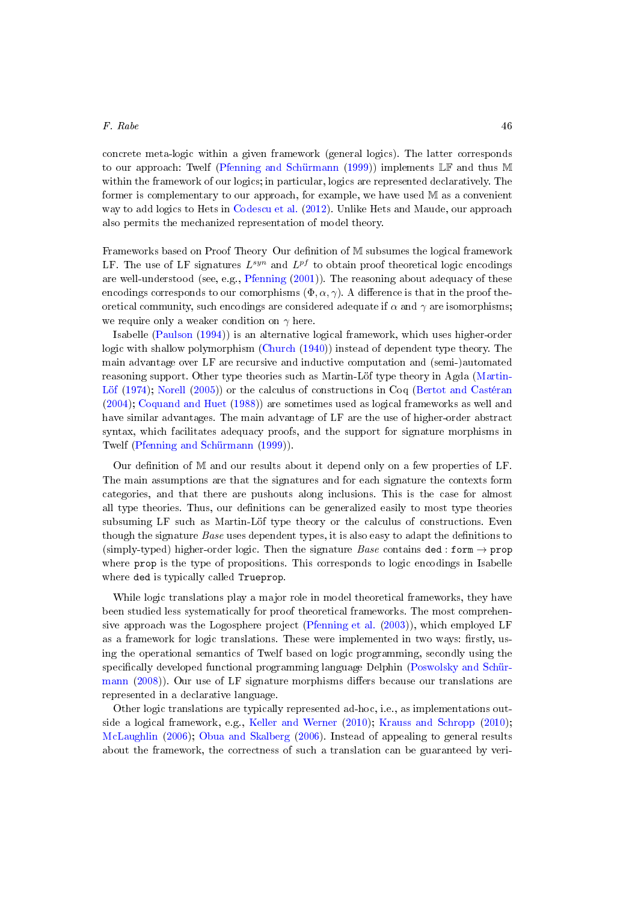concrete meta-logic within a given framework (general logics). The latter corresponds to our approach: Twelf [\(Pfenning and Schürmann](#page-52-5) [\(1999\)](#page-52-5)) implements LF and thus M within the framework of our logics; in particular, logics are represented declaratively. The former is complementary to our approach, for example, we have used M as a convenient way to add logics to Hets in [Codescu et al.](#page-49-17) [\(2012\)](#page-49-17). Unlike Hets and Maude, our approach also permits the mechanized representation of model theory.

Frameworks based on Proof Theory Our denition of M subsumes the logical framework LF. The use of LF signatures  $L^{syn}$  and  $L^{pf}$  to obtain proof theoretical logic encodings are well-understood (see, e.g., [Pfenning](#page-52-3)  $(2001)$ ). The reasoning about adequacy of these encodings corresponds to our comorphisms  $(\Phi, \alpha, \gamma)$ . A difference is that in the proof theoretical community, such encodings are considered adequate if  $\alpha$  and  $\gamma$  are isomorphisms; we require only a weaker condition on  $\gamma$  here.

Isabelle [\(Paulson](#page-52-0) [\(1994\)](#page-52-0)) is an alternative logical framework, which uses higher-order logic with shallow polymorphism [\(Church](#page-49-1) [\(1940\)](#page-49-1)) instead of dependent type theory. The main advantage over LF are recursive and inductive computation and (semi-)automated reasoning support. Other type theories such as Martin-Löf type theory in Agda [\(Martin-](#page-51-6)[Löf](#page-51-6) [\(1974\)](#page-51-6); [Norell](#page-52-16) [\(2005\)](#page-52-16)) or the calculus of constructions in Coq [\(Bertot and Castéran](#page-48-11) [\(2004\)](#page-48-11); [Coquand and Huet](#page-49-7) [\(1988\)](#page-49-7)) are sometimes used as logical frameworks as well and have similar advantages. The main advantage of LF are the use of higher-order abstract syntax, which facilitates adequacy proofs, and the support for signature morphisms in Twelf [\(Pfenning and Schürmann](#page-52-5) [\(1999\)](#page-52-5)).

Our definition of  $M$  and our results about it depend only on a few properties of LF. The main assumptions are that the signatures and for each signature the contexts form categories, and that there are pushouts along inclusions. This is the case for almost all type theories. Thus, our definitions can be generalized easily to most type theories subsuming LF such as Martin-Löf type theory or the calculus of constructions. Even though the signature *Base* uses dependent types, it is also easy to adapt the definitions to (simply-typed) higher-order logic. Then the signature Base contains ded : form  $\rightarrow$  prop where prop is the type of propositions. This corresponds to logic encodings in Isabelle where ded is typically called Trueprop.

While logic translations play a major role in model theoretical frameworks, they have been studied less systematically for proof theoretical frameworks. The most comprehensive approach was the Logosphere project [\(Pfenning et al.](#page-52-15) [\(2003\)](#page-52-15)), which employed LF as a framework for logic translations. These were implemented in two ways: firstly, using the operational semantics of Twelf based on logic programming, secondly using the specifically developed functional programming language Delphin [\(Poswolsky and Schür](#page-52-11)[mann](#page-52-11)  $(2008)$ ). Our use of LF signature morphisms differs because our translations are represented in a declarative language.

Other logic translations are typically represented ad-hoc, i.e., as implementations outside a logical framework, e.g., [Keller and Werner](#page-51-14) [\(2010\)](#page-51-14); [Krauss and Schropp](#page-51-13) [\(2010\)](#page-51-13); [McLaughlin](#page-51-18) [\(2006\)](#page-51-18); [Obua and Skalberg](#page-52-17) [\(2006\)](#page-52-17). Instead of appealing to general results about the framework, the correctness of such a translation can be guaranteed by veri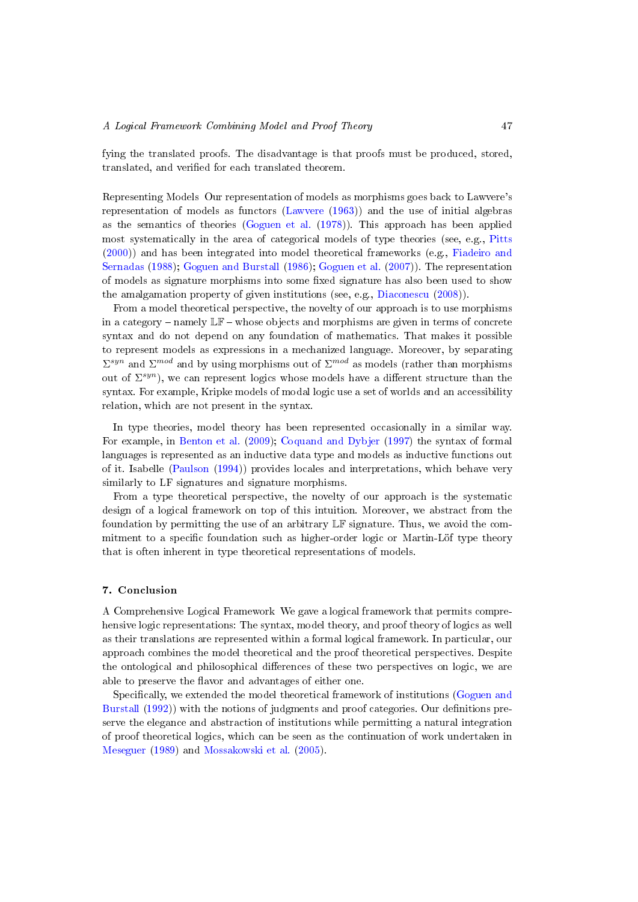fying the translated proofs. The disadvantage is that proofs must be produced, stored, translated, and verified for each translated theorem.

Representing Models Our representation of models as morphisms goes back to Lawvere's representation of models as functors [\(Lawvere](#page-51-10) [\(1963\)](#page-51-10)) and the use of initial algebras as the semantics of theories [\(Goguen et al.](#page-50-1) [\(1978\)](#page-50-1)). This approach has been applied most systematically in the area of categorical models of type theories (see, e.g., [Pitts](#page-52-6) [\(2000\)](#page-52-6)) and has been integrated into model theoretical frameworks (e.g., [Fiadeiro and](#page-50-9) [Sernadas](#page-50-9) [\(1988\)](#page-50-9); [Goguen and Burstall](#page-50-8) [\(1986\)](#page-50-8); [Goguen et al.](#page-50-17) [\(2007\)](#page-50-17)). The representation of models as signature morphisms into some fixed signature has also been used to show the amalgamation property of given institutions (see, e.g., [Diaconescu](#page-49-0) [\(2008\)](#page-49-0)).

From a model theoretical perspective, the novelty of our approach is to use morphisms in a category – namely  $\mathbb{LF}$  – whose objects and morphisms are given in terms of concrete syntax and do not depend on any foundation of mathematics. That makes it possible to represent models as expressions in a mechanized language. Moreover, by separating  $\Sigma^{syn}$  and  $\Sigma^{mod}$  and by using morphisms out of  $\Sigma^{mod}$  as models (rather than morphisms out of  $\Sigma^{syn}$ ), we can represent logics whose models have a different structure than the syntax. For example, Kripke models of modal logic use a set of worlds and an accessibility relation, which are not present in the syntax.

In type theories, model theory has been represented occasionally in a similar way. For example, in [Benton et al.](#page-48-12) [\(2009\)](#page-48-12); [Coquand and Dybjer](#page-49-19) [\(1997\)](#page-49-19) the syntax of formal languages is represented as an inductive data type and models as inductive functions out of it. Isabelle [\(Paulson](#page-52-0) [\(1994\)](#page-52-0)) provides locales and interpretations, which behave very similarly to LF signatures and signature morphisms.

From a type theoretical perspective, the novelty of our approach is the systematic design of a logical framework on top of this intuition. Moreover, we abstract from the foundation by permitting the use of an arbitrary LF signature. Thus, we avoid the commitment to a specific foundation such as higher-order logic or Martin-Löf type theory that is often inherent in type theoretical representations of models.

## <span id="page-46-0"></span>7. Conclusion

A Comprehensive Logical Framework We gave a logical framework that permits comprehensive logic representations: The syntax, model theory, and proof theory of logics as well as their translations are represented within a formal logical framework. In particular, our approach combines the model theoretical and the proof theoretical perspectives. Despite the ontological and philosophical differences of these two perspectives on logic, we are able to preserve the flavor and advantages of either one.

Specifically, we extended the model theoretical framework of institutions [\(Goguen and](#page-50-2) [Burstall](#page-50-2) [\(1992\)](#page-50-2)) with the notions of judgments and proof categories. Our definitions preserve the elegance and abstraction of institutions while permitting a natural integration of proof theoretical logics, which can be seen as the continuation of work undertaken in [Meseguer](#page-51-0) [\(1989\)](#page-51-0) and [Mossakowski et al.](#page-51-9) [\(2005\)](#page-51-9).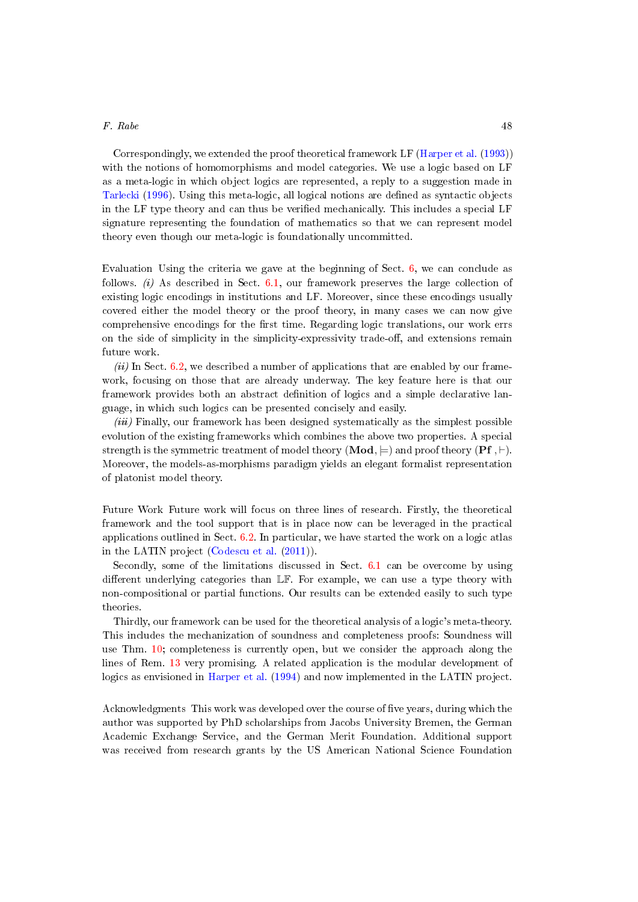Correspondingly, we extended the proof theoretical framework LF [\(Harper et al.](#page-50-5) [\(1993\)](#page-50-5)) with the notions of homomorphisms and model categories. We use a logic based on LF as a meta-logic in which object logics are represented, a reply to a suggestion made in [Tarlecki](#page-53-6) [\(1996\)](#page-53-6). Using this meta-logic, all logical notions are dened as syntactic objects in the LF type theory and can thus be verified mechanically. This includes a special LF signature representing the foundation of mathematics so that we can represent model theory even though our meta-logic is foundationally uncommitted.

Evaluation Using the criteria we gave at the beginning of Sect. [6,](#page-38-0) we can conclude as follows. (i) As described in Sect.  $6.1$ , our framework preserves the large collection of existing logic encodings in institutions and LF. Moreover, since these encodings usually covered either the model theory or the proof theory, in many cases we can now give comprehensive encodings for the first time. Regarding logic translations, our work errs on the side of simplicity in the simplicity-expressivity trade-off, and extensions remain future work.

 $(ii)$  In Sect. [6.2,](#page-41-0) we described a number of applications that are enabled by our framework, focusing on those that are already underway. The key feature here is that our framework provides both an abstract denition of logics and a simple declarative language, in which such logics can be presented concisely and easily.

(iii) Finally, our framework has been designed systematically as the simplest possible evolution of the existing frameworks which combines the above two properties. A special strength is the symmetric treatment of model theory ( $\text{Mod}, \models$ ) and proof theory ( $\text{Pf}, \vdash$ ). Moreover, the models-as-morphisms paradigm yields an elegant formalist representation of platonist model theory.

Future Work Future work will focus on three lines of research. Firstly, the theoretical framework and the tool support that is in place now can be leveraged in the practical applications outlined in Sect. [6.2.](#page-41-0) In particular, we have started the work on a logic atlas in the LATIN project [\(Codescu et al.](#page-49-8) [\(2011\)](#page-49-8)).

Secondly, some of the limitations discussed in Sect. [6.1](#page-39-0) can be overcome by using different underlying categories than  $L\mathbb{F}$ . For example, we can use a type theory with non-compositional or partial functions. Our results can be extended easily to such type theories.

Thirdly, our framework can be used for the theoretical analysis of a logic's meta-theory. This includes the mechanization of soundness and completeness proofs: Soundness will use Thm. [10;](#page-36-0) completeness is currently open, but we consider the approach along the lines of Rem. [13](#page-27-2) very promising. A related application is the modular development of logics as envisioned in [Harper et al.](#page-50-11) [\(1994\)](#page-50-11) and now implemented in the LATIN project.

Acknowledgments This work was developed over the course of five years, during which the author was supported by PhD scholarships from Jacobs University Bremen, the German Academic Exchange Service, and the German Merit Foundation. Additional support was received from research grants by the US American National Science Foundation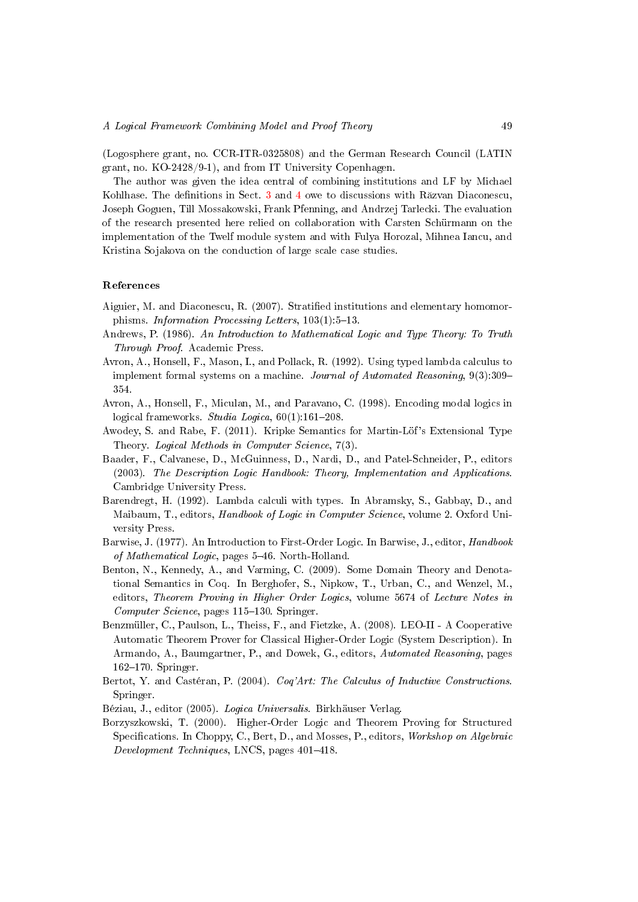(Logosphere grant, no. CCR-ITR-0325808) and the German Research Council (LATIN grant, no. KO-2428/9-1), and from IT University Copenhagen.

The author was given the idea central of combining institutions and LF by Michael Kohlhase. The definitions in Sect. [3](#page-8-0) and [4](#page-18-0) owe to discussions with R $\tilde{a}$ zvan Diaconescu, Joseph Goguen, Till Mossakowski, Frank Pfenning, and Andrzej Tarlecki. The evaluation of the research presented here relied on collaboration with Carsten Schürmann on the implementation of the Twelf module system and with Fulya Horozal, Mihnea Iancu, and Kristina Sojakova on the conduction of large scale case studies.

## References

- <span id="page-48-5"></span>Aiguier, M. and Diaconescu, R. (2007). Stratied institutions and elementary homomorphisms. Information Processing Letters,  $103(1):5-13$ .
- <span id="page-48-2"></span>Andrews, P. (1986). An Introduction to Mathematical Logic and Type Theory: To Truth Through Proof. Academic Press.
- <span id="page-48-9"></span>Avron, A., Honsell, F., Mason, I., and Pollack, R. (1992). Using typed lambda calculus to implement formal systems on a machine. Journal of Automated Reasoning, 9(3):309 354.
- <span id="page-48-7"></span>Avron, A., Honsell, F., Miculan, M., and Paravano, C. (1998). Encoding modal logics in logical frameworks. Studia Logica,  $60(1)$ :161-208.
- <span id="page-48-6"></span>Awodey, S. and Rabe, F. (2011). Kripke Semantics for Martin-Löf's Extensional Type Theory. Logical Methods in Computer Science, 7(3).
- <span id="page-48-3"></span>Baader, F., Calvanese, D., McGuinness, D., Nardi, D., and Patel-Schneider, P., editors (2003). The Description Logic Handbook: Theory, Implementation and Applications. Cambridge University Press.
- <span id="page-48-4"></span>Barendregt, H. (1992). Lambda calculi with types. In Abramsky, S., Gabbay, D., and Maibaum, T., editors, *Handbook of Logic in Computer Science*, volume 2. Oxford University Press.
- <span id="page-48-1"></span>Barwise, J. (1977). An Introduction to First-Order Logic. In Barwise, J., editor, Handbook of Mathematical Logic, pages 5-46. North-Holland.
- <span id="page-48-12"></span>Benton, N., Kennedy, A., and Varming, C. (2009). Some Domain Theory and Denotational Semantics in Coq. In Berghofer, S., Nipkow, T., Urban, C., and Wenzel, M., editors, Theorem Proving in Higher Order Logics, volume 5674 of Lecture Notes in Computer Science, pages 115–130. Springer.
- <span id="page-48-10"></span>Benzmüller, C., Paulson, L., Theiss, F., and Fietzke, A. (2008). LEO-II - A Cooperative Automatic Theorem Prover for Classical Higher-Order Logic (System Description). In Armando, A., Baumgartner, P., and Dowek, G., editors, Automated Reasoning, pages  $162-170$ . Springer.
- <span id="page-48-11"></span>Bertot, Y. and Castéran, P. (2004). Coq'Art: The Calculus of Inductive Constructions. Springer.
- <span id="page-48-0"></span>Béziau, J., editor (2005). Logica Universalis. Birkhäuser Verlag.
- <span id="page-48-8"></span>Borzyszkowski, T. (2000). Higher-Order Logic and Theorem Proving for Structured Specifications. In Choppy, C., Bert, D., and Mosses, P., editors, Workshop on Algebraic Development Techniques, LNCS, pages 401-418.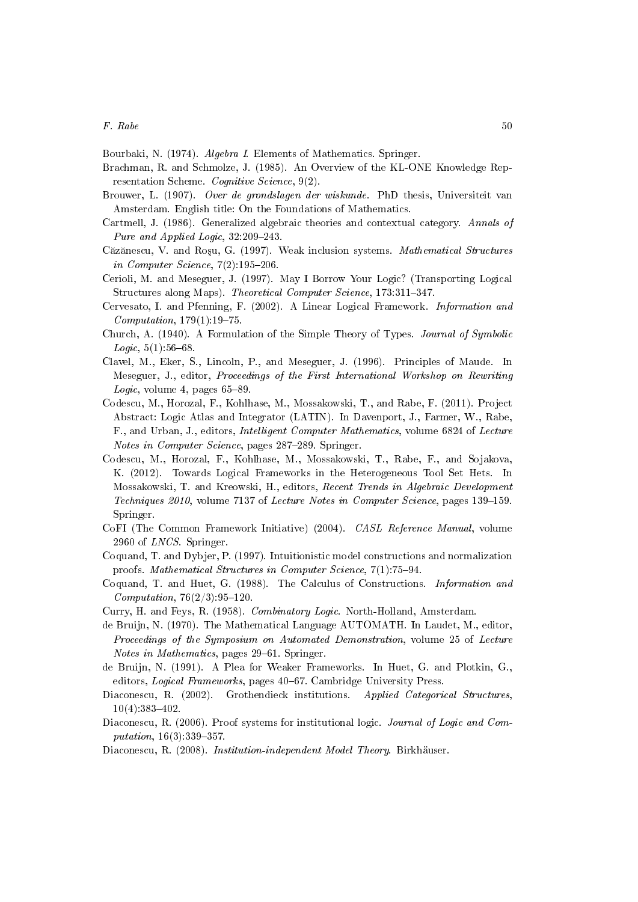<span id="page-49-12"></span>Bourbaki, N. (1974). Algebra I. Elements of Mathematics. Springer.

- <span id="page-49-4"></span>Brachman, R. and Schmolze, J. (1985). An Overview of the KL-ONE Knowledge Representation Scheme. Cognitive Science, 9(2).
- <span id="page-49-5"></span>Brouwer, L. (1907). Over de grondslagen der wiskunde. PhD thesis, Universiteit van Amsterdam. English title: On the Foundations of Mathematics.
- <span id="page-49-11"></span>Cartmell, J. (1986). Generalized algebraic theories and contextual category. Annals of Pure and Applied Logic,  $32:209-243$ .
- <span id="page-49-13"></span>Căzănescu, V. and Roșu, G. (1997). Weak inclusion systems. Mathematical Structures in Computer Science,  $7(2):195-206$ .
- <span id="page-49-9"></span>Cerioli, M. and Meseguer, J. (1997). May I Borrow Your Logic? (Transporting Logical Structures along Maps). Theoretical Computer Science, 173:311-347.
- <span id="page-49-16"></span>Cervesato, I. and Pfenning, F. (2002). A Linear Logical Framework. Information and  $Computation, 179(1):19-75.$
- <span id="page-49-1"></span>Church, A. (1940). A Formulation of the Simple Theory of Types. Journal of Symbolic  $Logic, 5(1): 56–68.$
- <span id="page-49-18"></span>Clavel, M., Eker, S., Lincoln, P., and Meseguer, J. (1996). Principles of Maude. In Meseguer, J., editor, Proceedings of the First International Workshop on Rewriting Logic, volume 4, pages  $65-89$ .
- <span id="page-49-8"></span>Codescu, M., Horozal, F., Kohlhase, M., Mossakowski, T., and Rabe, F. (2011). Project Abstract: Logic Atlas and Integrator (LATIN). In Davenport, J., Farmer, W., Rabe, F., and Urban, J., editors, Intelligent Computer Mathematics, volume 6824 of Lecture Notes in Computer Science, pages 287–289. Springer.
- <span id="page-49-17"></span>Codescu, M., Horozal, F., Kohlhase, M., Mossakowski, T., Rabe, F., and Sojakova, K. (2012). Towards Logical Frameworks in the Heterogeneous Tool Set Hets. In Mossakowski, T. and Kreowski, H., editors, Recent Trends in Algebraic Development Techniques  $2010$ , volume  $7137$  of Lecture Notes in Computer Science, pages  $139-159$ . Springer.
- <span id="page-49-15"></span>CoFI (The Common Framework Initiative) (2004). CASL Reference Manual, volume 2960 of LNCS. Springer.
- <span id="page-49-19"></span>Coquand, T. and Dybjer, P. (1997). Intuitionistic model constructions and normalization proofs. Mathematical Structures in Computer Science, 7(1):75-94.
- <span id="page-49-7"></span>Coquand, T. and Huet, G. (1988). The Calculus of Constructions. Information and  $Computation, 76(2/3): 95-120.$
- <span id="page-49-2"></span>Curry, H. and Feys, R. (1958). Combinatory Logic. North-Holland, Amsterdam.
- <span id="page-49-3"></span>de Bruijn, N. (1970). The Mathematical Language AUTOMATH. In Laudet, M., editor, Proceedings of the Symposium on Automated Demonstration, volume 25 of Lecture Notes in Mathematics, pages 29–61. Springer.
- <span id="page-49-14"></span>de Bruijn, N. (1991). A Plea for Weaker Frameworks. In Huet, G. and Plotkin, G., editors, Logical Frameworks, pages 40–67. Cambridge University Press.
- <span id="page-49-10"></span>Diaconescu, R. (2002). Grothendieck institutions. Applied Categorical Structures,  $10(4)$ : 383-402.
- <span id="page-49-6"></span>Diaconescu, R. (2006). Proof systems for institutional logic. Journal of Logic and Com $putation, 16(3): 339-357.$
- <span id="page-49-0"></span>Diaconescu, R. (2008). Institution-independent Model Theory. Birkhäuser.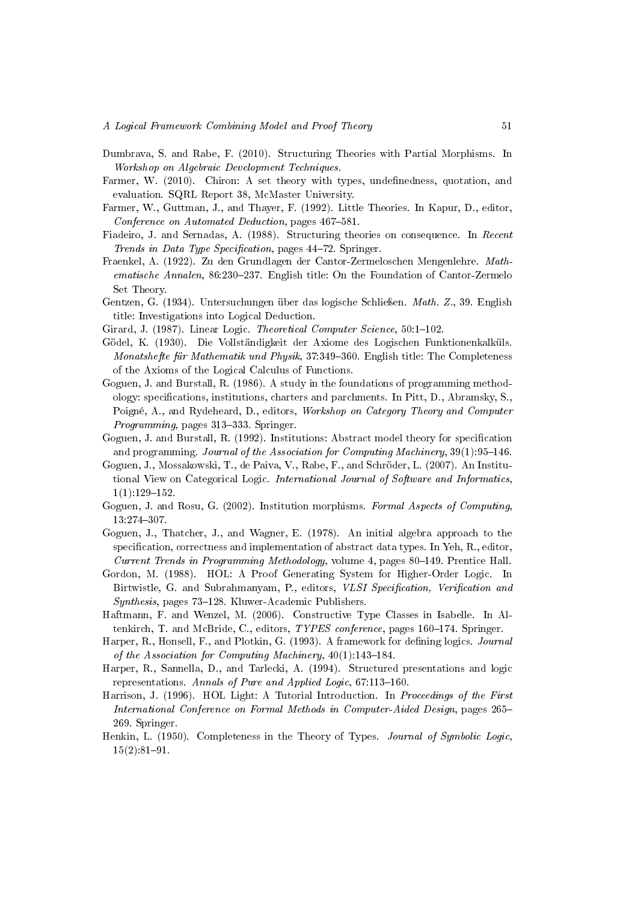- <span id="page-50-18"></span>Dumbrava, S. and Rabe, F. (2010). Structuring Theories with Partial Morphisms. In Workshop on Algebraic Development Techniques.
- <span id="page-50-13"></span>Farmer, W. (2010). Chiron: A set theory with types, undefinedness, quotation, and evaluation. SQRL Report 38, McMaster University.
- <span id="page-50-16"></span>Farmer, W., Guttman, J., and Thayer, F. (1992). Little Theories. In Kapur, D., editor, Conference on Automated Deduction, pages 467–581.
- <span id="page-50-9"></span>Fiadeiro, J. and Sernadas, A. (1988). Structuring theories on consequence. In Recent Trends in Data Type Specification, pages 44-72. Springer.
- <span id="page-50-0"></span>Fraenkel, A. (1922). Zu den Grundlagen der Cantor-Zermeloschen Mengenlehre. Mathematische Annalen, 86:230-237. English title: On the Foundation of Cantor-Zermelo Set Theory.
- <span id="page-50-3"></span>Gentzen, G. (1934). Untersuchungen über das logische Schließen. Math. Z., 39. English title: Investigations into Logical Deduction.
- <span id="page-50-12"></span>Girard, J. (1987). Linear Logic. Theoretical Computer Science, 50:1-102.
- <span id="page-50-4"></span>Gödel, K. (1930). Die Vollständigkeit der Axiome des Logischen Funktionenkalküls. Monatshefte für Mathematik und Physik, 37:349-360. English title: The Completeness of the Axioms of the Logical Calculus of Functions.
- <span id="page-50-8"></span>Goguen, J. and Burstall, R. (1986). A study in the foundations of programming methodology: specifications, institutions, charters and parchments. In Pitt,  $D_{1}$ , Abramsky, S., Poigné, A., and Rydeheard, D., editors, Workshop on Category Theory and Computer Programming, pages 313–333. Springer.
- <span id="page-50-2"></span>Goguen, J. and Burstall, R.  $(1992)$ . Institutions: Abstract model theory for specification and programming. Journal of the Association for Computing Machinery,  $39(1):95-146$ .
- <span id="page-50-17"></span>Goguen, J., Mossakowski, T., de Paiva, V., Rabe, F., and Schröder, L. (2007). An Institutional View on Categorical Logic. International Journal of Software and Informatics,  $1(1):129-152.$
- <span id="page-50-6"></span>Goguen, J. and Rosu, G. (2002). Institution morphisms. Formal Aspects of Computing, 13:274307.
- <span id="page-50-1"></span>Goguen, J., Thatcher, J., and Wagner, E. (1978). An initial algebra approach to the specification, correctness and implementation of abstract data types. In Yeh,  $R_{\cdot}$ , editor, Current Trends in Programming Methodology, volume 4, pages 80–149. Prentice Hall.
- <span id="page-50-14"></span>Gordon, M. (1988). HOL: A Proof Generating System for Higher-Order Logic. In Birtwistle, G. and Subrahmanyam, P., editors, VLSI Specification, Verification and  $Synthesis$ , pages 73–128. Kluwer-Academic Publishers.
- <span id="page-50-10"></span>Haftmann, F. and Wenzel, M. (2006). Constructive Type Classes in Isabelle. In Altenkirch, T. and McBride, C., editors, *TYPES conference*, pages 160–174. Springer.
- <span id="page-50-5"></span>Harper, R., Honsell, F., and Plotkin, G. (1993). A framework for defining logics. Journal of the Association for Computing Machinery,  $40(1):143-184$ .
- <span id="page-50-11"></span>Harper, R., Sannella, D., and Tarlecki, A. (1994). Structured presentations and logic representations. Annals of Pure and Applied Logic,  $67:113-160$ .
- <span id="page-50-15"></span>Harrison, J. (1996). HOL Light: A Tutorial Introduction. In Proceedings of the First International Conference on Formal Methods in Computer-Aided Design, pages 265 269. Springer.
- <span id="page-50-7"></span>Henkin, L. (1950). Completeness in the Theory of Types. Journal of Symbolic Logic,  $15(2):81-91.$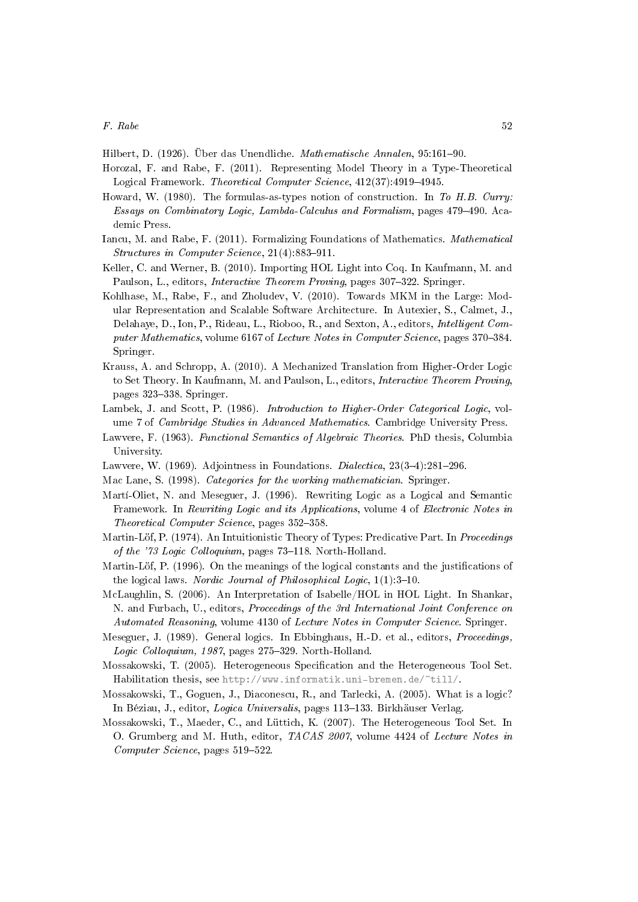<span id="page-51-2"></span>Hilbert, D. (1926). Über das Unendliche. Mathematische Annalen, 95:161-90.

- <span id="page-51-11"></span>Horozal, F. and Rabe, F. (2011). Representing Model Theory in a Type-Theoretical Logical Framework. Theoretical Computer Science, 412(37):4919-4945.
- <span id="page-51-3"></span>Howard, W. (1980). The formulas-as-types notion of construction. In To H.B. Curry: Essays on Combinatory Logic, Lambda-Calculus and Formalism, pages 479–490. Academic Press.
- <span id="page-51-12"></span>Iancu, M. and Rabe, F. (2011). Formalizing Foundations of Mathematics. Mathematical  $Structures in Computer Science, 21(4):883-911.$
- <span id="page-51-14"></span>Keller, C. and Werner, B. (2010). Importing HOL Light into Coq. In Kaufmann, M. and Paulson, L., editors, *Interactive Theorem Proving*, pages 307-322. Springer.
- <span id="page-51-15"></span>Kohlhase, M., Rabe, F., and Zholudev, V. (2010). Towards MKM in the Large: Modular Representation and Scalable Software Architecture. In Autexier, S., Calmet, J., Delahaye, D., Ion, P., Rideau, L., Rioboo, R., and Sexton, A., editors, Intelligent Computer Mathematics, volume 6167 of Lecture Notes in Computer Science, pages 370–384. Springer.
- <span id="page-51-13"></span>Krauss, A. and Schropp, A. (2010). A Mechanized Translation from Higher-Order Logic to Set Theory. In Kaufmann, M. and Paulson, L., editors, Interactive Theorem Proving, pages 323-338. Springer.
- <span id="page-51-8"></span>Lambek, J. and Scott, P. (1986). *Introduction to Higher-Order Categorical Logic*, volume 7 of Cambridge Studies in Advanced Mathematics. Cambridge University Press.
- <span id="page-51-10"></span>Lawvere, F. (1963). Functional Semantics of Algebraic Theories. PhD thesis, Columbia University.
- <span id="page-51-4"></span>Lawvere, W. (1969). Adjointness in Foundations. *Dialectica*,  $23(3-4):281-296$ .
- <span id="page-51-1"></span>Mac Lane, S. (1998). Categories for the working mathematician. Springer.
- <span id="page-51-17"></span>Martí-Oliet, N. and Meseguer, J. (1996). Rewriting Logic as a Logical and Semantic Framework. In Rewriting Logic and its Applications, volume 4 of Electronic Notes in Theoretical Computer Science, pages 352-358.
- <span id="page-51-6"></span>Martin-Löf, P. (1974). An Intuitionistic Theory of Types: Predicative Part. In Proceedings of the '73 Logic Colloquium, pages  $73-118$ . North-Holland.
- <span id="page-51-7"></span>Martin-Löf, P. (1996). On the meanings of the logical constants and the justifications of the logical laws. Nordic Journal of Philosophical Logic,  $1(1):3-10$ .
- <span id="page-51-18"></span>McLaughlin, S. (2006). An Interpretation of Isabelle/HOL in HOL Light. In Shankar, N. and Furbach, U., editors, Proceedings of the 3rd International Joint Conference on Automated Reasoning, volume 4130 of Lecture Notes in Computer Science. Springer.
- <span id="page-51-0"></span>Meseguer, J. (1989). General logics. In Ebbinghaus, H.-D. et al., editors, Proceedings, Logic Colloquium, 1987, pages  $275-329$ . North-Holland.
- <span id="page-51-16"></span>Mossakowski, T. (2005). Heterogeneous Specification and the Heterogeneous Tool Set. Habilitation thesis, see [http://www.informatik.uni-bremen.de/~till/.](http://www.informatik.uni-bremen.de/~till/)
- <span id="page-51-9"></span>Mossakowski, T., Goguen, J., Diaconescu, R., and Tarlecki, A. (2005). What is a logic? In Béziau, J., editor, Logica Universalis, pages 113–133. Birkhäuser Verlag.
- <span id="page-51-5"></span>Mossakowski, T., Maeder, C., and Lüttich, K. (2007). The Heterogeneous Tool Set. In O. Grumberg and M. Huth, editor, TACAS 2007, volume 4424 of Lecture Notes in Computer Science, pages 519-522.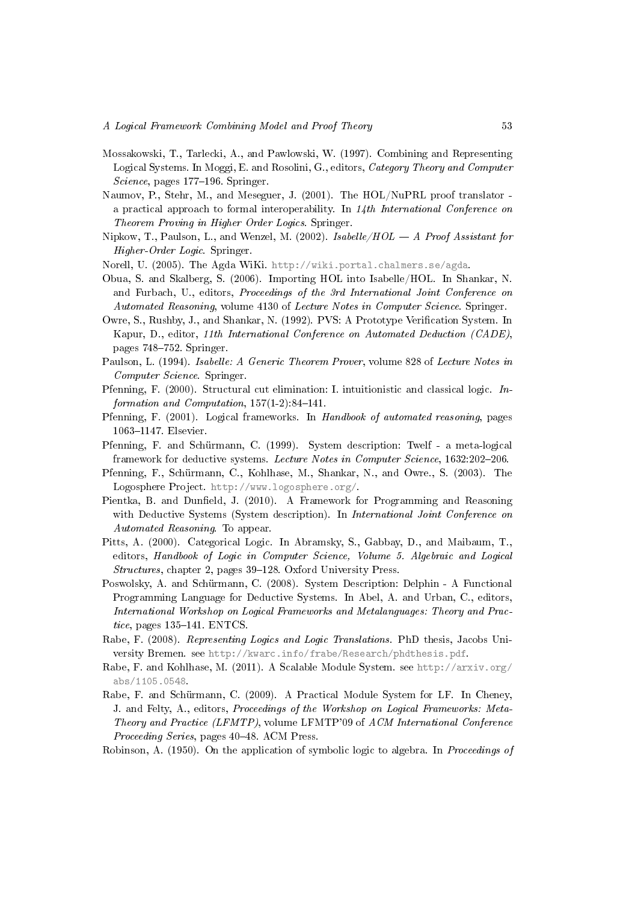- <span id="page-52-4"></span>Mossakowski, T., Tarlecki, A., and Pawlowski, W. (1997). Combining and Representing Logical Systems. In Moggi, E. and Rosolini, G., editors, Category Theory and Computer Science, pages 177-196. Springer.
- <span id="page-52-2"></span>Naumov, P., Stehr, M., and Meseguer, J. (2001). The HOL/NuPRL proof translator a practical approach to formal interoperability. In  $14th International Conference on$ Theorem Proving in Higher Order Logics. Springer.
- <span id="page-52-7"></span>Nipkow, T., Paulson, L., and Wenzel, M. (2002). Isabelle/ $HOL - A$  Proof Assistant for Higher-Order Logic. Springer.
- <span id="page-52-16"></span>Norell, U. (2005). The Agda WiKi. [http://wiki.portal.chalmers.se/agda.](http://wiki.portal.chalmers.se/agda)
- <span id="page-52-17"></span>Obua, S. and Skalberg, S. (2006). Importing HOL into Isabelle/HOL. In Shankar, N. and Furbach, U., editors, Proceedings of the 3rd International Joint Conference on Automated Reasoning, volume 4130 of Lecture Notes in Computer Science. Springer.
- <span id="page-52-9"></span>Owre, S., Rushby, J., and Shankar, N. (1992). PVS: A Prototype Verification System. In Kapur, D., editor, 11th International Conference on Automated Deduction (CADE), pages 748–752. Springer.
- <span id="page-52-0"></span>Paulson, L. (1994). Isabelle: A Generic Theorem Prover, volume 828 of Lecture Notes in Computer Science. Springer.
- <span id="page-52-8"></span>Pfenning, F. (2000). Structural cut elimination: I. intuitionistic and classical logic. Information and Computation,  $157(1-2)$ :84-141.
- <span id="page-52-3"></span>Pfenning, F. (2001). Logical frameworks. In Handbook of automated reasoning, pages 1063-1147. Elsevier.
- <span id="page-52-5"></span>Pfenning, F. and Schürmann, C. (1999). System description: Twelf - a meta-logical framework for deductive systems. Lecture Notes in Computer Science, 1632:202-206.
- <span id="page-52-15"></span>Pfenning, F., Schürmann, C., Kohlhase, M., Shankar, N., and Owre., S. (2003). The Logosphere Project. [http://www.logosphere.org/.](http://www.logosphere.org/)
- <span id="page-52-12"></span>Pientka, B. and Dunfield, J. (2010). A Framework for Programming and Reasoning with Deductive Systems (System description). In *International Joint Conference on* Automated Reasoning. To appear.
- <span id="page-52-6"></span>Pitts, A. (2000). Categorical Logic. In Abramsky, S., Gabbay, D., and Maibaum, T., editors, Handbook of Logic in Computer Science, Volume 5. Algebraic and Logical  $Structures$ , chapter 2, pages  $39-128$ . Oxford University Press.
- <span id="page-52-11"></span>Poswolsky, A. and Schürmann, C. (2008). System Description: Delphin - A Functional Programming Language for Deductive Systems. In Abel, A. and Urban, C., editors, International Workshop on Logical Frameworks and Metalanguages: Theory and Practice, pages  $135-141$ . ENTCS.
- <span id="page-52-10"></span>Rabe, F. (2008). Representing Logics and Logic Translations. PhD thesis, Jacobs University Bremen. see [http://kwarc.info/frabe/Research/phdthesis.pdf.](http://kwarc.info/frabe/Research/phdthesis.pdf)
- <span id="page-52-13"></span>Rabe, F. and Kohlhase, M. (2011). A Scalable Module System. see [http://arxiv.org/](http://arxiv.org/abs/1105.0548) [abs/1105.0548.](http://arxiv.org/abs/1105.0548)
- <span id="page-52-14"></span>Rabe, F. and Schürmann, C. (2009). A Practical Module System for LF. In Cheney, J. and Felty, A., editors, Proceedings of the Workshop on Logical Frameworks: Meta-Theory and Practice (LFMTP), volume LFMTP'09 of ACM International Conference Proceeding Series, pages 40–48. ACM Press.
- <span id="page-52-1"></span>Robinson, A. (1950). On the application of symbolic logic to algebra. In Proceedings of